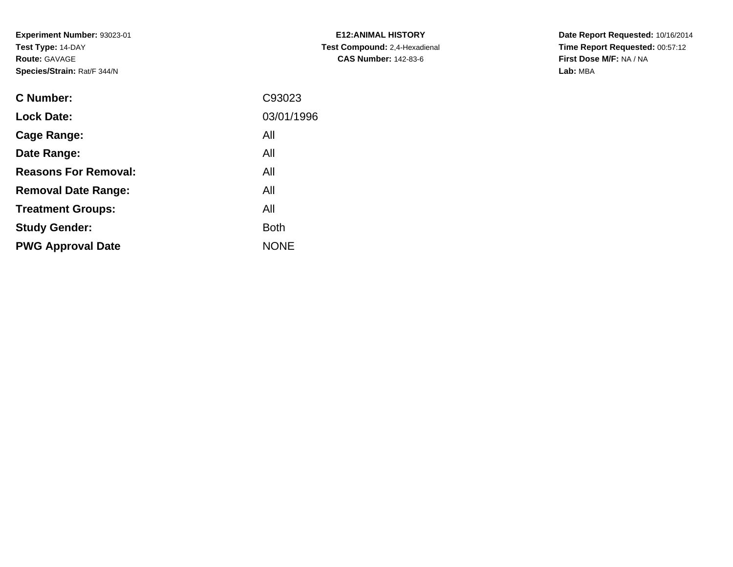**Experiment Number:** 93023-01**Test Type:** 14-DAY**Route:** GAVAGE**Species/Strain:** Rat/F 344/N

| <b>C Number:</b>            | C93023      |
|-----------------------------|-------------|
| <b>Lock Date:</b>           | 03/01/1996  |
| <b>Cage Range:</b>          | All         |
| Date Range:                 | All         |
| <b>Reasons For Removal:</b> | All         |
| <b>Removal Date Range:</b>  | All         |
| <b>Treatment Groups:</b>    | All         |
| <b>Study Gender:</b>        | <b>Both</b> |
| <b>PWG Approval Date</b>    | <b>NONE</b> |
|                             |             |

**E12:ANIMAL HISTORY Test Compound:** 2,4-Hexadienal **CAS Number:** 142-83-6

**Date Report Requested:** 10/16/2014 **Time Report Requested:** 00:57:12**First Dose M/F:** NA / NA**Lab:** MBA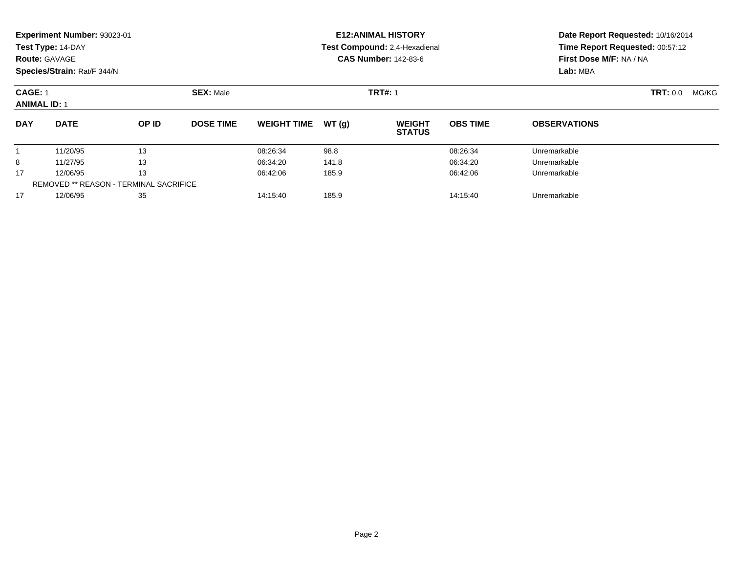|                                       | Experiment Number: 93023-01<br>Test Type: 14-DAY<br><b>Route: GAVAGE</b><br>Species/Strain: Rat/F 344/N |                  |                  |                               |                | <b>E12: ANIMAL HISTORY</b><br>Test Compound: 2,4-Hexadienal<br><b>CAS Number: 142-83-6</b> | Date Report Requested: 10/16/2014<br>Time Report Requested: 00:57:12<br>First Dose M/F: NA / NA<br>Lab: MBA |                     |  |
|---------------------------------------|---------------------------------------------------------------------------------------------------------|------------------|------------------|-------------------------------|----------------|--------------------------------------------------------------------------------------------|-------------------------------------------------------------------------------------------------------------|---------------------|--|
| <b>CAGE: 1</b><br><b>ANIMAL ID: 1</b> |                                                                                                         | <b>SEX: Male</b> |                  |                               | <b>TRT#: 1</b> |                                                                                            | TRT: 0.0<br>MG/KG                                                                                           |                     |  |
| <b>DAY</b>                            | <b>DATE</b>                                                                                             | OP ID            | <b>DOSE TIME</b> | <b>WEIGHT TIME</b>            | WT(g)          | <b>WEIGHT</b><br><b>STATUS</b>                                                             | <b>OBS TIME</b>                                                                                             | <b>OBSERVATIONS</b> |  |
|                                       | 11/20/95                                                                                                | 13               |                  | 08:26:34                      | 98.8           |                                                                                            | 08:26:34                                                                                                    | Unremarkable        |  |
| 8                                     | 11/27/95                                                                                                | 13               |                  | 06:34:20                      | 141.8          |                                                                                            | 06:34:20                                                                                                    | Unremarkable        |  |
| 17                                    | 12/06/95                                                                                                | 13               |                  | 06:42:06                      | 185.9          |                                                                                            | 06:42:06                                                                                                    | Unremarkable        |  |
|                                       | <b>REMOVED ** REASON - TERMINAL SACRIFICE</b>                                                           |                  |                  |                               |                |                                                                                            |                                                                                                             |                     |  |
| 17                                    | 35<br>12/06/95                                                                                          |                  |                  | 14:15:40<br>185.9<br>14:15:40 |                |                                                                                            |                                                                                                             | Unremarkable        |  |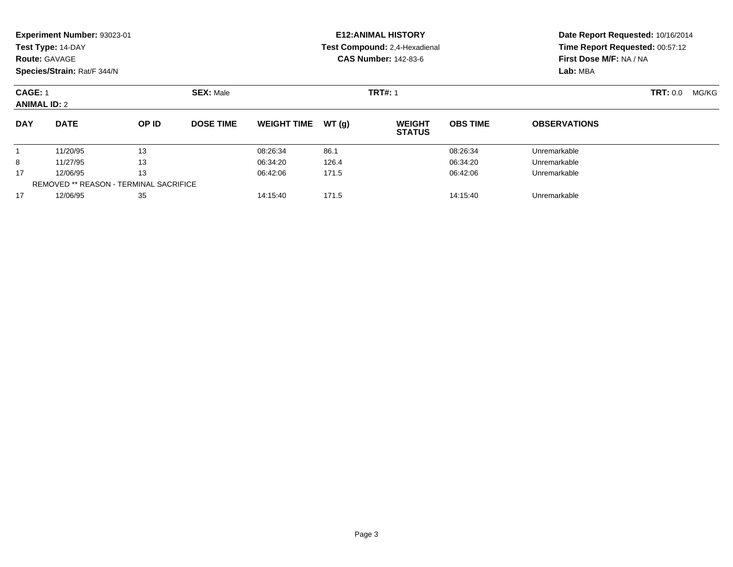| <b>Route: GAVAGE</b>                          | Experiment Number: 93023-01<br>Test Type: 14-DAY<br>Species/Strain: Rat/F 344/N |       |                  |                               |       | <b>E12: ANIMAL HISTORY</b><br>Test Compound: 2,4-Hexadienal<br><b>CAS Number: 142-83-6</b> | Date Report Requested: 10/16/2014<br>Time Report Requested: 00:57:12<br>First Dose M/F: NA / NA<br>Lab: MBA |                          |  |
|-----------------------------------------------|---------------------------------------------------------------------------------|-------|------------------|-------------------------------|-------|--------------------------------------------------------------------------------------------|-------------------------------------------------------------------------------------------------------------|--------------------------|--|
| <b>CAGE: 1</b><br><b>ANIMAL ID: 2</b>         |                                                                                 |       | <b>SEX: Male</b> |                               |       | <b>TRT#: 1</b>                                                                             |                                                                                                             | <b>TRT: 0.0</b><br>MG/KG |  |
| <b>DAY</b>                                    | <b>DATE</b>                                                                     | OP ID | <b>DOSE TIME</b> | <b>WEIGHT TIME</b>            | WT(g) | <b>WEIGHT</b><br><b>STATUS</b>                                                             | <b>OBS TIME</b>                                                                                             | <b>OBSERVATIONS</b>      |  |
|                                               | 11/20/95                                                                        | 13    |                  | 08:26:34                      | 86.1  |                                                                                            | 08:26:34                                                                                                    | Unremarkable             |  |
| 8                                             | 11/27/95                                                                        | 13    |                  | 06:34:20                      | 126.4 |                                                                                            | 06:34:20                                                                                                    | Unremarkable             |  |
| 17                                            | 12/06/95                                                                        | 13    |                  | 06:42:06                      | 171.5 |                                                                                            | 06:42:06                                                                                                    | Unremarkable             |  |
| <b>REMOVED ** REASON - TERMINAL SACRIFICE</b> |                                                                                 |       |                  |                               |       |                                                                                            |                                                                                                             |                          |  |
| 17                                            | 12/06/95<br>35                                                                  |       |                  | 171.5<br>14:15:40<br>14:15:40 |       |                                                                                            | Unremarkable                                                                                                |                          |  |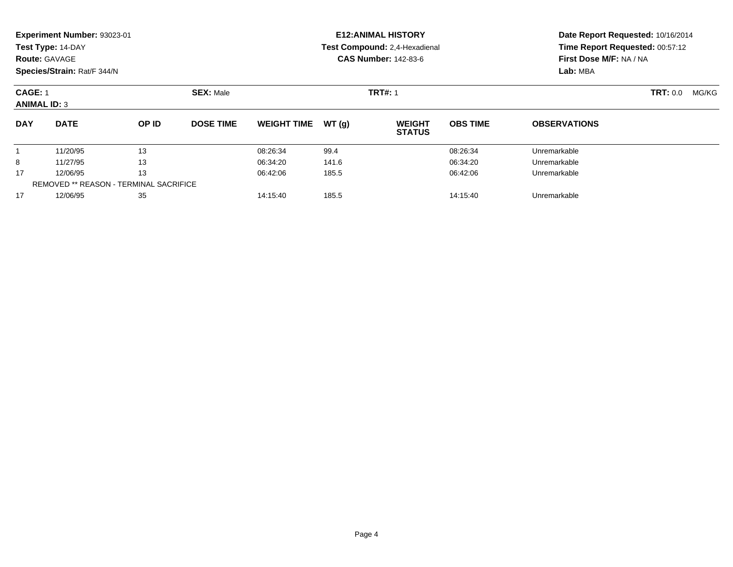|                                               | Experiment Number: 93023-01<br>Test Type: 14-DAY<br><b>Route: GAVAGE</b><br>Species/Strain: Rat/F 344/N |       |                  |                    |       | <b>E12: ANIMAL HISTORY</b><br>Test Compound: 2,4-Hexadienal<br><b>CAS Number: 142-83-6</b> | Date Report Requested: 10/16/2014<br>Time Report Requested: 00:57:12<br>First Dose M/F: NA / NA<br>Lab: MBA |                     |  |
|-----------------------------------------------|---------------------------------------------------------------------------------------------------------|-------|------------------|--------------------|-------|--------------------------------------------------------------------------------------------|-------------------------------------------------------------------------------------------------------------|---------------------|--|
|                                               | CAGE: 1<br><b>ANIMAL ID: 3</b>                                                                          |       | <b>SEX: Male</b> |                    |       | <b>TRT#: 1</b>                                                                             |                                                                                                             | TRT: 0.0<br>MG/KG   |  |
| <b>DAY</b>                                    | <b>DATE</b>                                                                                             | OP ID | <b>DOSE TIME</b> | <b>WEIGHT TIME</b> | WT(g) | <b>WEIGHT</b><br><b>STATUS</b>                                                             | <b>OBS TIME</b>                                                                                             | <b>OBSERVATIONS</b> |  |
|                                               | 11/20/95                                                                                                | 13    |                  | 08:26:34           | 99.4  |                                                                                            | 08:26:34                                                                                                    | Unremarkable        |  |
| 8                                             | 11/27/95                                                                                                | 13    |                  | 06:34:20           | 141.6 |                                                                                            | 06:34:20                                                                                                    | Unremarkable        |  |
| 17                                            | 12/06/95                                                                                                | 13    |                  | 06:42:06           | 185.5 |                                                                                            | 06:42:06                                                                                                    | Unremarkable        |  |
| <b>REMOVED ** REASON - TERMINAL SACRIFICE</b> |                                                                                                         |       |                  |                    |       |                                                                                            |                                                                                                             |                     |  |
| 17                                            | 12/06/95                                                                                                | 35    |                  | 14:15:40           | 185.5 |                                                                                            | 14:15:40                                                                                                    | Unremarkable        |  |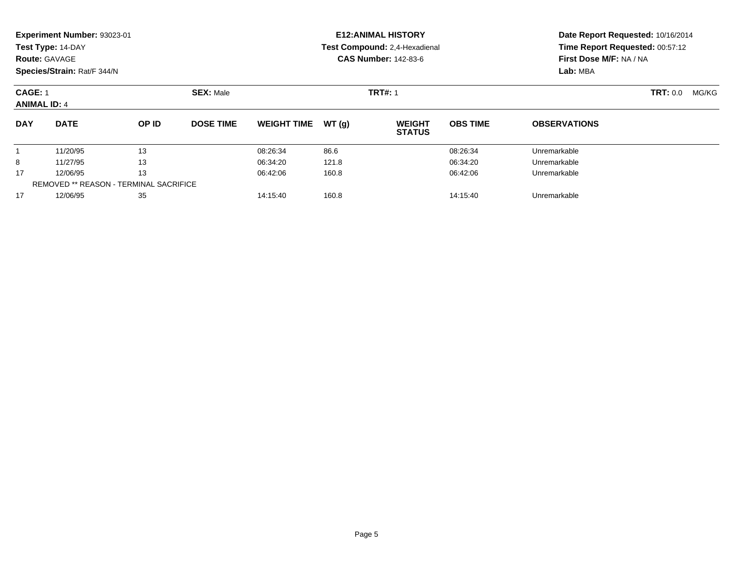|                                               | Experiment Number: 93023-01<br>Test Type: 14-DAY<br><b>Route: GAVAGE</b><br>Species/Strain: Rat/F 344/N |       |                  |                    |       | <b>E12: ANIMAL HISTORY</b><br>Test Compound: 2,4-Hexadienal<br><b>CAS Number: 142-83-6</b> | Date Report Requested: 10/16/2014<br>Time Report Requested: 00:57:12<br>First Dose M/F: NA / NA<br>Lab: MBA |                     |  |
|-----------------------------------------------|---------------------------------------------------------------------------------------------------------|-------|------------------|--------------------|-------|--------------------------------------------------------------------------------------------|-------------------------------------------------------------------------------------------------------------|---------------------|--|
|                                               | CAGE: 1<br><b>ANIMAL ID: 4</b>                                                                          |       | <b>SEX: Male</b> |                    |       | <b>TRT#: 1</b>                                                                             |                                                                                                             | TRT: 0.0<br>MG/KG   |  |
| <b>DAY</b>                                    | <b>DATE</b>                                                                                             | OP ID | <b>DOSE TIME</b> | <b>WEIGHT TIME</b> | WT(g) | <b>WEIGHT</b><br><b>STATUS</b>                                                             | <b>OBS TIME</b>                                                                                             | <b>OBSERVATIONS</b> |  |
|                                               | 11/20/95                                                                                                | 13    |                  | 08:26:34           | 86.6  |                                                                                            | 08:26:34                                                                                                    | Unremarkable        |  |
| 8                                             | 11/27/95                                                                                                | 13    |                  | 06:34:20           | 121.8 |                                                                                            | 06:34:20                                                                                                    | Unremarkable        |  |
| 17                                            | 12/06/95                                                                                                | 13    |                  | 06:42:06           | 160.8 |                                                                                            | 06:42:06                                                                                                    | Unremarkable        |  |
| <b>REMOVED ** REASON - TERMINAL SACRIFICE</b> |                                                                                                         |       |                  |                    |       |                                                                                            |                                                                                                             |                     |  |
| 17                                            | 12/06/95                                                                                                | 35    |                  | 14:15:40           | 160.8 |                                                                                            | 14:15:40                                                                                                    | Unremarkable        |  |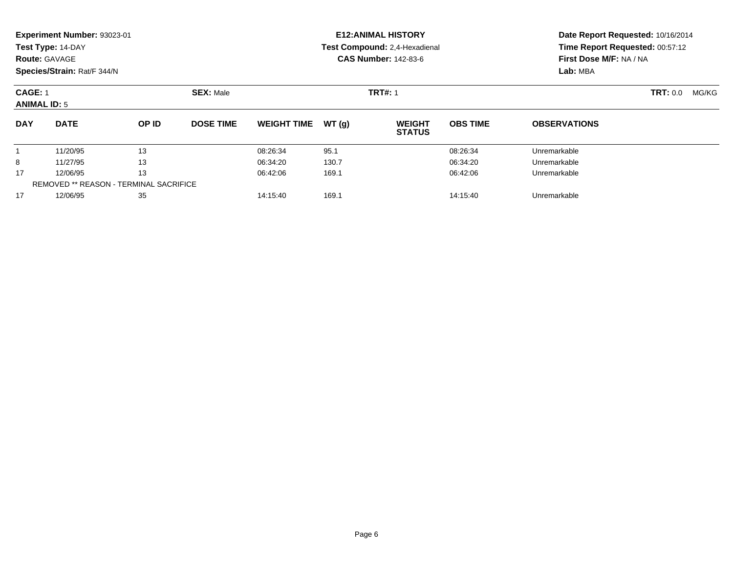| <b>Route: GAVAGE</b>                          | Experiment Number: 93023-01<br>Test Type: 14-DAY<br>Species/Strain: Rat/F 344/N |       |                  |                               |       | <b>E12: ANIMAL HISTORY</b><br>Test Compound: 2,4-Hexadienal<br><b>CAS Number: 142-83-6</b> | Date Report Requested: 10/16/2014<br>Time Report Requested: 00:57:12<br>First Dose M/F: NA / NA<br>Lab: MBA |                     |       |  |
|-----------------------------------------------|---------------------------------------------------------------------------------|-------|------------------|-------------------------------|-------|--------------------------------------------------------------------------------------------|-------------------------------------------------------------------------------------------------------------|---------------------|-------|--|
| <b>CAGE: 1</b>                                | <b>SEX: Male</b><br><b>ANIMAL ID: 5</b>                                         |       |                  |                               |       | <b>TRT#: 1</b>                                                                             |                                                                                                             | <b>TRT:</b> 0.0     | MG/KG |  |
| <b>DAY</b>                                    | <b>DATE</b>                                                                     | OP ID | <b>DOSE TIME</b> | <b>WEIGHT TIME</b>            | WT(g) | <b>WEIGHT</b><br><b>STATUS</b>                                                             | <b>OBS TIME</b>                                                                                             | <b>OBSERVATIONS</b> |       |  |
|                                               | 11/20/95                                                                        | 13    |                  | 08:26:34                      | 95.1  |                                                                                            | 08:26:34                                                                                                    | Unremarkable        |       |  |
| 8                                             | 11/27/95                                                                        | 13    |                  | 06:34:20                      | 130.7 |                                                                                            | 06:34:20                                                                                                    | Unremarkable        |       |  |
| 17                                            | 12/06/95                                                                        | 13    |                  | 06:42:06                      | 169.1 |                                                                                            | 06:42:06                                                                                                    | Unremarkable        |       |  |
| <b>REMOVED ** REASON - TERMINAL SACRIFICE</b> |                                                                                 |       |                  |                               |       |                                                                                            |                                                                                                             |                     |       |  |
| 17                                            | 35<br>12/06/95                                                                  |       |                  | 169.1<br>14:15:40<br>14:15:40 |       |                                                                                            |                                                                                                             | Unremarkable        |       |  |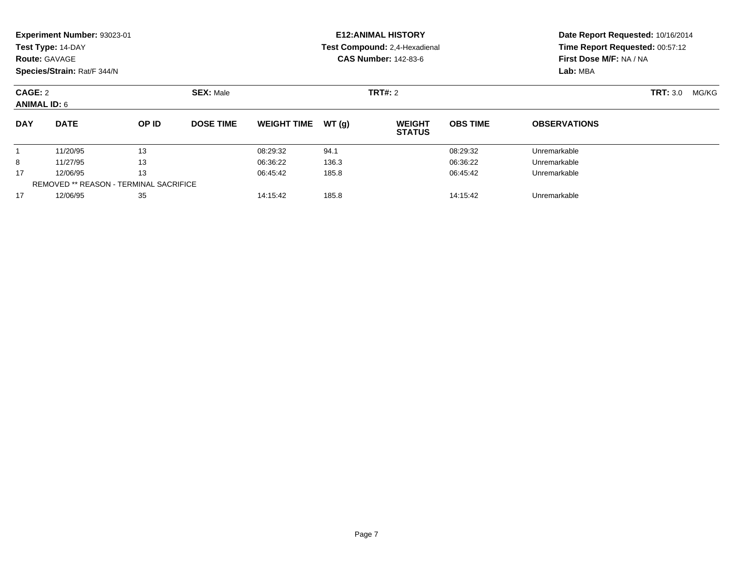|                                | <b>Experiment Number: 93023-01</b> |                                        |                  | <b>E12:ANIMAL HISTORY</b> |       | Date Report Requested: 10/16/2014 |                 |                                                            |  |  |
|--------------------------------|------------------------------------|----------------------------------------|------------------|---------------------------|-------|-----------------------------------|-----------------|------------------------------------------------------------|--|--|
|                                | Test Type: 14-DAY                  |                                        |                  |                           |       | Test Compound: 2,4-Hexadienal     |                 | Time Report Requested: 00:57:12<br>First Dose M/F: NA / NA |  |  |
|                                | <b>Route: GAVAGE</b>               |                                        |                  |                           |       | <b>CAS Number: 142-83-6</b>       |                 |                                                            |  |  |
|                                | Species/Strain: Rat/F 344/N        |                                        |                  |                           |       |                                   |                 | Lab: MBA                                                   |  |  |
| CAGE: 2<br><b>ANIMAL ID: 6</b> |                                    | <b>SEX: Male</b><br><b>TRT#: 2</b>     |                  |                           |       |                                   |                 | <b>TRT: 3.0</b><br>MG/KG                                   |  |  |
| <b>DAY</b>                     | <b>DATE</b>                        | OP ID                                  | <b>DOSE TIME</b> | <b>WEIGHT TIME</b>        | WT(g) | <b>WEIGHT</b><br><b>STATUS</b>    | <b>OBS TIME</b> | <b>OBSERVATIONS</b>                                        |  |  |
|                                | 11/20/95                           | 13                                     |                  | 08:29:32                  | 94.1  |                                   | 08:29:32        | Unremarkable                                               |  |  |
| 8                              | 11/27/95                           | 13                                     |                  | 06:36:22                  | 136.3 |                                   | 06:36:22        | Unremarkable                                               |  |  |
| 17                             | 12/06/95                           | 13                                     |                  | 06:45:42                  | 185.8 |                                   | 06:45:42        | Unremarkable                                               |  |  |
|                                |                                    | REMOVED ** REASON - TERMINAL SACRIFICE |                  |                           |       |                                   |                 |                                                            |  |  |
| 17                             | 12/06/95                           | 35                                     |                  | 14:15:42                  | 185.8 |                                   | 14:15:42        | Unremarkable                                               |  |  |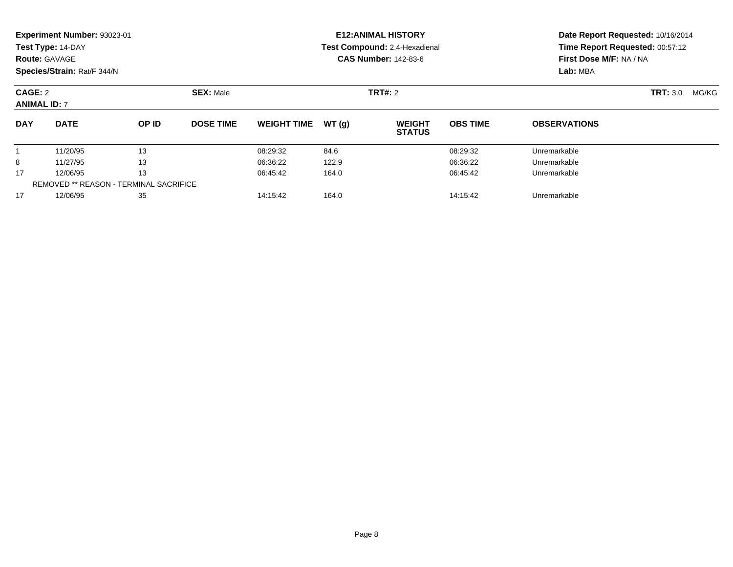|                                | <b>Experiment Number: 93023-01</b> |                                        |                                    | <b>E12:ANIMAL HISTORY</b> |       | Date Report Requested: 10/16/2014 |                         |                                 |  |  |
|--------------------------------|------------------------------------|----------------------------------------|------------------------------------|---------------------------|-------|-----------------------------------|-------------------------|---------------------------------|--|--|
|                                | Test Type: 14-DAY                  |                                        |                                    |                           |       | Test Compound: 2,4-Hexadienal     |                         | Time Report Requested: 00:57:12 |  |  |
|                                | <b>Route: GAVAGE</b>               |                                        |                                    |                           |       | <b>CAS Number: 142-83-6</b>       | First Dose M/F: NA / NA |                                 |  |  |
|                                | Species/Strain: Rat/F 344/N        |                                        |                                    |                           |       |                                   |                         | Lab: MBA                        |  |  |
| CAGE: 2<br><b>ANIMAL ID: 7</b> |                                    |                                        | <b>SEX: Male</b><br><b>TRT#: 2</b> |                           |       |                                   |                         | <b>TRT: 3.0</b><br>MG/KG        |  |  |
| <b>DAY</b>                     | <b>DATE</b>                        | OP ID                                  | <b>DOSE TIME</b>                   | <b>WEIGHT TIME</b>        | WT(g) | <b>WEIGHT</b><br><b>STATUS</b>    | <b>OBS TIME</b>         | <b>OBSERVATIONS</b>             |  |  |
|                                | 11/20/95                           | 13                                     |                                    | 08:29:32                  | 84.6  |                                   | 08:29:32                | Unremarkable                    |  |  |
| 8                              | 11/27/95                           | 13                                     |                                    | 06:36:22                  | 122.9 |                                   | 06:36:22                | Unremarkable                    |  |  |
| 17                             | 12/06/95                           | 13                                     |                                    | 06:45:42                  | 164.0 |                                   | 06:45:42                | Unremarkable                    |  |  |
|                                |                                    | REMOVED ** REASON - TERMINAL SACRIFICE |                                    |                           |       |                                   |                         |                                 |  |  |
| 17                             | 12/06/95                           | 35                                     |                                    | 14:15:42                  | 164.0 |                                   | 14:15:42                | Unremarkable                    |  |  |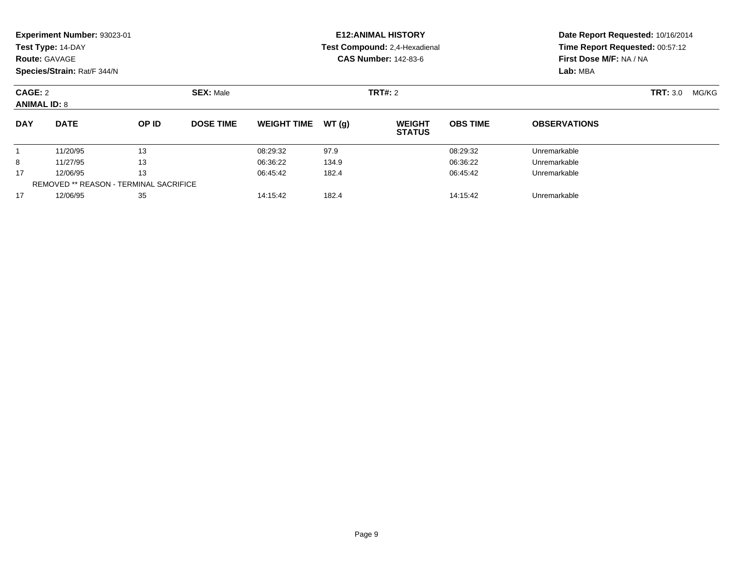|                                | <b>Experiment Number: 93023-01</b> |                                        |                  | <b>E12:ANIMAL HISTORY</b> |       | Date Report Requested: 10/16/2014 |                 |                                                            |  |  |
|--------------------------------|------------------------------------|----------------------------------------|------------------|---------------------------|-------|-----------------------------------|-----------------|------------------------------------------------------------|--|--|
|                                | Test Type: 14-DAY                  |                                        |                  |                           |       | Test Compound: 2,4-Hexadienal     |                 | Time Report Requested: 00:57:12<br>First Dose M/F: NA / NA |  |  |
|                                | <b>Route: GAVAGE</b>               |                                        |                  |                           |       | <b>CAS Number: 142-83-6</b>       |                 |                                                            |  |  |
|                                | Species/Strain: Rat/F 344/N        |                                        |                  |                           |       |                                   |                 | Lab: MBA                                                   |  |  |
| CAGE: 2<br><b>ANIMAL ID: 8</b> |                                    | <b>SEX: Male</b>                       | <b>TRT#: 2</b>   |                           |       |                                   |                 | <b>TRT: 3.0</b><br>MG/KG                                   |  |  |
| <b>DAY</b>                     | <b>DATE</b>                        | OP ID                                  | <b>DOSE TIME</b> | <b>WEIGHT TIME</b>        | WT(g) | <b>WEIGHT</b><br><b>STATUS</b>    | <b>OBS TIME</b> | <b>OBSERVATIONS</b>                                        |  |  |
|                                | 11/20/95                           | 13                                     |                  | 08:29:32                  | 97.9  |                                   | 08:29:32        | Unremarkable                                               |  |  |
| 8                              | 11/27/95                           | 13                                     |                  | 06:36:22                  | 134.9 |                                   | 06:36:22        | Unremarkable                                               |  |  |
| 17                             | 12/06/95                           | 13                                     |                  | 06:45:42                  | 182.4 |                                   | 06:45:42        | Unremarkable                                               |  |  |
|                                |                                    | REMOVED ** REASON - TERMINAL SACRIFICE |                  |                           |       |                                   |                 |                                                            |  |  |
| 17                             | 12/06/95                           | 35                                     |                  | 14:15:42                  | 182.4 |                                   | 14:15:42        | Unremarkable                                               |  |  |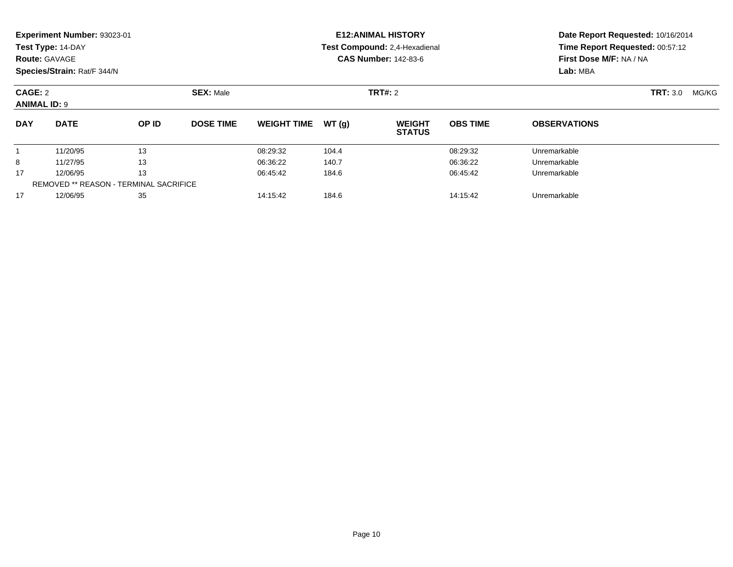| <b>Route: GAVAGE</b>                          | Experiment Number: 93023-01<br>Test Type: 14-DAY<br>Species/Strain: Rat/F 344/N |       |                  |                               |       | <b>E12: ANIMAL HISTORY</b><br>Test Compound: 2,4-Hexadienal<br><b>CAS Number: 142-83-6</b> | Date Report Requested: 10/16/2014<br>Time Report Requested: 00:57:12<br>First Dose M/F: NA / NA<br>Lab: MBA |                          |  |  |
|-----------------------------------------------|---------------------------------------------------------------------------------|-------|------------------|-------------------------------|-------|--------------------------------------------------------------------------------------------|-------------------------------------------------------------------------------------------------------------|--------------------------|--|--|
|                                               | <b>SEX: Male</b><br>CAGE: 2<br><b>ANIMAL ID: 9</b>                              |       |                  |                               |       | TRT#: 2                                                                                    |                                                                                                             | <b>TRT: 3.0</b><br>MG/KG |  |  |
| <b>DAY</b>                                    | <b>DATE</b>                                                                     | OP ID | <b>DOSE TIME</b> | <b>WEIGHT TIME</b>            | WT(g) | <b>WEIGHT</b><br><b>STATUS</b>                                                             | <b>OBS TIME</b>                                                                                             | <b>OBSERVATIONS</b>      |  |  |
|                                               | 11/20/95                                                                        | 13    |                  | 08:29:32                      | 104.4 |                                                                                            | 08:29:32                                                                                                    | Unremarkable             |  |  |
| 8                                             | 11/27/95                                                                        | 13    |                  | 06:36:22                      | 140.7 |                                                                                            | 06:36:22                                                                                                    | Unremarkable             |  |  |
| 17                                            | 12/06/95                                                                        | 13    |                  | 06:45:42                      | 184.6 |                                                                                            | 06:45:42                                                                                                    | Unremarkable             |  |  |
| <b>REMOVED ** REASON - TERMINAL SACRIFICE</b> |                                                                                 |       |                  |                               |       |                                                                                            |                                                                                                             |                          |  |  |
| 17                                            | 12/06/95<br>35                                                                  |       |                  | 184.6<br>14:15:42<br>14:15:42 |       |                                                                                            |                                                                                                             | Unremarkable             |  |  |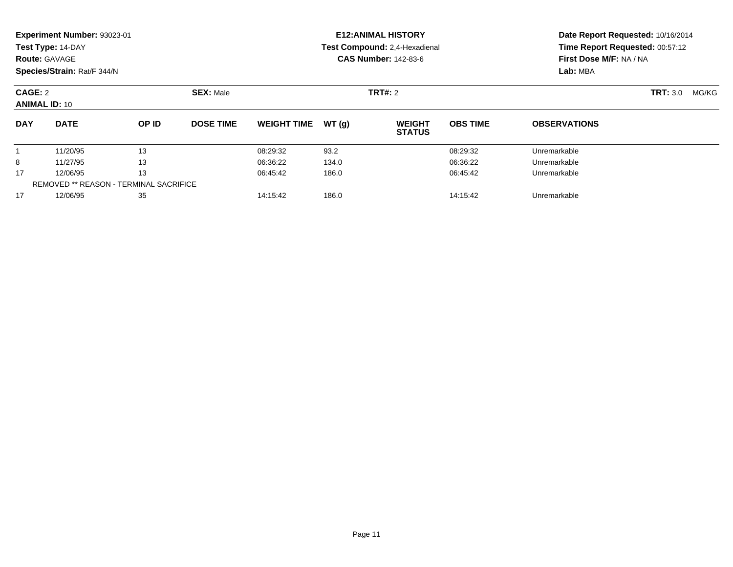| <b>Route: GAVAGE</b>                          | Experiment Number: 93023-01<br>Test Type: 14-DAY<br>Species/Strain: Rat/F 344/N |       |                  |                               |       | <b>E12: ANIMAL HISTORY</b><br>Test Compound: 2,4-Hexadienal<br><b>CAS Number: 142-83-6</b> | Date Report Requested: 10/16/2014<br>Time Report Requested: 00:57:12<br>First Dose M/F: NA / NA<br>Lab: MBA |                          |  |  |
|-----------------------------------------------|---------------------------------------------------------------------------------|-------|------------------|-------------------------------|-------|--------------------------------------------------------------------------------------------|-------------------------------------------------------------------------------------------------------------|--------------------------|--|--|
|                                               | <b>SEX: Male</b><br>CAGE: 2<br><b>ANIMAL ID: 10</b>                             |       |                  |                               |       | TRT#: 2                                                                                    |                                                                                                             | <b>TRT: 3.0</b><br>MG/KG |  |  |
| <b>DAY</b>                                    | <b>DATE</b>                                                                     | OP ID | <b>DOSE TIME</b> | <b>WEIGHT TIME</b>            | WT(g) | <b>WEIGHT</b><br><b>STATUS</b>                                                             | <b>OBS TIME</b>                                                                                             | <b>OBSERVATIONS</b>      |  |  |
|                                               | 11/20/95                                                                        | 13    |                  | 08:29:32                      | 93.2  |                                                                                            | 08:29:32                                                                                                    | Unremarkable             |  |  |
| 8                                             | 11/27/95                                                                        | 13    |                  | 06:36:22                      | 134.0 |                                                                                            | 06:36:22                                                                                                    | Unremarkable             |  |  |
| 17                                            | 12/06/95                                                                        | 13    |                  | 06:45:42                      | 186.0 |                                                                                            | 06:45:42                                                                                                    | Unremarkable             |  |  |
| <b>REMOVED ** REASON - TERMINAL SACRIFICE</b> |                                                                                 |       |                  |                               |       |                                                                                            |                                                                                                             |                          |  |  |
| 17                                            | 12/06/95<br>35                                                                  |       |                  | 186.0<br>14:15:42<br>14:15:42 |       |                                                                                            |                                                                                                             | Unremarkable             |  |  |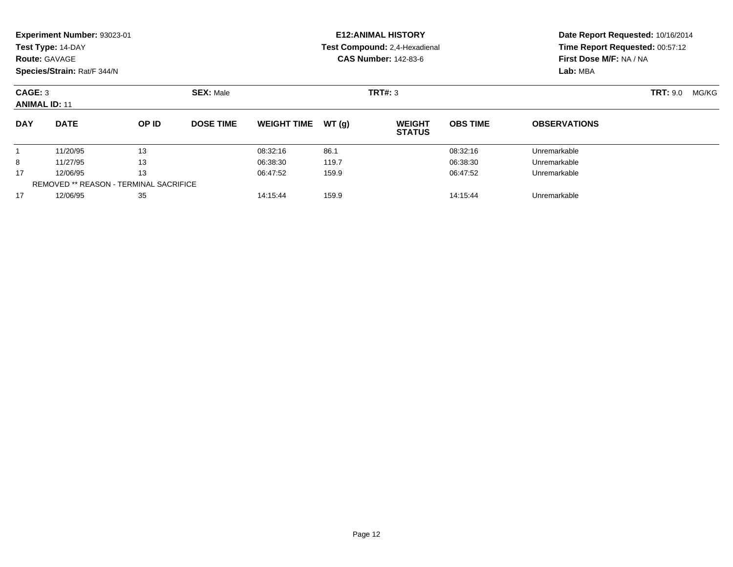|            | Experiment Number: 93023-01<br>Test Type: 14-DAY<br><b>Route: GAVAGE</b><br>Species/Strain: Rat/F 344/N |       |                  |                    |       | <b>E12: ANIMAL HISTORY</b><br>Test Compound: 2,4-Hexadienal<br><b>CAS Number: 142-83-6</b> | Date Report Requested: 10/16/2014<br>Time Report Requested: 00:57:12<br>First Dose M/F: NA / NA<br>Lab: MBA |                          |  |
|------------|---------------------------------------------------------------------------------------------------------|-------|------------------|--------------------|-------|--------------------------------------------------------------------------------------------|-------------------------------------------------------------------------------------------------------------|--------------------------|--|
|            | <b>SEX: Male</b><br>CAGE: 3<br><b>ANIMAL ID: 11</b>                                                     |       |                  |                    |       | TRT#: 3                                                                                    |                                                                                                             | <b>TRT: 9.0</b><br>MG/KG |  |
| <b>DAY</b> | <b>DATE</b>                                                                                             | OP ID | <b>DOSE TIME</b> | <b>WEIGHT TIME</b> | WT(g) | <b>WEIGHT</b><br><b>STATUS</b>                                                             | <b>OBS TIME</b>                                                                                             | <b>OBSERVATIONS</b>      |  |
|            | 11/20/95                                                                                                | 13    |                  | 08:32:16           | 86.1  |                                                                                            | 08:32:16                                                                                                    | Unremarkable             |  |
| 8          | 11/27/95                                                                                                | 13    |                  | 06:38:30           | 119.7 |                                                                                            | 06:38:30                                                                                                    | Unremarkable             |  |
| 17         | 12/06/95                                                                                                | 13    |                  | 06:47:52           | 159.9 |                                                                                            | 06:47:52                                                                                                    | Unremarkable             |  |
| 17         | <b>REMOVED ** REASON - TERMINAL SACRIFICE</b><br>12/06/95<br>35                                         |       | 14:15:44         | 159.9              |       | 14:15:44                                                                                   | Unremarkable                                                                                                |                          |  |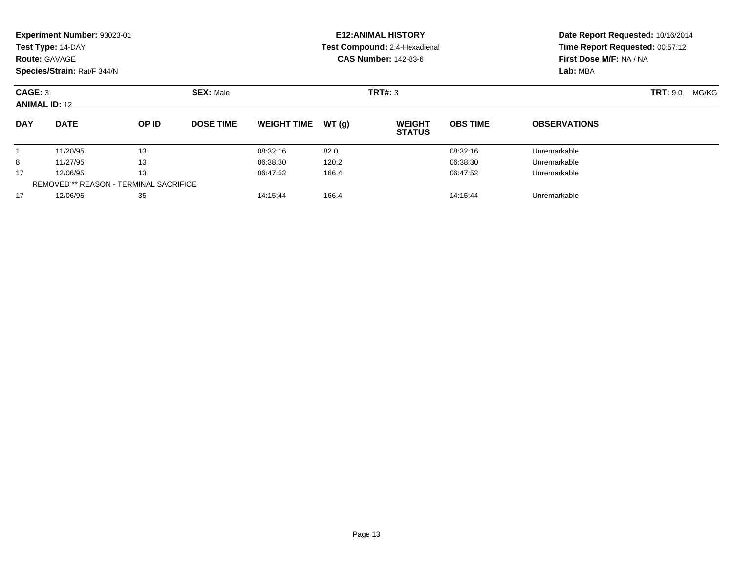|                      | Experiment Number: 93023-01<br>Test Type: 14-DAY<br><b>Route: GAVAGE</b><br>Species/Strain: Rat/F 344/N |       |                  |                    |       | <b>E12: ANIMAL HISTORY</b><br>Test Compound: 2,4-Hexadienal<br><b>CAS Number: 142-83-6</b> | Date Report Requested: 10/16/2014<br>Time Report Requested: 00:57:12<br>First Dose M/F: NA / NA<br>Lab: MBA |                          |  |
|----------------------|---------------------------------------------------------------------------------------------------------|-------|------------------|--------------------|-------|--------------------------------------------------------------------------------------------|-------------------------------------------------------------------------------------------------------------|--------------------------|--|
| CAGE: 3              | <b>SEX: Male</b><br><b>ANIMAL ID: 12</b>                                                                |       |                  |                    |       | TRT#: 3                                                                                    |                                                                                                             | <b>TRT:</b> 9.0<br>MG/KG |  |
| <b>DAY</b>           | <b>DATE</b>                                                                                             | OP ID | <b>DOSE TIME</b> | <b>WEIGHT TIME</b> | WT(g) | <b>WEIGHT</b><br><b>STATUS</b>                                                             | <b>OBS TIME</b>                                                                                             | <b>OBSERVATIONS</b>      |  |
|                      | 11/20/95                                                                                                | 13    |                  | 08:32:16           | 82.0  |                                                                                            | 08:32:16                                                                                                    | Unremarkable             |  |
| 8                    | 11/27/95                                                                                                | 13    |                  | 06:38:30           | 120.2 |                                                                                            | 06:38:30                                                                                                    | Unremarkable             |  |
| 13<br>17<br>12/06/95 |                                                                                                         |       | 06:47:52         | 166.4              |       | 06:47:52                                                                                   | Unremarkable                                                                                                |                          |  |
| 17                   | <b>REMOVED ** REASON - TERMINAL SACRIFICE</b>                                                           |       |                  | 14:15:44           |       |                                                                                            |                                                                                                             |                          |  |
|                      | 12/06/95<br>35                                                                                          |       |                  | 14:15:44           | 166.4 |                                                                                            | Unremarkable                                                                                                |                          |  |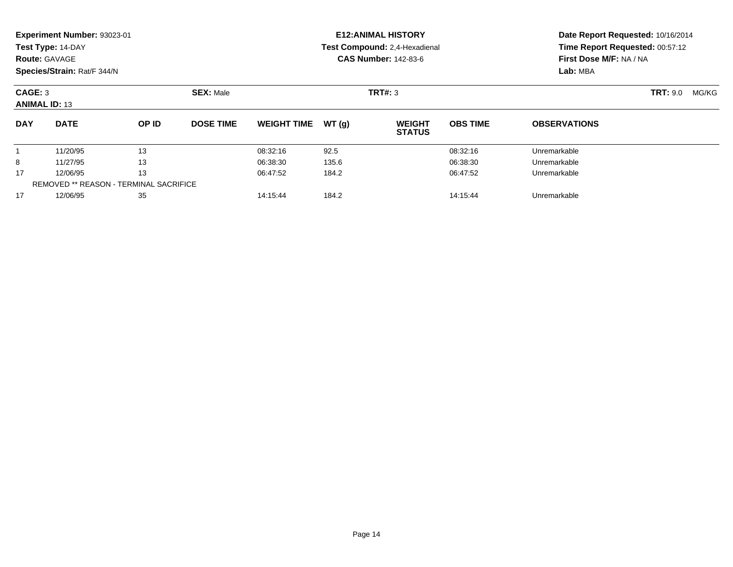|                                                                       | Experiment Number: 93023-01<br>Test Type: 14-DAY<br><b>Route: GAVAGE</b><br>Species/Strain: Rat/F 344/N |       |                               |                    |       | <b>E12: ANIMAL HISTORY</b><br>Test Compound: 2,4-Hexadienal<br><b>CAS Number: 142-83-6</b> | Date Report Requested: 10/16/2014<br>Time Report Requested: 00:57:12<br>First Dose M/F: NA / NA<br>Lab: MBA |                          |  |
|-----------------------------------------------------------------------|---------------------------------------------------------------------------------------------------------|-------|-------------------------------|--------------------|-------|--------------------------------------------------------------------------------------------|-------------------------------------------------------------------------------------------------------------|--------------------------|--|
| CAGE: 3                                                               | <b>SEX: Male</b><br><b>ANIMAL ID: 13</b>                                                                |       |                               |                    |       | TRT#: 3                                                                                    |                                                                                                             | <b>TRT:</b> 9.0<br>MG/KG |  |
| <b>DAY</b>                                                            | <b>DATE</b>                                                                                             | OP ID | <b>DOSE TIME</b>              | <b>WEIGHT TIME</b> | WT(g) | <b>WEIGHT</b><br><b>STATUS</b>                                                             | <b>OBS TIME</b>                                                                                             | <b>OBSERVATIONS</b>      |  |
|                                                                       | 11/20/95                                                                                                | 13    |                               | 08:32:16           | 92.5  |                                                                                            | 08:32:16                                                                                                    | Unremarkable             |  |
| 8                                                                     | 11/27/95                                                                                                | 13    |                               | 06:38:30           | 135.6 |                                                                                            | 06:38:30                                                                                                    | Unremarkable             |  |
| 13<br>17<br>12/06/95<br><b>REMOVED ** REASON - TERMINAL SACRIFICE</b> |                                                                                                         |       | 06:47:52                      | 184.2              |       | 06:47:52                                                                                   | Unremarkable                                                                                                |                          |  |
| 17<br>12/06/95<br>35                                                  |                                                                                                         |       | 184.2<br>14:15:44<br>14:15:44 |                    |       |                                                                                            | Unremarkable                                                                                                |                          |  |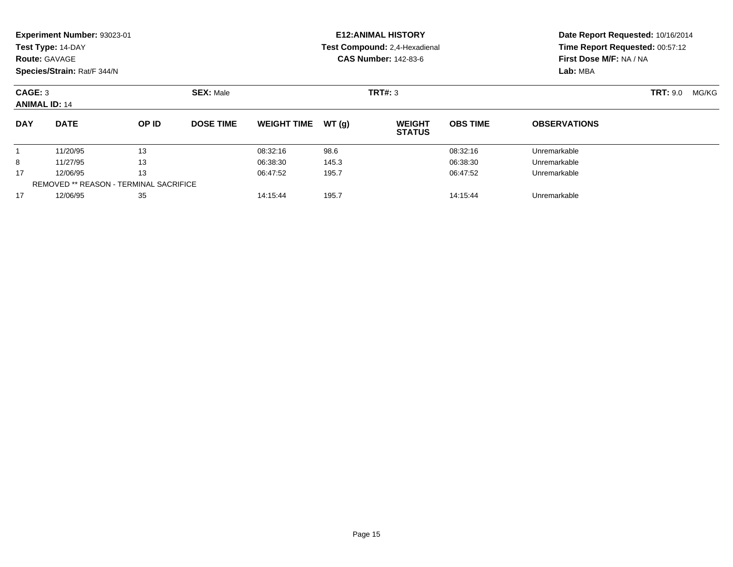| <b>Route: GAVAGE</b> | Experiment Number: 93023-01<br>Test Type: 14-DAY<br>Species/Strain: Rat/F 344/N |       |                  |                               |       | <b>E12: ANIMAL HISTORY</b><br>Test Compound: 2,4-Hexadienal<br><b>CAS Number: 142-83-6</b> | Date Report Requested: 10/16/2014<br>Time Report Requested: 00:57:12<br>First Dose M/F: NA / NA<br>Lab: MBA |                          |  |
|----------------------|---------------------------------------------------------------------------------|-------|------------------|-------------------------------|-------|--------------------------------------------------------------------------------------------|-------------------------------------------------------------------------------------------------------------|--------------------------|--|
| CAGE: 3              | <b>SEX: Male</b><br><b>ANIMAL ID: 14</b>                                        |       |                  |                               |       | TRT#: 3                                                                                    |                                                                                                             | <b>TRT:</b> 9.0<br>MG/KG |  |
| <b>DAY</b>           | <b>DATE</b>                                                                     | OP ID | <b>DOSE TIME</b> | <b>WEIGHT TIME</b>            | WT(g) | <b>WEIGHT</b><br><b>STATUS</b>                                                             | <b>OBS TIME</b>                                                                                             | <b>OBSERVATIONS</b>      |  |
|                      | 11/20/95                                                                        | 13    |                  | 08:32:16                      | 98.6  |                                                                                            | 08:32:16                                                                                                    | Unremarkable             |  |
| 8                    | 11/27/95                                                                        | 13    |                  | 06:38:30                      | 145.3 |                                                                                            | 06:38:30                                                                                                    | Unremarkable             |  |
| 13<br>17<br>12/06/95 |                                                                                 |       | 06:47:52         | 195.7                         |       | 06:47:52                                                                                   | Unremarkable                                                                                                |                          |  |
| 17                   | <b>REMOVED ** REASON - TERMINAL SACRIFICE</b><br>12/06/95<br>35                 |       |                  | 14:15:44<br>195.7<br>14:15:44 |       |                                                                                            |                                                                                                             | Unremarkable             |  |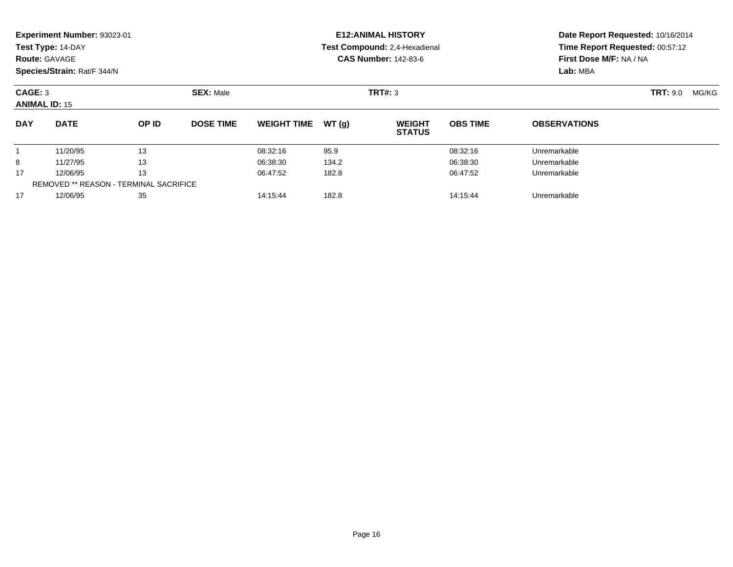| <b>Route: GAVAGE</b>                                                  | Experiment Number: 93023-01<br>Test Type: 14-DAY<br>Species/Strain: Rat/F 344/N |       |                  |                               |       | <b>E12: ANIMAL HISTORY</b><br>Test Compound: 2,4-Hexadienal<br><b>CAS Number: 142-83-6</b> | Date Report Requested: 10/16/2014<br>Time Report Requested: 00:57:12<br>First Dose M/F: NA / NA<br>Lab: MBA |                          |  |
|-----------------------------------------------------------------------|---------------------------------------------------------------------------------|-------|------------------|-------------------------------|-------|--------------------------------------------------------------------------------------------|-------------------------------------------------------------------------------------------------------------|--------------------------|--|
| CAGE: 3                                                               | <b>SEX: Male</b><br><b>ANIMAL ID: 15</b>                                        |       |                  |                               |       | TRT#: 3                                                                                    |                                                                                                             | <b>TRT:</b> 9.0<br>MG/KG |  |
| <b>DAY</b>                                                            | <b>DATE</b>                                                                     | OP ID | <b>DOSE TIME</b> | <b>WEIGHT TIME</b>            | WT(g) | <b>WEIGHT</b><br><b>STATUS</b>                                                             | <b>OBS TIME</b>                                                                                             | <b>OBSERVATIONS</b>      |  |
|                                                                       | 11/20/95                                                                        | 13    |                  | 08:32:16                      | 95.9  |                                                                                            | 08:32:16                                                                                                    | Unremarkable             |  |
| 8                                                                     | 11/27/95                                                                        | 13    |                  | 06:38:30                      | 134.2 |                                                                                            | 06:38:30                                                                                                    | Unremarkable             |  |
| 13<br>17<br>12/06/95<br><b>REMOVED ** REASON - TERMINAL SACRIFICE</b> |                                                                                 |       | 06:47:52         | 182.8                         |       | 06:47:52                                                                                   | Unremarkable                                                                                                |                          |  |
| 17                                                                    | 12/06/95<br>35                                                                  |       |                  | 14:15:44<br>182.8<br>14:15:44 |       |                                                                                            |                                                                                                             | Unremarkable             |  |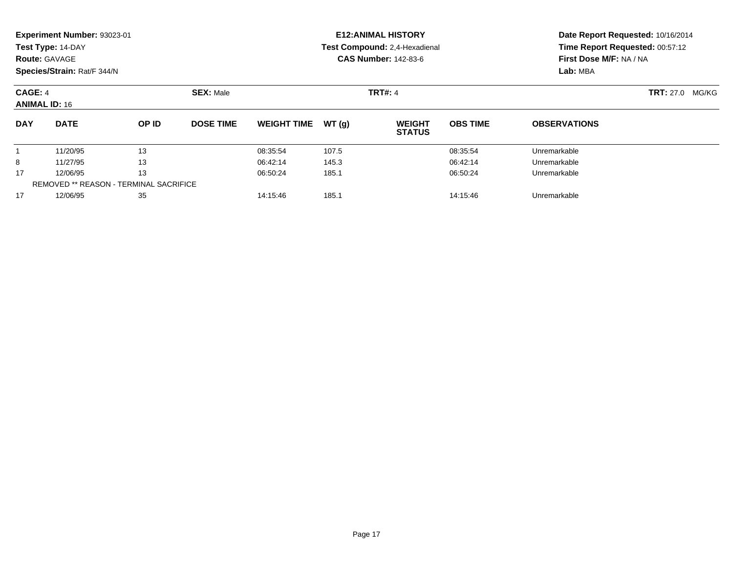| <b>Route: GAVAGE</b>                                                  | Experiment Number: 93023-01<br>Test Type: 14-DAY<br>Species/Strain: Rat/F 344/N |          |                  |                    |          | <b>E12: ANIMAL HISTORY</b><br>Test Compound: 2,4-Hexadienal<br><b>CAS Number: 142-83-6</b> | Date Report Requested: 10/16/2014<br>Time Report Requested: 00:57:12<br>First Dose M/F: NA / NA<br>Lab: MBA |                           |  |
|-----------------------------------------------------------------------|---------------------------------------------------------------------------------|----------|------------------|--------------------|----------|--------------------------------------------------------------------------------------------|-------------------------------------------------------------------------------------------------------------|---------------------------|--|
| CAGE: 4<br><b>ANIMAL ID: 16</b>                                       |                                                                                 |          | <b>SEX: Male</b> |                    |          | <b>TRT#: 4</b>                                                                             |                                                                                                             | <b>TRT:</b> 27.0<br>MG/KG |  |
| <b>DAY</b>                                                            | <b>DATE</b>                                                                     | OP ID    | <b>DOSE TIME</b> | <b>WEIGHT TIME</b> | WT(q)    | <b>WEIGHT</b><br><b>STATUS</b>                                                             | <b>OBS TIME</b>                                                                                             | <b>OBSERVATIONS</b>       |  |
|                                                                       | 11/20/95                                                                        | 13       |                  | 08:35:54           | 107.5    |                                                                                            | 08:35:54                                                                                                    | Unremarkable              |  |
| 8                                                                     | 11/27/95                                                                        | 13       |                  | 06:42:14           | 145.3    |                                                                                            | 06:42:14                                                                                                    | Unremarkable              |  |
| 13<br>17<br>12/06/95<br><b>REMOVED ** REASON - TERMINAL SACRIFICE</b> |                                                                                 | 06:50:24 | 185.1            |                    | 06:50:24 | Unremarkable                                                                               |                                                                                                             |                           |  |
| 17                                                                    | 12/06/95                                                                        | 35       |                  | 14:15:46           | 185.1    |                                                                                            | 14:15:46                                                                                                    | Unremarkable              |  |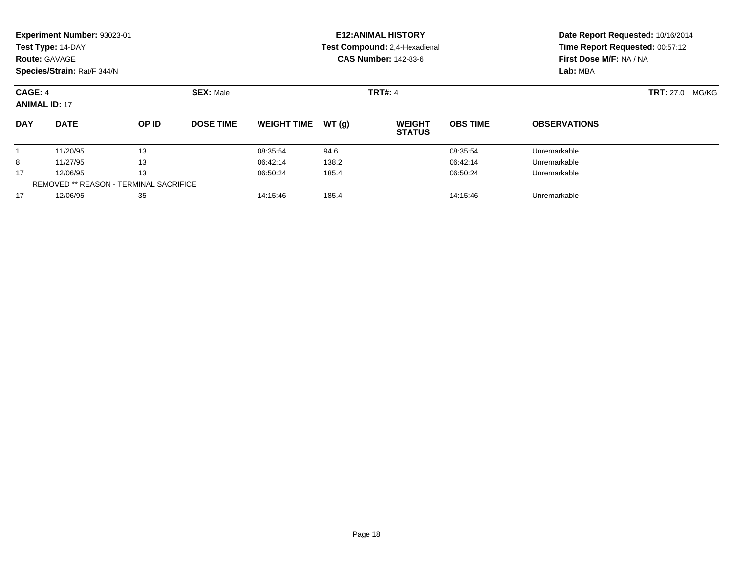| <b>Route: GAVAGE</b>                                                  | Experiment Number: 93023-01<br>Test Type: 14-DAY<br>Species/Strain: Rat/F 344/N |       |                  |                               |       | <b>E12: ANIMAL HISTORY</b><br>Test Compound: 2,4-Hexadienal<br><b>CAS Number: 142-83-6</b> | Date Report Requested: 10/16/2014<br>Time Report Requested: 00:57:12<br>First Dose M/F: NA / NA<br>Lab: MBA |                           |  |
|-----------------------------------------------------------------------|---------------------------------------------------------------------------------|-------|------------------|-------------------------------|-------|--------------------------------------------------------------------------------------------|-------------------------------------------------------------------------------------------------------------|---------------------------|--|
| CAGE: 4                                                               | <b>SEX: Male</b><br><b>ANIMAL ID: 17</b>                                        |       |                  |                               |       | <b>TRT#: 4</b>                                                                             |                                                                                                             | <b>TRT:</b> 27.0<br>MG/KG |  |
| <b>DAY</b>                                                            | <b>DATE</b>                                                                     | OP ID | <b>DOSE TIME</b> | <b>WEIGHT TIME</b>            | WT(g) | <b>WEIGHT</b><br><b>STATUS</b>                                                             | <b>OBS TIME</b>                                                                                             | <b>OBSERVATIONS</b>       |  |
|                                                                       | 11/20/95                                                                        | 13    |                  | 08:35:54                      | 94.6  |                                                                                            | 08:35:54                                                                                                    | Unremarkable              |  |
| 8                                                                     | 11/27/95                                                                        | 13    |                  | 06:42:14                      | 138.2 |                                                                                            | 06:42:14                                                                                                    | Unremarkable              |  |
| 13<br>17<br>12/06/95<br><b>REMOVED ** REASON - TERMINAL SACRIFICE</b> |                                                                                 |       | 06:50:24         | 185.4                         |       | 06:50:24                                                                                   | Unremarkable                                                                                                |                           |  |
| 17                                                                    | 35<br>12/06/95                                                                  |       |                  | 185.4<br>14:15:46<br>14:15:46 |       |                                                                                            |                                                                                                             | Unremarkable              |  |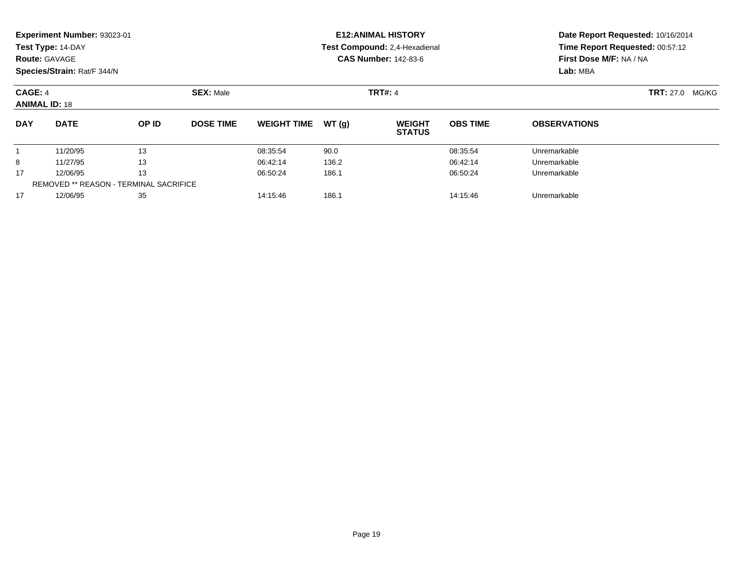| <b>Route: GAVAGE</b>            | Experiment Number: 93023-01<br>Test Type: 14-DAY<br>Species/Strain: Rat/F 344/N |       |                  |                    |       | <b>E12: ANIMAL HISTORY</b><br>Test Compound: 2,4-Hexadienal<br><b>CAS Number: 142-83-6</b> | Date Report Requested: 10/16/2014<br>Time Report Requested: 00:57:12<br>First Dose M/F: NA / NA<br>Lab: MBA |                           |  |
|---------------------------------|---------------------------------------------------------------------------------|-------|------------------|--------------------|-------|--------------------------------------------------------------------------------------------|-------------------------------------------------------------------------------------------------------------|---------------------------|--|
| CAGE: 4<br><b>ANIMAL ID: 18</b> |                                                                                 |       | <b>SEX: Male</b> |                    |       | <b>TRT#: 4</b>                                                                             |                                                                                                             | <b>TRT:</b> 27.0<br>MG/KG |  |
| <b>DAY</b>                      | <b>DATE</b>                                                                     | OP ID | <b>DOSE TIME</b> | <b>WEIGHT TIME</b> | WT(q) | <b>WEIGHT</b><br><b>STATUS</b>                                                             | <b>OBS TIME</b>                                                                                             | <b>OBSERVATIONS</b>       |  |
|                                 | 11/20/95                                                                        | 13    |                  | 08:35:54           | 90.0  |                                                                                            | 08:35:54                                                                                                    | Unremarkable              |  |
| 8                               | 11/27/95                                                                        | 13    |                  | 06:42:14           | 136.2 |                                                                                            | 06:42:14                                                                                                    | Unremarkable              |  |
| 17                              | 13<br>12/06/95<br><b>REMOVED ** REASON - TERMINAL SACRIFICE</b>                 |       |                  | 06:50:24           | 186.1 |                                                                                            | 06:50:24                                                                                                    | Unremarkable              |  |
| 17                              | 12/06/95                                                                        | 35    |                  | 14:15:46           | 186.1 |                                                                                            | 14:15:46                                                                                                    | Unremarkable              |  |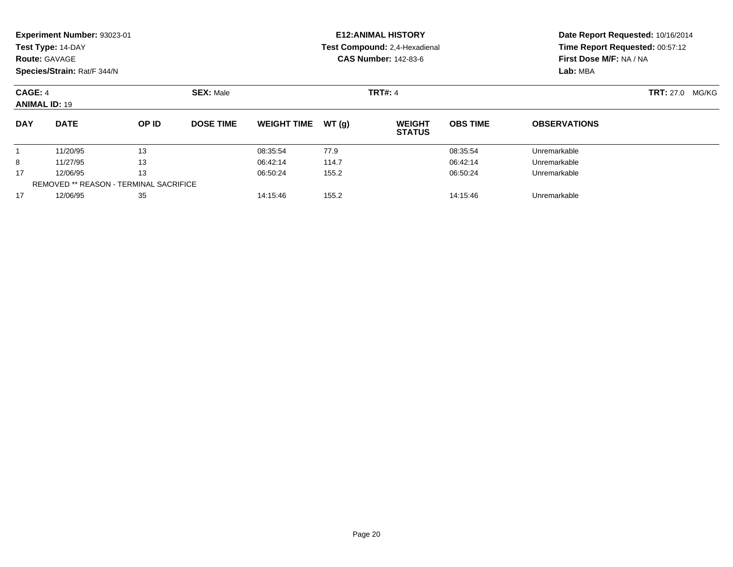| <b>Route: GAVAGE</b>                                                  | Experiment Number: 93023-01<br>Test Type: 14-DAY<br>Species/Strain: Rat/F 344/N |       |                               |                               |       | <b>E12: ANIMAL HISTORY</b><br>Test Compound: 2,4-Hexadienal<br><b>CAS Number: 142-83-6</b> | Date Report Requested: 10/16/2014<br>Time Report Requested: 00:57:12<br>First Dose M/F: NA / NA<br>Lab: MBA |                           |  |
|-----------------------------------------------------------------------|---------------------------------------------------------------------------------|-------|-------------------------------|-------------------------------|-------|--------------------------------------------------------------------------------------------|-------------------------------------------------------------------------------------------------------------|---------------------------|--|
| CAGE: 4                                                               | <b>SEX: Male</b><br><b>ANIMAL ID: 19</b>                                        |       |                               |                               |       | <b>TRT#: 4</b>                                                                             |                                                                                                             | <b>TRT:</b> 27.0<br>MG/KG |  |
| <b>DAY</b>                                                            | <b>DATE</b>                                                                     | OP ID | <b>DOSE TIME</b>              | <b>WEIGHT TIME</b>            | WT(g) | <b>WEIGHT</b><br><b>STATUS</b>                                                             | <b>OBS TIME</b>                                                                                             | <b>OBSERVATIONS</b>       |  |
|                                                                       | 11/20/95                                                                        | 13    |                               | 08:35:54                      | 77.9  |                                                                                            | 08:35:54                                                                                                    | Unremarkable              |  |
| 8                                                                     | 11/27/95                                                                        | 13    |                               | 06:42:14                      | 114.7 |                                                                                            | 06:42:14                                                                                                    | Unremarkable              |  |
| 13<br>17<br>12/06/95<br><b>REMOVED ** REASON - TERMINAL SACRIFICE</b> |                                                                                 |       | 06:50:24<br>155.2<br>06:50:24 |                               |       |                                                                                            | Unremarkable                                                                                                |                           |  |
| 17                                                                    | 35<br>12/06/95                                                                  |       |                               | 155.2<br>14:15:46<br>14:15:46 |       |                                                                                            |                                                                                                             | Unremarkable              |  |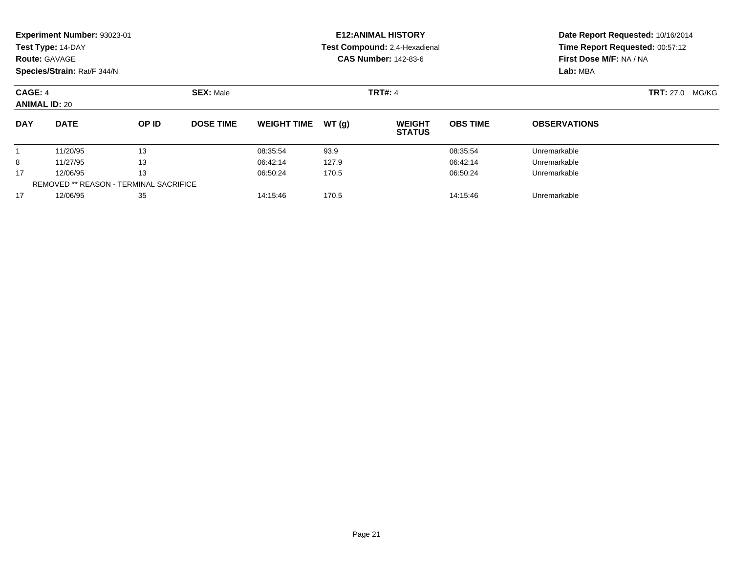| <b>Route: GAVAGE</b>                                                  | Experiment Number: 93023-01<br>Test Type: 14-DAY<br>Species/Strain: Rat/F 344/N |       |                  |                               |       | <b>E12: ANIMAL HISTORY</b><br>Test Compound: 2,4-Hexadienal<br><b>CAS Number: 142-83-6</b> | Date Report Requested: 10/16/2014<br>Time Report Requested: 00:57:12<br>First Dose M/F: NA / NA<br>Lab: MBA |                     |                           |
|-----------------------------------------------------------------------|---------------------------------------------------------------------------------|-------|------------------|-------------------------------|-------|--------------------------------------------------------------------------------------------|-------------------------------------------------------------------------------------------------------------|---------------------|---------------------------|
| CAGE: 4                                                               | <b>SEX: Male</b><br><b>ANIMAL ID: 20</b>                                        |       |                  |                               |       | <b>TRT#: 4</b>                                                                             |                                                                                                             |                     | <b>TRT:</b> 27.0<br>MG/KG |
| <b>DAY</b>                                                            | <b>DATE</b>                                                                     | OP ID | <b>DOSE TIME</b> | <b>WEIGHT TIME</b>            | WT(g) | <b>WEIGHT</b><br><b>STATUS</b>                                                             | <b>OBS TIME</b>                                                                                             | <b>OBSERVATIONS</b> |                           |
|                                                                       | 11/20/95                                                                        | 13    |                  | 08:35:54                      | 93.9  |                                                                                            | 08:35:54                                                                                                    | Unremarkable        |                           |
| 8                                                                     | 11/27/95                                                                        | 13    |                  | 06:42:14                      | 127.9 |                                                                                            | 06:42:14                                                                                                    | Unremarkable        |                           |
| 13<br>17<br>12/06/95<br><b>REMOVED ** REASON - TERMINAL SACRIFICE</b> |                                                                                 |       | 06:50:24         | 170.5                         |       | 06:50:24                                                                                   | Unremarkable                                                                                                |                     |                           |
| 17                                                                    | 35<br>12/06/95                                                                  |       |                  | 170.5<br>14:15:46<br>14:15:46 |       |                                                                                            |                                                                                                             | Unremarkable        |                           |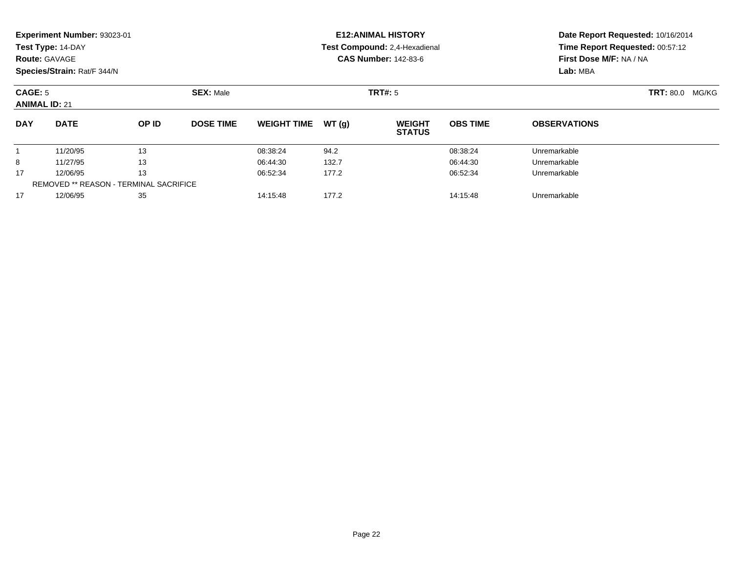| <b>Route: GAVAGE</b> | Experiment Number: 93023-01<br>Test Type: 14-DAY<br>Species/Strain: Rat/F 344/N |       |                  |                               |       | <b>E12: ANIMAL HISTORY</b><br>Test Compound: 2,4-Hexadienal<br><b>CAS Number: 142-83-6</b> | Date Report Requested: 10/16/2014<br>Time Report Requested: 00:57:12<br>First Dose M/F: NA / NA<br>Lab: MBA |                     |       |
|----------------------|---------------------------------------------------------------------------------|-------|------------------|-------------------------------|-------|--------------------------------------------------------------------------------------------|-------------------------------------------------------------------------------------------------------------|---------------------|-------|
| CAGE: 5              | <b>SEX: Male</b><br><b>ANIMAL ID: 21</b>                                        |       |                  |                               |       | TRT#: 5                                                                                    |                                                                                                             | <b>TRT: 80.0</b>    | MG/KG |
| <b>DAY</b>           | <b>DATE</b>                                                                     | OP ID | <b>DOSE TIME</b> | <b>WEIGHT TIME</b>            | WT(g) | <b>WEIGHT</b><br><b>STATUS</b>                                                             | <b>OBS TIME</b>                                                                                             | <b>OBSERVATIONS</b> |       |
|                      | 11/20/95                                                                        | 13    |                  | 08:38:24                      | 94.2  |                                                                                            | 08:38:24                                                                                                    | Unremarkable        |       |
| 8                    | 11/27/95                                                                        | 13    |                  | 06:44:30                      | 132.7 |                                                                                            | 06:44:30                                                                                                    | Unremarkable        |       |
| 17                   | 13<br>12/06/95                                                                  |       |                  | 06:52:34                      | 177.2 |                                                                                            | 06:52:34                                                                                                    | Unremarkable        |       |
|                      | <b>REMOVED ** REASON - TERMINAL SACRIFICE</b>                                   |       |                  |                               |       |                                                                                            |                                                                                                             |                     |       |
| 17                   | 12/06/95<br>35                                                                  |       |                  | 177.2<br>14:15:48<br>14:15:48 |       |                                                                                            | Unremarkable                                                                                                |                     |       |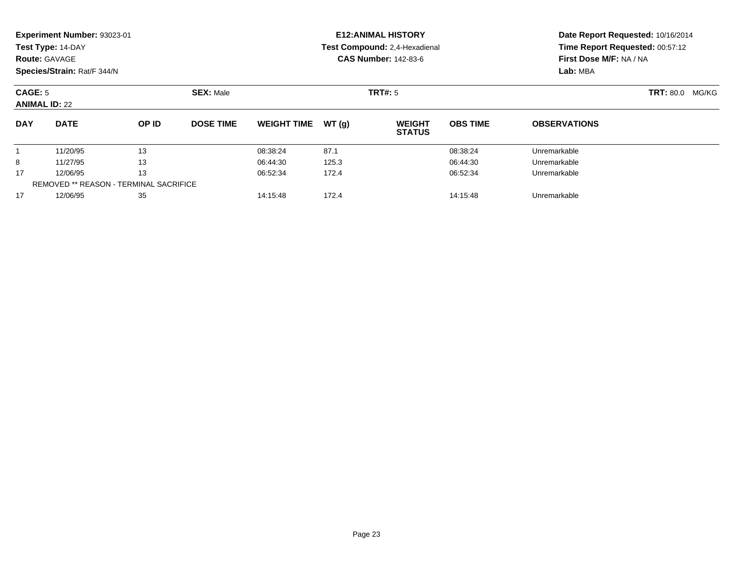|                                                                       | Experiment Number: 93023-01<br>Test Type: 14-DAY<br><b>Route: GAVAGE</b><br>Species/Strain: Rat/F 344/N |       |                  |                               |       | <b>E12: ANIMAL HISTORY</b><br>Test Compound: 2,4-Hexadienal<br><b>CAS Number: 142-83-6</b> | Date Report Requested: 10/16/2014<br>Time Report Requested: 00:57:12<br>First Dose M/F: NA / NA<br>Lab: MBA |                     |  |
|-----------------------------------------------------------------------|---------------------------------------------------------------------------------------------------------|-------|------------------|-------------------------------|-------|--------------------------------------------------------------------------------------------|-------------------------------------------------------------------------------------------------------------|---------------------|--|
| CAGE: 5<br><b>ANIMAL ID: 22</b>                                       |                                                                                                         |       |                  | TRT#: 5                       |       | <b>TRT: 80.0 MG/KG</b>                                                                     |                                                                                                             |                     |  |
| <b>DAY</b>                                                            | <b>DATE</b>                                                                                             | OP ID | <b>DOSE TIME</b> | <b>WEIGHT TIME</b>            | WT(g) | <b>WEIGHT</b><br><b>STATUS</b>                                                             | <b>OBS TIME</b>                                                                                             | <b>OBSERVATIONS</b> |  |
|                                                                       | 11/20/95                                                                                                | 13    |                  | 08:38:24                      | 87.1  |                                                                                            | 08:38:24                                                                                                    | Unremarkable        |  |
| 8                                                                     | 11/27/95                                                                                                | 13    |                  | 06:44:30                      | 125.3 |                                                                                            | 06:44:30                                                                                                    | Unremarkable        |  |
| 13<br>17<br>12/06/95<br><b>REMOVED ** REASON - TERMINAL SACRIFICE</b> |                                                                                                         |       | 06:52:34         | 172.4                         |       | 06:52:34                                                                                   | Unremarkable                                                                                                |                     |  |
| 17                                                                    | 12/06/95<br>35                                                                                          |       |                  | 14:15:48<br>172.4<br>14:15:48 |       |                                                                                            |                                                                                                             | Unremarkable        |  |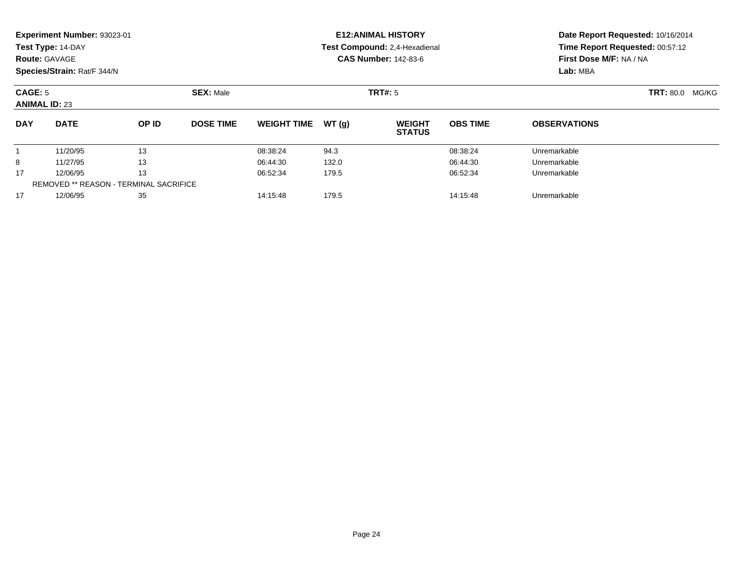|                                                                       | Experiment Number: 93023-01<br>Test Type: 14-DAY<br><b>Route: GAVAGE</b><br>Species/Strain: Rat/F 344/N |       |                  |                               |       | <b>E12: ANIMAL HISTORY</b><br>Test Compound: 2,4-Hexadienal<br><b>CAS Number: 142-83-6</b> | Date Report Requested: 10/16/2014<br>Time Report Requested: 00:57:12<br>First Dose M/F: NA / NA<br>Lab: MBA |                     |  |
|-----------------------------------------------------------------------|---------------------------------------------------------------------------------------------------------|-------|------------------|-------------------------------|-------|--------------------------------------------------------------------------------------------|-------------------------------------------------------------------------------------------------------------|---------------------|--|
| CAGE: 5<br><b>ANIMAL ID: 23</b>                                       |                                                                                                         |       |                  | TRT#: 5                       |       | <b>TRT: 80.0 MG/KG</b>                                                                     |                                                                                                             |                     |  |
| <b>DAY</b>                                                            | <b>DATE</b>                                                                                             | OP ID | <b>DOSE TIME</b> | <b>WEIGHT TIME</b>            | WT(g) | <b>WEIGHT</b><br><b>STATUS</b>                                                             | <b>OBS TIME</b>                                                                                             | <b>OBSERVATIONS</b> |  |
|                                                                       | 11/20/95                                                                                                | 13    |                  | 08:38:24                      | 94.3  |                                                                                            | 08:38:24                                                                                                    | Unremarkable        |  |
| 8                                                                     | 11/27/95                                                                                                | 13    |                  | 06:44:30                      | 132.0 |                                                                                            | 06:44:30                                                                                                    | Unremarkable        |  |
| 13<br>17<br>12/06/95<br><b>REMOVED ** REASON - TERMINAL SACRIFICE</b> |                                                                                                         |       | 06:52:34         | 179.5                         |       | 06:52:34                                                                                   | Unremarkable                                                                                                |                     |  |
| 17                                                                    | 12/06/95<br>35                                                                                          |       |                  | 14:15:48<br>179.5<br>14:15:48 |       |                                                                                            |                                                                                                             | Unremarkable        |  |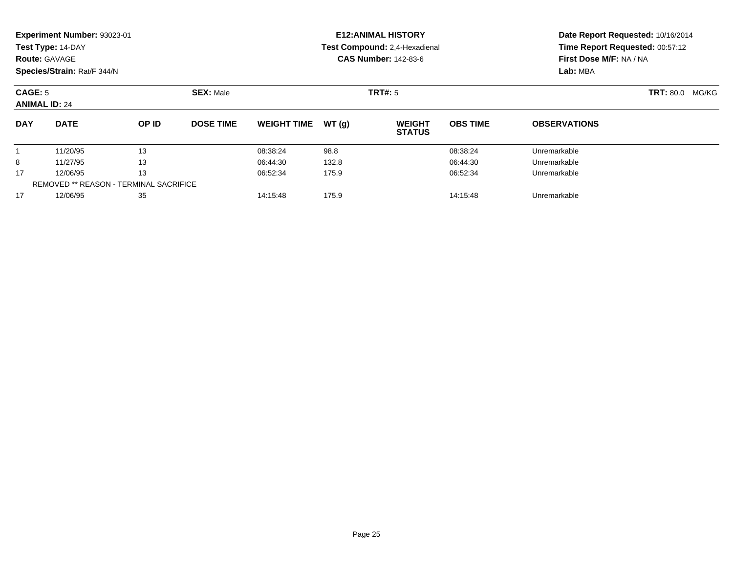|                                 | Experiment Number: 93023-01<br>Test Type: 14-DAY<br><b>Route: GAVAGE</b><br>Species/Strain: Rat/F 344/N |       |                               |                    |       | <b>E12: ANIMAL HISTORY</b><br>Test Compound: 2,4-Hexadienal<br><b>CAS Number: 142-83-6</b> | Date Report Requested: 10/16/2014<br>Time Report Requested: 00:57:12<br>First Dose M/F: NA / NA<br>Lab: MBA |                     |  |
|---------------------------------|---------------------------------------------------------------------------------------------------------|-------|-------------------------------|--------------------|-------|--------------------------------------------------------------------------------------------|-------------------------------------------------------------------------------------------------------------|---------------------|--|
| CAGE: 5<br><b>ANIMAL ID: 24</b> |                                                                                                         |       |                               | TRT#: 5            |       | <b>TRT: 80.0 MG/KG</b>                                                                     |                                                                                                             |                     |  |
| <b>DAY</b>                      | <b>DATE</b>                                                                                             | OP ID | <b>DOSE TIME</b>              | <b>WEIGHT TIME</b> | WT(g) | <b>WEIGHT</b><br><b>STATUS</b>                                                             | <b>OBS TIME</b>                                                                                             | <b>OBSERVATIONS</b> |  |
|                                 | 11/20/95                                                                                                | 13    |                               | 08:38:24           | 98.8  |                                                                                            | 08:38:24                                                                                                    | Unremarkable        |  |
| 8                               | 11/27/95                                                                                                | 13    |                               | 06:44:30           | 132.8 |                                                                                            | 06:44:30                                                                                                    | Unremarkable        |  |
| 17                              | 13<br>12/06/95<br><b>REMOVED ** REASON - TERMINAL SACRIFICE</b>                                         |       |                               | 06:52:34           | 175.9 |                                                                                            | 06:52:34                                                                                                    | Unremarkable        |  |
| 17                              | 12/06/95<br>35                                                                                          |       | 14:15:48<br>175.9<br>14:15:48 |                    |       | Unremarkable                                                                               |                                                                                                             |                     |  |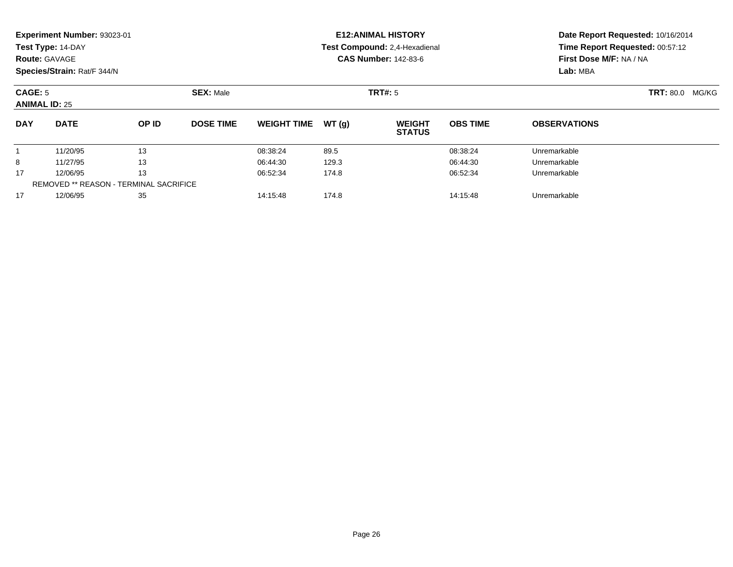| <b>Route: GAVAGE</b>            | Experiment Number: 93023-01<br>Test Type: 14-DAY<br>Species/Strain: Rat/F 344/N |       |                               |                    |       | <b>E12: ANIMAL HISTORY</b><br>Test Compound: 2,4-Hexadienal<br><b>CAS Number: 142-83-6</b> | Date Report Requested: 10/16/2014<br>Time Report Requested: 00:57:12<br>First Dose M/F: NA / NA<br>Lab: MBA |                     |  |
|---------------------------------|---------------------------------------------------------------------------------|-------|-------------------------------|--------------------|-------|--------------------------------------------------------------------------------------------|-------------------------------------------------------------------------------------------------------------|---------------------|--|
| CAGE: 5<br><b>ANIMAL ID: 25</b> |                                                                                 |       |                               | TRT#: 5            |       | <b>TRT: 80.0 MG/KG</b>                                                                     |                                                                                                             |                     |  |
| <b>DAY</b>                      | <b>DATE</b>                                                                     | OP ID | <b>DOSE TIME</b>              | <b>WEIGHT TIME</b> | WT(g) | <b>WEIGHT</b><br><b>STATUS</b>                                                             | <b>OBS TIME</b>                                                                                             | <b>OBSERVATIONS</b> |  |
|                                 | 11/20/95                                                                        | 13    |                               | 08:38:24           | 89.5  |                                                                                            | 08:38:24                                                                                                    | Unremarkable        |  |
| 8                               | 11/27/95                                                                        | 13    |                               | 06:44:30           | 129.3 |                                                                                            | 06:44:30                                                                                                    | Unremarkable        |  |
| 17                              | 13<br>12/06/95<br><b>REMOVED ** REASON - TERMINAL SACRIFICE</b>                 |       |                               | 06:52:34           | 174.8 |                                                                                            | 06:52:34                                                                                                    | Unremarkable        |  |
| 17                              | 12/06/95<br>35                                                                  |       | 14:15:48<br>174.8<br>14:15:48 |                    |       | Unremarkable                                                                               |                                                                                                             |                     |  |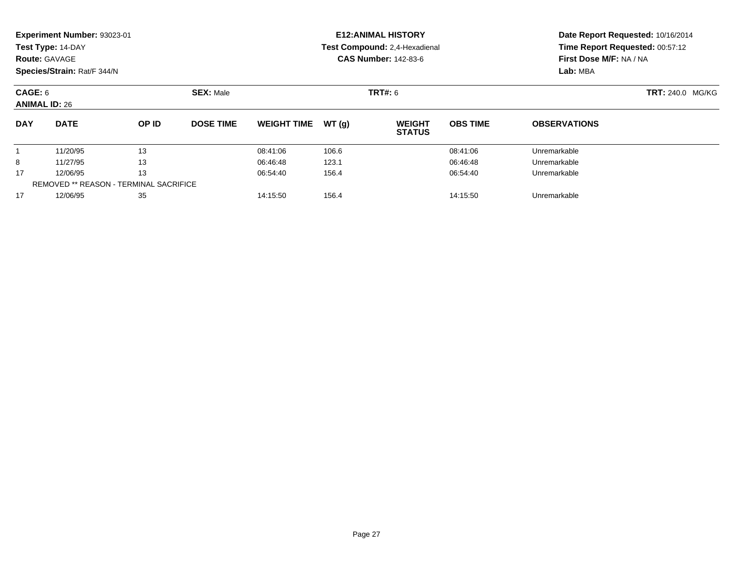| <b>Route: GAVAGE</b>                          | Experiment Number: 93023-01<br>Test Type: 14-DAY<br>Species/Strain: Rat/F 344/N |       |                  |                    |       | <b>E12: ANIMAL HISTORY</b><br>Test Compound: 2,4-Hexadienal<br><b>CAS Number: 142-83-6</b> | Date Report Requested: 10/16/2014<br>Time Report Requested: 00:57:12<br>First Dose M/F: NA / NA<br>Lab: MBA |                     |
|-----------------------------------------------|---------------------------------------------------------------------------------|-------|------------------|--------------------|-------|--------------------------------------------------------------------------------------------|-------------------------------------------------------------------------------------------------------------|---------------------|
|                                               | <b>SEX: Male</b><br>CAGE: 6<br><b>ANIMAL ID: 26</b>                             |       |                  |                    |       | TRT#: 6                                                                                    | <b>TRT: 240.0 MG/KG</b>                                                                                     |                     |
| <b>DAY</b>                                    | <b>DATE</b>                                                                     | OP ID | <b>DOSE TIME</b> | <b>WEIGHT TIME</b> | WT(g) | <b>WEIGHT</b><br><b>STATUS</b>                                                             | <b>OBS TIME</b>                                                                                             | <b>OBSERVATIONS</b> |
|                                               | 11/20/95                                                                        | 13    |                  | 08:41:06           | 106.6 |                                                                                            | 08:41:06                                                                                                    | Unremarkable        |
| 8                                             | 11/27/95                                                                        | 13    |                  | 06:46:48           | 123.1 |                                                                                            | 06:46:48                                                                                                    | Unremarkable        |
| 17                                            | 12/06/95                                                                        | 13    |                  | 06:54:40           | 156.4 |                                                                                            | 06:54:40                                                                                                    | Unremarkable        |
| <b>REMOVED ** REASON - TERMINAL SACRIFICE</b> |                                                                                 |       |                  |                    |       |                                                                                            |                                                                                                             |                     |
| 17                                            | 12/06/95                                                                        | 35    |                  | 14:15:50           | 156.4 |                                                                                            | 14:15:50                                                                                                    | Unremarkable        |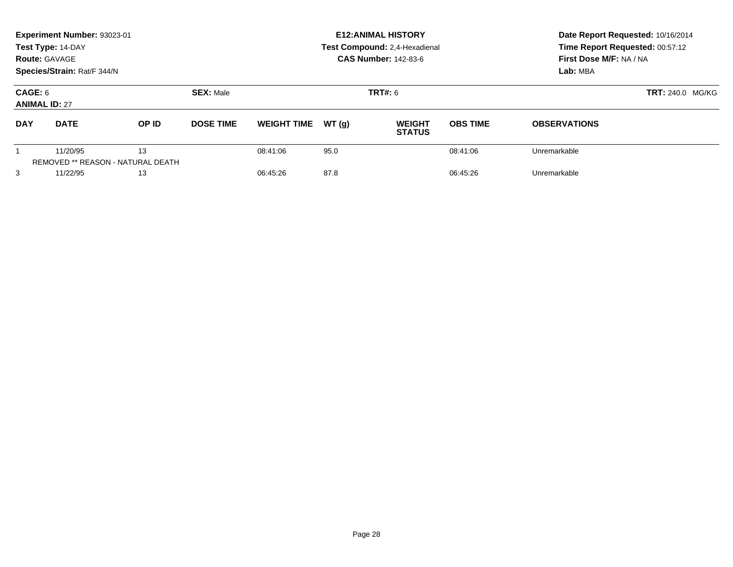| <b>Route: GAVAGE</b>                                       | Experiment Number: 93023-01<br>Test Type: 14-DAY<br>Species/Strain: Rat/F 344/N |       |                                    |                    |       | <b>E12: ANIMAL HISTORY</b><br>Test Compound: 2,4-Hexadienal<br><b>CAS Number: 142-83-6</b> | Date Report Requested: 10/16/2014<br>Time Report Requested: 00:57:12<br>First Dose M/F: NA / NA<br>Lab: MBA |                     |                         |
|------------------------------------------------------------|---------------------------------------------------------------------------------|-------|------------------------------------|--------------------|-------|--------------------------------------------------------------------------------------------|-------------------------------------------------------------------------------------------------------------|---------------------|-------------------------|
| CAGE: 6<br><b>ANIMAL ID: 27</b>                            |                                                                                 |       | <b>SEX: Male</b><br><b>TRT#: 6</b> |                    |       |                                                                                            |                                                                                                             |                     | <b>TRT: 240.0 MG/KG</b> |
| <b>DAY</b>                                                 | <b>DATE</b>                                                                     | OP ID | <b>DOSE TIME</b>                   | <b>WEIGHT TIME</b> | WT(q) | <b>WEIGHT</b><br><b>STATUS</b>                                                             | <b>OBS TIME</b>                                                                                             | <b>OBSERVATIONS</b> |                         |
| 11/20/95<br>13<br><b>REMOVED ** REASON - NATURAL DEATH</b> |                                                                                 |       | 08:41:06                           | 95.0               |       | 08:41:06                                                                                   | Unremarkable                                                                                                |                     |                         |
| 3                                                          | 11/22/95                                                                        | 13    |                                    | 06:45:26           | 87.8  |                                                                                            | 06:45:26                                                                                                    | Unremarkable        |                         |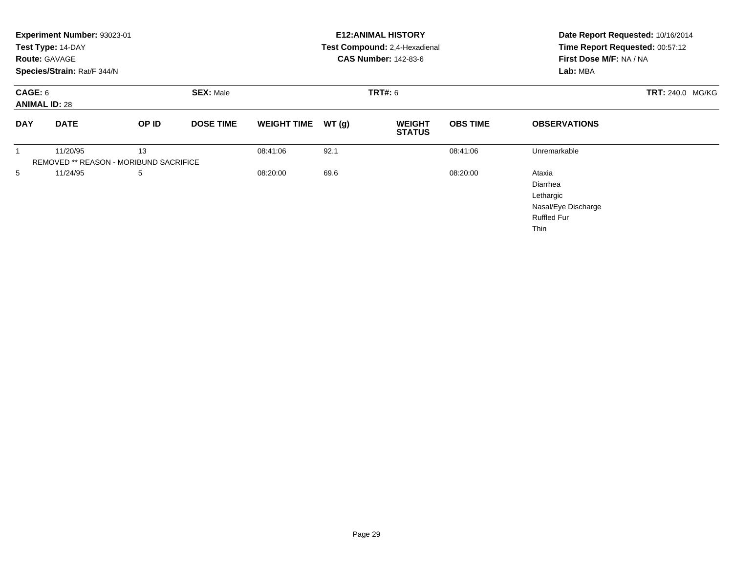|                                 | Experiment Number: 93023-01<br>Test Type: 14-DAY<br><b>Route: GAVAGE</b><br>Species/Strain: Rat/F 344/N |                                              |                  |                    |                | <b>E12: ANIMAL HISTORY</b><br>Test Compound: 2,4-Hexadienal<br><b>CAS Number: 142-83-6</b> | Date Report Requested: 10/16/2014<br>Time Report Requested: 00:57:12<br>First Dose M/F: NA / NA<br>Lab: MBA |                     |  |
|---------------------------------|---------------------------------------------------------------------------------------------------------|----------------------------------------------|------------------|--------------------|----------------|--------------------------------------------------------------------------------------------|-------------------------------------------------------------------------------------------------------------|---------------------|--|
| CAGE: 6<br><b>ANIMAL ID: 28</b> |                                                                                                         | <b>SEX: Male</b>                             |                  |                    | <b>TRT#: 6</b> |                                                                                            |                                                                                                             | TRT: 240.0 MG/KG    |  |
| <b>DAY</b>                      | <b>DATE</b>                                                                                             | OP ID                                        | <b>DOSE TIME</b> | <b>WEIGHT TIME</b> | WT(g)          | <b>WEIGHT</b><br><b>STATUS</b>                                                             | <b>OBS TIME</b>                                                                                             | <b>OBSERVATIONS</b> |  |
|                                 | 11/20/95                                                                                                | 13<br>REMOVED ** REASON - MORIBUND SACRIFICE |                  | 08:41:06           | 92.1           |                                                                                            | 08:41:06                                                                                                    | Unremarkable        |  |
| 5<br>11/24/95<br>5              |                                                                                                         |                                              | 08:20:00         | 69.6               |                | 08:20:00                                                                                   | Ataxia<br>Diarrhea<br>Lethargic<br>Nasal/Eye Discharge<br><b>Ruffled Fur</b><br>Thin                        |                     |  |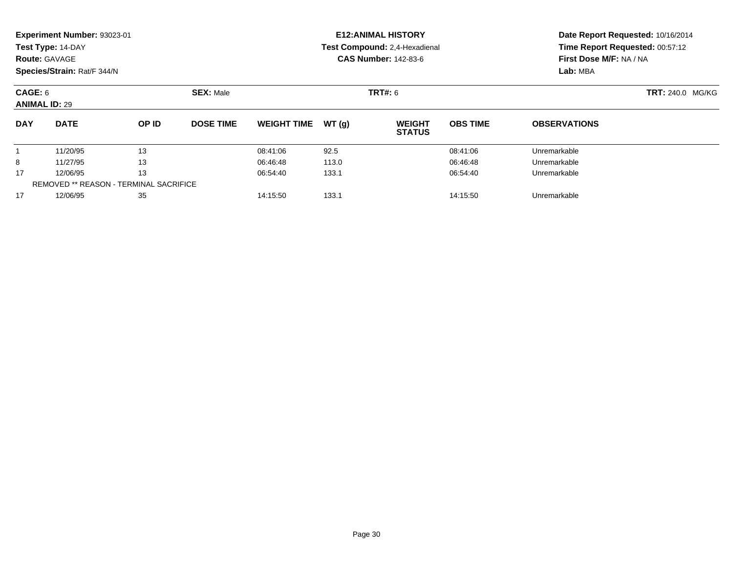|                                        | Experiment Number: 93023-01<br>Test Type: 14-DAY<br><b>Route: GAVAGE</b><br>Species/Strain: Rat/F 344/N |                                               |                  |                    |       | <b>E12: ANIMAL HISTORY</b><br>Test Compound: 2,4-Hexadienal<br><b>CAS Number: 142-83-6</b> | Date Report Requested: 10/16/2014<br>Time Report Requested: 00:57:12<br>First Dose M/F: NA / NA<br>Lab: MBA |                     |
|----------------------------------------|---------------------------------------------------------------------------------------------------------|-----------------------------------------------|------------------|--------------------|-------|--------------------------------------------------------------------------------------------|-------------------------------------------------------------------------------------------------------------|---------------------|
| <b>CAGE: 6</b><br><b>ANIMAL ID: 29</b> |                                                                                                         | <b>SEX: Male</b>                              | <b>TRT#: 6</b>   |                    |       |                                                                                            | TRT: 240.0 MG/KG                                                                                            |                     |
| <b>DAY</b>                             | <b>DATE</b>                                                                                             | OP ID                                         | <b>DOSE TIME</b> | <b>WEIGHT TIME</b> | WT(g) | <b>WEIGHT</b><br><b>STATUS</b>                                                             | <b>OBS TIME</b>                                                                                             | <b>OBSERVATIONS</b> |
|                                        | 11/20/95                                                                                                | 13                                            |                  | 08:41:06           | 92.5  |                                                                                            | 08:41:06                                                                                                    | Unremarkable        |
| 8                                      | 11/27/95                                                                                                | 13                                            |                  | 06:46:48           | 113.0 |                                                                                            | 06:46:48                                                                                                    | Unremarkable        |
| 17                                     | 12/06/95                                                                                                | 13                                            |                  | 06:54:40           | 133.1 |                                                                                            | 06:54:40                                                                                                    | Unremarkable        |
|                                        |                                                                                                         | <b>REMOVED ** REASON - TERMINAL SACRIFICE</b> |                  |                    |       |                                                                                            |                                                                                                             |                     |
| 17                                     | 12/06/95                                                                                                | 35                                            |                  | 14:15:50           | 133.1 |                                                                                            | 14:15:50                                                                                                    | Unremarkable        |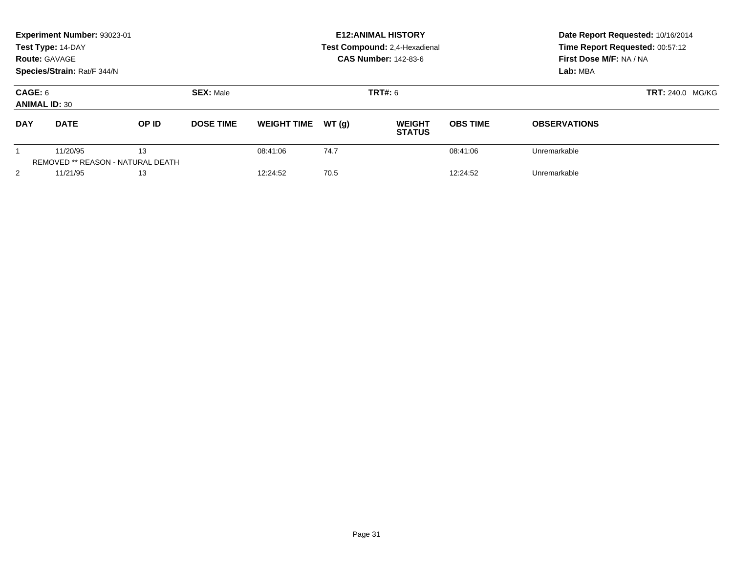| <b>Route: GAVAGE</b>                                       | Experiment Number: 93023-01<br>Test Type: 14-DAY<br>Species/Strain: Rat/F 344/N |       |                  |                    |       | <b>E12: ANIMAL HISTORY</b><br>Test Compound: 2,4-Hexadienal<br><b>CAS Number: 142-83-6</b> | Date Report Requested: 10/16/2014<br>Time Report Requested: 00:57:12<br>First Dose M/F: NA / NA<br>Lab: MBA |                         |  |
|------------------------------------------------------------|---------------------------------------------------------------------------------|-------|------------------|--------------------|-------|--------------------------------------------------------------------------------------------|-------------------------------------------------------------------------------------------------------------|-------------------------|--|
| CAGE: 6<br><b>ANIMAL ID: 30</b>                            |                                                                                 |       | <b>SEX: Male</b> | <b>TRT#: 6</b>     |       |                                                                                            |                                                                                                             | <b>TRT: 240.0 MG/KG</b> |  |
| <b>DAY</b>                                                 | <b>DATE</b>                                                                     | OP ID | <b>DOSE TIME</b> | <b>WEIGHT TIME</b> | WT(q) | <b>WEIGHT</b><br><b>STATUS</b>                                                             | <b>OBS TIME</b>                                                                                             | <b>OBSERVATIONS</b>     |  |
| 11/20/95<br>13<br><b>REMOVED ** REASON - NATURAL DEATH</b> |                                                                                 |       | 08:41:06         | 74.7               |       | 08:41:06                                                                                   | Unremarkable                                                                                                |                         |  |
| 2                                                          | 11/21/95                                                                        | 13    |                  | 12:24:52           | 70.5  |                                                                                            | 12:24:52                                                                                                    | Unremarkable            |  |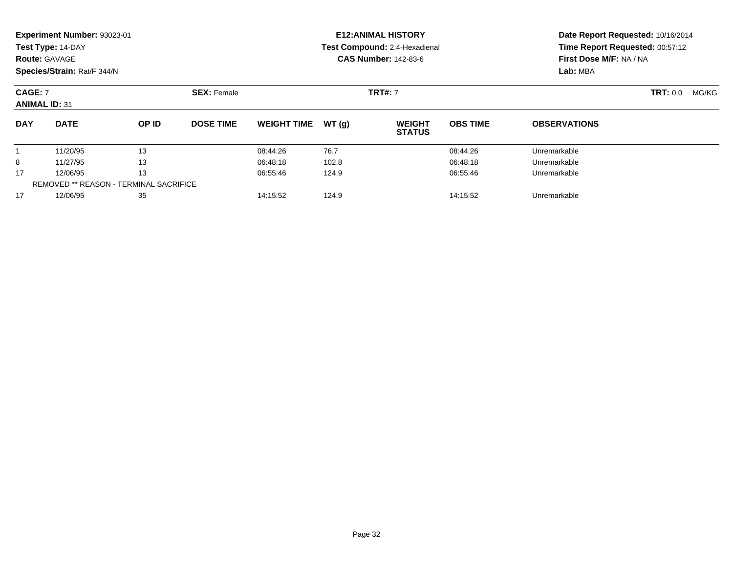| <b>Route: GAVAGE</b> | Experiment Number: 93023-01<br>Test Type: 14-DAY<br>Species/Strain: Rat/F 344/N |       |                               |                    |       | <b>E12: ANIMAL HISTORY</b><br>Test Compound: 2,4-Hexadienal<br><b>CAS Number: 142-83-6</b> | Date Report Requested: 10/16/2014<br>Time Report Requested: 00:57:12<br>First Dose M/F: NA / NA<br>Lab: MBA |                     |  |
|----------------------|---------------------------------------------------------------------------------|-------|-------------------------------|--------------------|-------|--------------------------------------------------------------------------------------------|-------------------------------------------------------------------------------------------------------------|---------------------|--|
| <b>CAGE: 7</b>       | <b>SEX: Female</b><br><b>ANIMAL ID: 31</b>                                      |       |                               |                    |       | <b>TRT#: 7</b>                                                                             |                                                                                                             | TRT: 0.0<br>MG/KG   |  |
| <b>DAY</b>           | <b>DATE</b>                                                                     | OP ID | <b>DOSE TIME</b>              | <b>WEIGHT TIME</b> | WT(g) | <b>WEIGHT</b><br><b>STATUS</b>                                                             | <b>OBS TIME</b>                                                                                             | <b>OBSERVATIONS</b> |  |
|                      | 11/20/95                                                                        | 13    |                               | 08:44:26           | 76.7  |                                                                                            | 08:44:26                                                                                                    | Unremarkable        |  |
| 8                    | 11/27/95                                                                        | 13    |                               | 06:48:18           | 102.8 |                                                                                            | 06:48:18                                                                                                    | Unremarkable        |  |
| 17                   | 13<br>12/06/95<br><b>REMOVED ** REASON - TERMINAL SACRIFICE</b>                 |       |                               | 06:55:46           | 124.9 |                                                                                            | 06:55:46                                                                                                    | Unremarkable        |  |
| 17                   | 12/06/95<br>35                                                                  |       | 124.9<br>14:15:52<br>14:15:52 |                    |       | Unremarkable                                                                               |                                                                                                             |                     |  |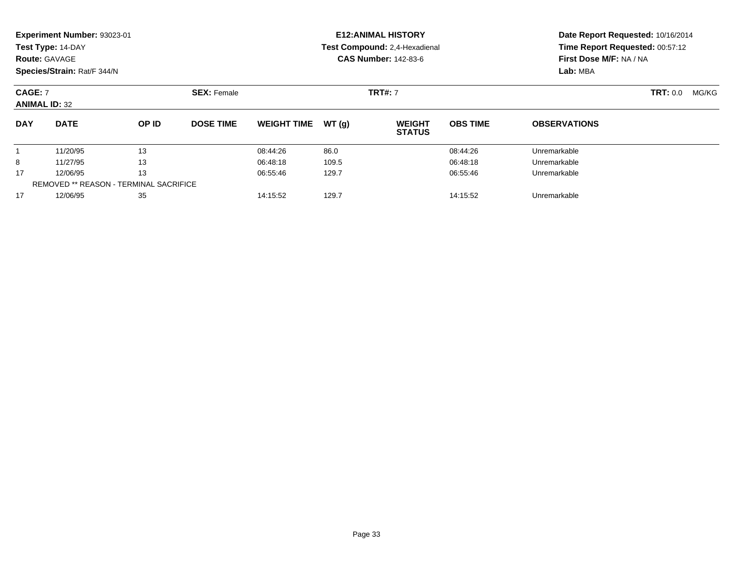| <b>Route: GAVAGE</b>                                                  | Experiment Number: 93023-01<br>Test Type: 14-DAY<br>Species/Strain: Rat/F 344/N |       |                               |                    |       | <b>E12: ANIMAL HISTORY</b><br>Test Compound: 2,4-Hexadienal<br><b>CAS Number: 142-83-6</b> | Date Report Requested: 10/16/2014<br>Time Report Requested: 00:57:12<br>First Dose M/F: NA / NA<br>Lab: MBA |                     |                          |
|-----------------------------------------------------------------------|---------------------------------------------------------------------------------|-------|-------------------------------|--------------------|-------|--------------------------------------------------------------------------------------------|-------------------------------------------------------------------------------------------------------------|---------------------|--------------------------|
| <b>CAGE: 7</b>                                                        | <b>SEX: Female</b><br><b>ANIMAL ID: 32</b>                                      |       |                               |                    |       | <b>TRT#: 7</b>                                                                             |                                                                                                             |                     | <b>TRT:</b> 0.0<br>MG/KG |
| <b>DAY</b>                                                            | <b>DATE</b>                                                                     | OP ID | <b>DOSE TIME</b>              | <b>WEIGHT TIME</b> | WT(g) | <b>WEIGHT</b><br><b>STATUS</b>                                                             | <b>OBS TIME</b>                                                                                             | <b>OBSERVATIONS</b> |                          |
|                                                                       | 11/20/95                                                                        | 13    |                               | 08:44:26           | 86.0  |                                                                                            | 08:44:26                                                                                                    | Unremarkable        |                          |
| 8                                                                     | 11/27/95                                                                        | 13    |                               | 06:48:18           | 109.5 |                                                                                            | 06:48:18                                                                                                    | Unremarkable        |                          |
| 13<br>17<br>12/06/95<br><b>REMOVED ** REASON - TERMINAL SACRIFICE</b> |                                                                                 |       | 06:55:46                      | 129.7              |       | 06:55:46                                                                                   | Unremarkable                                                                                                |                     |                          |
| 17                                                                    | 35<br>12/06/95                                                                  |       | 129.7<br>14:15:52<br>14:15:52 |                    |       |                                                                                            | Unremarkable                                                                                                |                     |                          |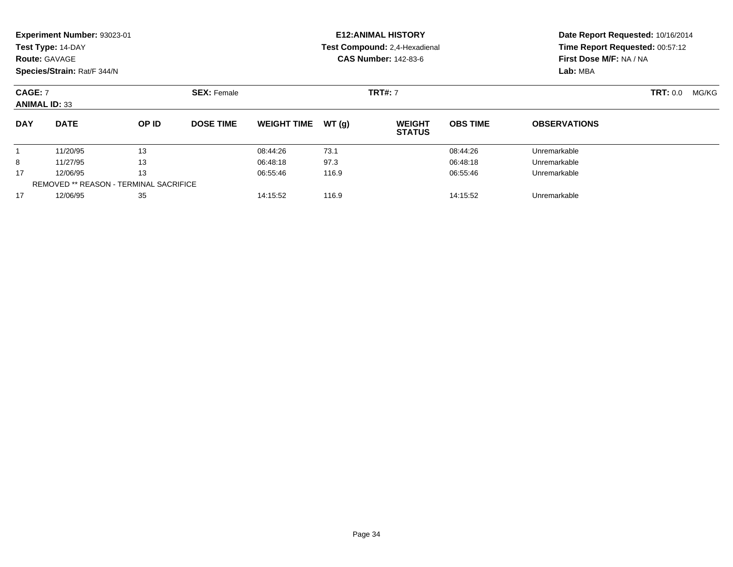| <b>Route: GAVAGE</b>                                                  | Experiment Number: 93023-01<br>Test Type: 14-DAY<br>Species/Strain: Rat/F 344/N |       |                               |                    |       | <b>E12: ANIMAL HISTORY</b><br>Test Compound: 2,4-Hexadienal<br><b>CAS Number: 142-83-6</b> | Date Report Requested: 10/16/2014<br>Time Report Requested: 00:57:12<br>First Dose M/F: NA / NA<br>Lab: MBA |                     |                          |
|-----------------------------------------------------------------------|---------------------------------------------------------------------------------|-------|-------------------------------|--------------------|-------|--------------------------------------------------------------------------------------------|-------------------------------------------------------------------------------------------------------------|---------------------|--------------------------|
| <b>CAGE: 7</b>                                                        | <b>SEX: Female</b><br><b>ANIMAL ID: 33</b>                                      |       |                               |                    |       | <b>TRT#: 7</b>                                                                             |                                                                                                             |                     | <b>TRT:</b> 0.0<br>MG/KG |
| <b>DAY</b>                                                            | <b>DATE</b>                                                                     | OP ID | <b>DOSE TIME</b>              | <b>WEIGHT TIME</b> | WT(g) | <b>WEIGHT</b><br><b>STATUS</b>                                                             | <b>OBS TIME</b>                                                                                             | <b>OBSERVATIONS</b> |                          |
|                                                                       | 11/20/95                                                                        | 13    |                               | 08:44:26           | 73.1  |                                                                                            | 08:44:26                                                                                                    | Unremarkable        |                          |
| 8                                                                     | 11/27/95                                                                        | 13    |                               | 06:48:18           | 97.3  |                                                                                            | 06:48:18                                                                                                    | Unremarkable        |                          |
| 13<br>17<br>12/06/95<br><b>REMOVED ** REASON - TERMINAL SACRIFICE</b> |                                                                                 |       | 06:55:46                      | 116.9              |       | 06:55:46                                                                                   | Unremarkable                                                                                                |                     |                          |
| 17                                                                    | 35<br>12/06/95                                                                  |       | 116.9<br>14:15:52<br>14:15:52 |                    |       |                                                                                            | Unremarkable                                                                                                |                     |                          |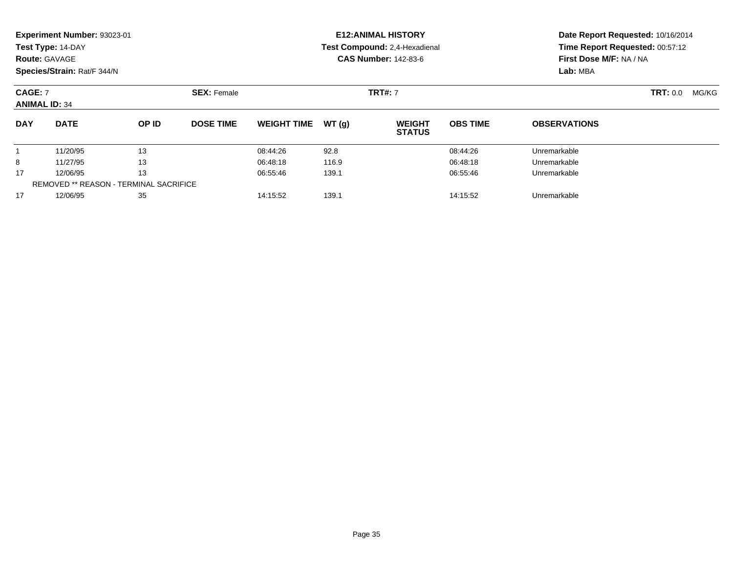| <b>Route: GAVAGE</b>                                                  | Experiment Number: 93023-01<br>Test Type: 14-DAY<br>Species/Strain: Rat/F 344/N |       |                               |                    |       | <b>E12: ANIMAL HISTORY</b><br>Test Compound: 2,4-Hexadienal<br><b>CAS Number: 142-83-6</b> | Date Report Requested: 10/16/2014<br>Time Report Requested: 00:57:12<br>First Dose M/F: NA / NA<br>Lab: MBA |                     |                          |
|-----------------------------------------------------------------------|---------------------------------------------------------------------------------|-------|-------------------------------|--------------------|-------|--------------------------------------------------------------------------------------------|-------------------------------------------------------------------------------------------------------------|---------------------|--------------------------|
| <b>CAGE: 7</b>                                                        | <b>SEX: Female</b><br><b>ANIMAL ID: 34</b>                                      |       |                               |                    |       | <b>TRT#: 7</b>                                                                             |                                                                                                             |                     | <b>TRT:</b> 0.0<br>MG/KG |
| <b>DAY</b>                                                            | <b>DATE</b>                                                                     | OP ID | <b>DOSE TIME</b>              | <b>WEIGHT TIME</b> | WT(g) | <b>WEIGHT</b><br><b>STATUS</b>                                                             | <b>OBS TIME</b>                                                                                             | <b>OBSERVATIONS</b> |                          |
|                                                                       | 11/20/95                                                                        | 13    |                               | 08:44:26           | 92.8  |                                                                                            | 08:44:26                                                                                                    | Unremarkable        |                          |
| 8                                                                     | 11/27/95                                                                        | 13    |                               | 06:48:18           | 116.9 |                                                                                            | 06:48:18                                                                                                    | Unremarkable        |                          |
| 13<br>17<br>12/06/95<br><b>REMOVED ** REASON - TERMINAL SACRIFICE</b> |                                                                                 |       | 06:55:46                      | 139.1              |       | 06:55:46                                                                                   | Unremarkable                                                                                                |                     |                          |
| 17                                                                    | 35<br>12/06/95                                                                  |       | 139.1<br>14:15:52<br>14:15:52 |                    |       |                                                                                            | Unremarkable                                                                                                |                     |                          |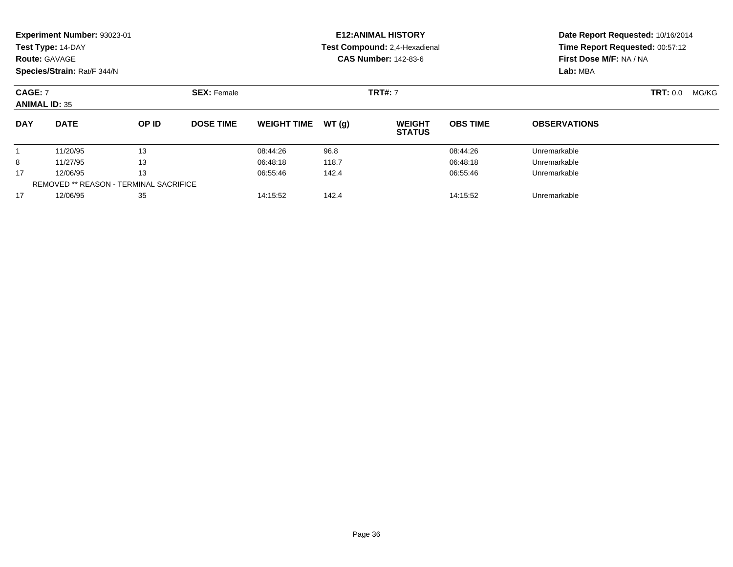|                                               | Experiment Number: 93023-01<br>Test Type: 14-DAY<br><b>Route: GAVAGE</b><br>Species/Strain: Rat/F 344/N |       |                               |                    |       | <b>E12: ANIMAL HISTORY</b><br>Test Compound: 2,4-Hexadienal<br><b>CAS Number: 142-83-6</b> | Date Report Requested: 10/16/2014<br>Time Report Requested: 00:57:12<br>First Dose M/F: NA / NA<br>Lab: MBA |                     |  |
|-----------------------------------------------|---------------------------------------------------------------------------------------------------------|-------|-------------------------------|--------------------|-------|--------------------------------------------------------------------------------------------|-------------------------------------------------------------------------------------------------------------|---------------------|--|
|                                               | <b>SEX: Female</b><br><b>CAGE: 7</b><br><b>ANIMAL ID: 35</b>                                            |       |                               |                    |       | <b>TRT#: 7</b>                                                                             |                                                                                                             | TRT: 0.0<br>MG/KG   |  |
| <b>DAY</b>                                    | <b>DATE</b>                                                                                             | OP ID | <b>DOSE TIME</b>              | <b>WEIGHT TIME</b> | WT(g) | <b>WEIGHT</b><br><b>STATUS</b>                                                             | <b>OBS TIME</b>                                                                                             | <b>OBSERVATIONS</b> |  |
|                                               | 11/20/95                                                                                                | 13    |                               | 08:44:26           | 96.8  |                                                                                            | 08:44:26                                                                                                    | Unremarkable        |  |
| 8                                             | 11/27/95                                                                                                | 13    |                               | 06:48:18           | 118.7 |                                                                                            | 06:48:18                                                                                                    | Unremarkable        |  |
| 17                                            | 12/06/95                                                                                                | 13    |                               | 06:55:46           | 142.4 |                                                                                            | 06:55:46                                                                                                    | Unremarkable        |  |
| <b>REMOVED ** REASON - TERMINAL SACRIFICE</b> |                                                                                                         |       |                               |                    |       |                                                                                            |                                                                                                             |                     |  |
| 35<br>17<br>12/06/95                          |                                                                                                         |       | 14:15:52<br>142.4<br>14:15:52 |                    |       |                                                                                            | Unremarkable                                                                                                |                     |  |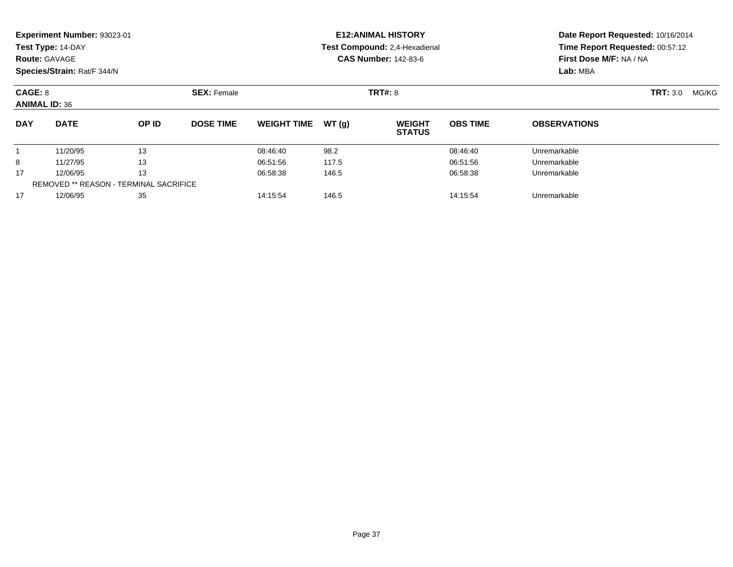|                                               | Experiment Number: 93023-01<br>Test Type: 14-DAY<br><b>Route: GAVAGE</b>  |          |                               |                    |          | <b>E12: ANIMAL HISTORY</b><br>Test Compound: 2,4-Hexadienal<br><b>CAS Number: 142-83-6</b> |                 | Date Report Requested: 10/16/2014<br>Time Report Requested: 00:57:12<br>First Dose M/F: NA / NA<br>Lab: MBA |  |
|-----------------------------------------------|---------------------------------------------------------------------------|----------|-------------------------------|--------------------|----------|--------------------------------------------------------------------------------------------|-----------------|-------------------------------------------------------------------------------------------------------------|--|
| CAGE: 8                                       | Species/Strain: Rat/F 344/N<br><b>SEX: Female</b><br><b>ANIMAL ID: 36</b> |          |                               |                    |          | <b>TRT#: 8</b>                                                                             |                 | TRT: 3.0<br>MG/KG                                                                                           |  |
| <b>DAY</b>                                    | <b>DATE</b>                                                               | OP ID    | <b>DOSE TIME</b>              | <b>WEIGHT TIME</b> | WT(g)    | <b>WEIGHT</b><br><b>STATUS</b>                                                             | <b>OBS TIME</b> | <b>OBSERVATIONS</b>                                                                                         |  |
| 1                                             | 11/20/95                                                                  | 13       |                               | 08:46:40           | 98.2     |                                                                                            | 08:46:40        | Unremarkable                                                                                                |  |
| 8                                             | 11/27/95                                                                  | 13       |                               | 06:51:56           | 117.5    |                                                                                            | 06:51:56        | Unremarkable                                                                                                |  |
| 13<br>17<br>12/06/95                          |                                                                           | 06:58:38 | 146.5                         |                    | 06:58:38 | Unremarkable                                                                               |                 |                                                                                                             |  |
| <b>REMOVED ** REASON - TERMINAL SACRIFICE</b> |                                                                           |          |                               |                    |          |                                                                                            |                 |                                                                                                             |  |
| 35<br>17<br>12/06/95                          |                                                                           |          | 14:15:54<br>146.5<br>14:15:54 |                    |          |                                                                                            | Unremarkable    |                                                                                                             |  |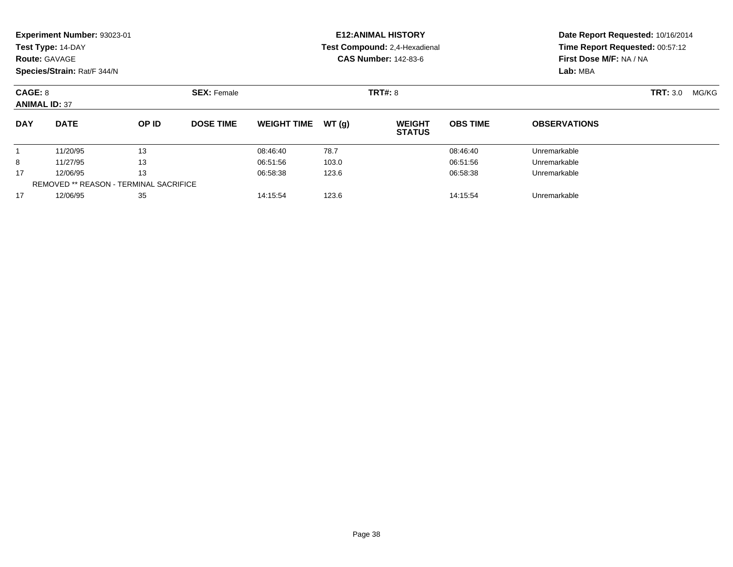|            | Experiment Number: 93023-01<br>Test Type: 14-DAY<br><b>Route: GAVAGE</b><br>Species/Strain: Rat/F 344/N |       |                  |                    |       | <b>E12: ANIMAL HISTORY</b><br>Test Compound: 2,4-Hexadienal<br><b>CAS Number: 142-83-6</b> | Date Report Requested: 10/16/2014<br>Time Report Requested: 00:57:12<br>First Dose M/F: NA / NA<br>Lab: MBA |                          |  |
|------------|---------------------------------------------------------------------------------------------------------|-------|------------------|--------------------|-------|--------------------------------------------------------------------------------------------|-------------------------------------------------------------------------------------------------------------|--------------------------|--|
| CAGE: 8    | <b>SEX: Female</b><br><b>ANIMAL ID: 37</b>                                                              |       |                  |                    |       | TRT#: 8                                                                                    |                                                                                                             | <b>TRT: 3.0</b><br>MG/KG |  |
| <b>DAY</b> | <b>DATE</b>                                                                                             | OP ID | <b>DOSE TIME</b> | <b>WEIGHT TIME</b> | WT(g) | <b>WEIGHT</b><br><b>STATUS</b>                                                             | <b>OBS TIME</b>                                                                                             | <b>OBSERVATIONS</b>      |  |
|            | 11/20/95                                                                                                | 13    |                  | 08:46:40           | 78.7  |                                                                                            | 08:46:40                                                                                                    | Unremarkable             |  |
| 8          | 11/27/95                                                                                                | 13    |                  | 06:51:56           | 103.0 |                                                                                            | 06:51:56                                                                                                    | Unremarkable             |  |
| 17         | 13<br>12/06/95<br><b>REMOVED ** REASON - TERMINAL SACRIFICE</b>                                         |       | 06:58:38         | 123.6              |       | 06:58:38                                                                                   | Unremarkable                                                                                                |                          |  |
| 17         | 12/06/95                                                                                                |       |                  | 14:15:54           | 123.6 |                                                                                            | 14:15:54                                                                                                    | Unremarkable             |  |
|            | 35                                                                                                      |       |                  |                    |       |                                                                                            |                                                                                                             |                          |  |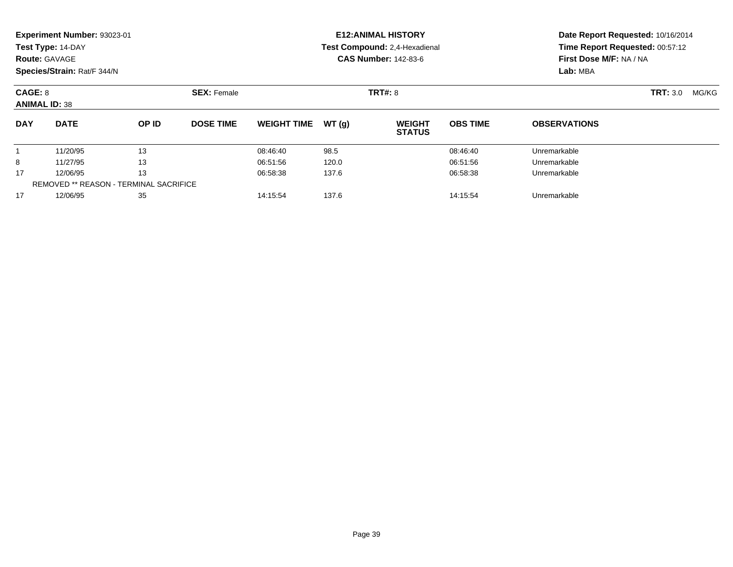| <b>Route: GAVAGE</b>                                                  | Experiment Number: 93023-01<br>Test Type: 14-DAY<br>Species/Strain: Rat/F 344/N |          |                  |                               |          | <b>E12: ANIMAL HISTORY</b><br>Test Compound: 2,4-Hexadienal<br><b>CAS Number: 142-83-6</b> | Time Report Requested: 00:57:12<br>First Dose M/F: NA / NA<br>Lab: MBA | Date Report Requested: 10/16/2014 |                          |
|-----------------------------------------------------------------------|---------------------------------------------------------------------------------|----------|------------------|-------------------------------|----------|--------------------------------------------------------------------------------------------|------------------------------------------------------------------------|-----------------------------------|--------------------------|
| CAGE: 8                                                               | <b>SEX: Female</b><br><b>ANIMAL ID: 38</b>                                      |          |                  |                               |          | <b>TRT#: 8</b>                                                                             |                                                                        |                                   | <b>TRT: 3.0</b><br>MG/KG |
| <b>DAY</b>                                                            | <b>DATE</b>                                                                     | OP ID    | <b>DOSE TIME</b> | <b>WEIGHT TIME</b>            | WT(g)    | <b>WEIGHT</b><br><b>STATUS</b>                                                             | <b>OBS TIME</b>                                                        | <b>OBSERVATIONS</b>               |                          |
|                                                                       | 11/20/95                                                                        | 13       |                  | 08:46:40                      | 98.5     |                                                                                            | 08:46:40                                                               | Unremarkable                      |                          |
| 8                                                                     | 11/27/95                                                                        | 13       |                  | 06:51:56                      | 120.0    |                                                                                            | 06:51:56                                                               | Unremarkable                      |                          |
| 13<br>17<br>12/06/95<br><b>REMOVED ** REASON - TERMINAL SACRIFICE</b> |                                                                                 | 06:58:38 | 137.6            |                               | 06:58:38 | Unremarkable                                                                               |                                                                        |                                   |                          |
| 17                                                                    | 35<br>12/06/95                                                                  |          |                  | 137.6<br>14:15:54<br>14:15:54 |          |                                                                                            |                                                                        | Unremarkable                      |                          |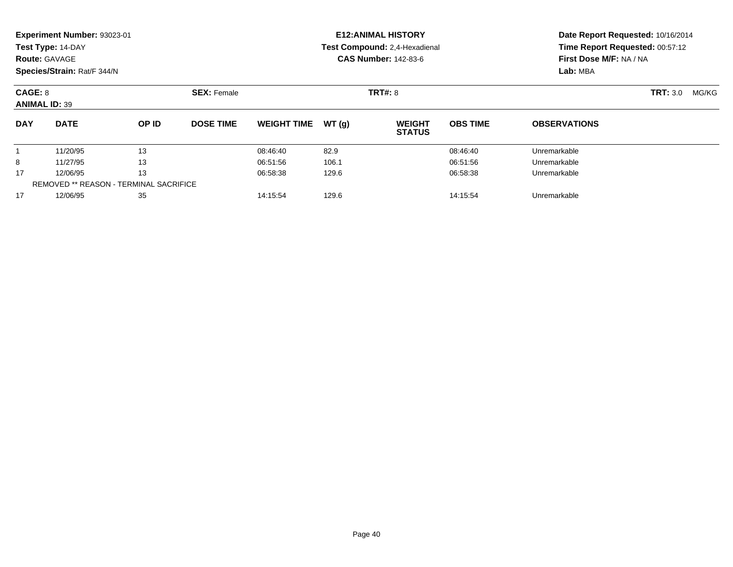|            | Experiment Number: 93023-01<br>Test Type: 14-DAY<br><b>Route: GAVAGE</b><br>Species/Strain: Rat/F 344/N |       |                               |                    |       | <b>E12: ANIMAL HISTORY</b><br>Test Compound: 2,4-Hexadienal<br><b>CAS Number: 142-83-6</b> | Date Report Requested: 10/16/2014<br>Time Report Requested: 00:57:12<br>First Dose M/F: NA / NA<br>Lab: MBA |                          |  |
|------------|---------------------------------------------------------------------------------------------------------|-------|-------------------------------|--------------------|-------|--------------------------------------------------------------------------------------------|-------------------------------------------------------------------------------------------------------------|--------------------------|--|
| CAGE: 8    | <b>SEX: Female</b><br><b>ANIMAL ID: 39</b>                                                              |       |                               |                    |       | <b>TRT#: 8</b>                                                                             |                                                                                                             | <b>TRT: 3.0</b><br>MG/KG |  |
| <b>DAY</b> | <b>DATE</b>                                                                                             | OP ID | <b>DOSE TIME</b>              | <b>WEIGHT TIME</b> | WT(g) | <b>WEIGHT</b><br><b>STATUS</b>                                                             | <b>OBS TIME</b>                                                                                             | <b>OBSERVATIONS</b>      |  |
|            | 11/20/95                                                                                                | 13    |                               | 08:46:40           | 82.9  |                                                                                            | 08:46:40                                                                                                    | Unremarkable             |  |
| 8          | 11/27/95                                                                                                | 13    |                               | 06:51:56           | 106.1 |                                                                                            | 06:51:56                                                                                                    | Unremarkable             |  |
| 17         | 13<br>12/06/95                                                                                          |       | 06:58:38                      | 129.6              |       | 06:58:38                                                                                   | Unremarkable                                                                                                |                          |  |
|            | <b>REMOVED ** REASON - TERMINAL SACRIFICE</b>                                                           |       |                               |                    |       |                                                                                            |                                                                                                             |                          |  |
| 17         | 35<br>12/06/95                                                                                          |       | 14:15:54<br>129.6<br>14:15:54 |                    |       |                                                                                            | Unremarkable                                                                                                |                          |  |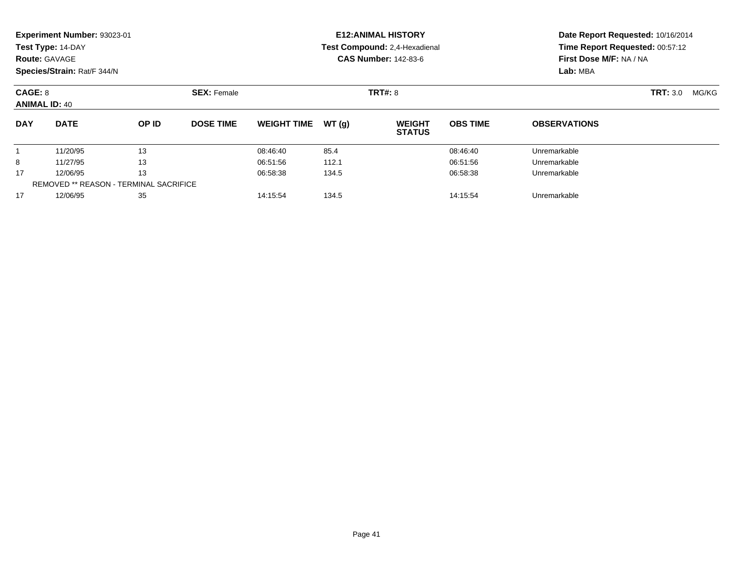| <b>Route: GAVAGE</b>                                                  | Experiment Number: 93023-01<br>Test Type: 14-DAY<br>Species/Strain: Rat/F 344/N |          |                  |                               |          | <b>E12: ANIMAL HISTORY</b><br>Test Compound: 2,4-Hexadienal<br><b>CAS Number: 142-83-6</b> | Time Report Requested: 00:57:12<br>First Dose M/F: NA / NA<br>Lab: MBA | Date Report Requested: 10/16/2014 |                   |
|-----------------------------------------------------------------------|---------------------------------------------------------------------------------|----------|------------------|-------------------------------|----------|--------------------------------------------------------------------------------------------|------------------------------------------------------------------------|-----------------------------------|-------------------|
|                                                                       | <b>SEX: Female</b><br>CAGE: 8<br><b>ANIMAL ID: 40</b>                           |          |                  |                               |          | <b>TRT#: 8</b>                                                                             |                                                                        |                                   | TRT: 3.0<br>MG/KG |
| <b>DAY</b>                                                            | <b>DATE</b>                                                                     | OP ID    | <b>DOSE TIME</b> | <b>WEIGHT TIME</b>            | WT(g)    | <b>WEIGHT</b><br><b>STATUS</b>                                                             | <b>OBS TIME</b>                                                        | <b>OBSERVATIONS</b>               |                   |
|                                                                       | 11/20/95                                                                        | 13       |                  | 08:46:40                      | 85.4     |                                                                                            | 08:46:40                                                               | Unremarkable                      |                   |
| 8                                                                     | 11/27/95                                                                        | 13       |                  | 06:51:56                      | 112.1    |                                                                                            | 06:51:56                                                               | Unremarkable                      |                   |
| 13<br>17<br>12/06/95<br><b>REMOVED ** REASON - TERMINAL SACRIFICE</b> |                                                                                 | 06:58:38 | 134.5            |                               | 06:58:38 | Unremarkable                                                                               |                                                                        |                                   |                   |
| 17                                                                    | 35<br>12/06/95                                                                  |          |                  | 134.5<br>14:15:54<br>14:15:54 |          |                                                                                            |                                                                        | Unremarkable                      |                   |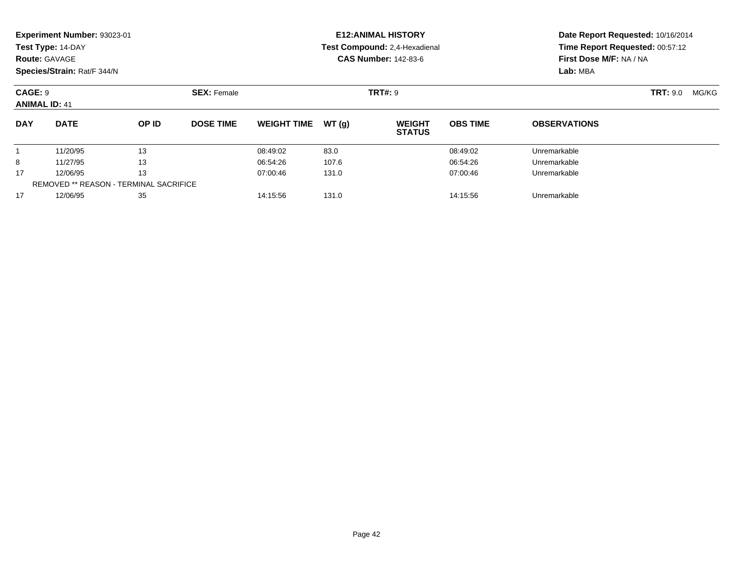| <b>Route: GAVAGE</b>                                                  | Experiment Number: 93023-01<br>Test Type: 14-DAY<br>Species/Strain: Rat/F 344/N |          |                    |                               |          | <b>E12: ANIMAL HISTORY</b><br>Test Compound: 2,4-Hexadienal<br><b>CAS Number: 142-83-6</b> | Time Report Requested: 00:57:12<br>First Dose M/F: NA / NA<br>Lab: MBA | Date Report Requested: 10/16/2014 |                          |  |
|-----------------------------------------------------------------------|---------------------------------------------------------------------------------|----------|--------------------|-------------------------------|----------|--------------------------------------------------------------------------------------------|------------------------------------------------------------------------|-----------------------------------|--------------------------|--|
| CAGE: 9<br><b>ANIMAL ID: 41</b>                                       |                                                                                 |          | <b>SEX: Female</b> |                               |          | <b>TRT#: 9</b>                                                                             |                                                                        |                                   | <b>TRT: 9.0</b><br>MG/KG |  |
| <b>DAY</b>                                                            | <b>DATE</b>                                                                     | OP ID    | <b>DOSE TIME</b>   | <b>WEIGHT TIME</b>            | WT(g)    | <b>WEIGHT</b><br><b>STATUS</b>                                                             | <b>OBS TIME</b>                                                        | <b>OBSERVATIONS</b>               |                          |  |
|                                                                       | 11/20/95                                                                        | 13       |                    | 08:49:02                      | 83.0     |                                                                                            | 08:49:02                                                               | Unremarkable                      |                          |  |
| 8                                                                     | 11/27/95                                                                        | 13       |                    | 06:54:26                      | 107.6    |                                                                                            | 06:54:26                                                               | Unremarkable                      |                          |  |
| 13<br>17<br>12/06/95<br><b>REMOVED ** REASON - TERMINAL SACRIFICE</b> |                                                                                 | 07:00:46 | 131.0              |                               | 07:00:46 | Unremarkable                                                                               |                                                                        |                                   |                          |  |
| 17                                                                    | 35<br>12/06/95                                                                  |          |                    | 131.0<br>14:15:56<br>14:15:56 |          |                                                                                            |                                                                        | Unremarkable                      |                          |  |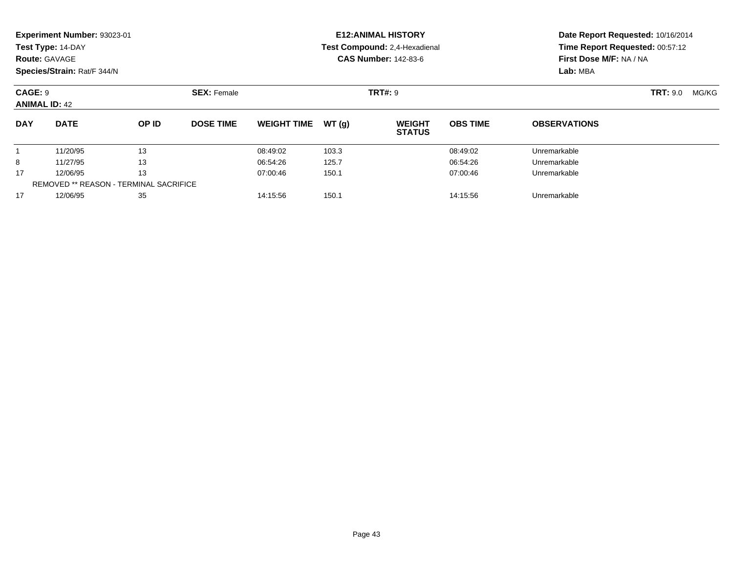|                                               | Experiment Number: 93023-01<br>Test Type: 14-DAY<br><b>Route: GAVAGE</b><br>Species/Strain: Rat/F 344/N |       |                               |                    |       | <b>E12: ANIMAL HISTORY</b><br>Test Compound: 2,4-Hexadienal<br><b>CAS Number: 142-83-6</b> | Time Report Requested: 00:57:12<br>First Dose M/F: NA / NA<br>Lab: MBA | Date Report Requested: 10/16/2014 |                          |
|-----------------------------------------------|---------------------------------------------------------------------------------------------------------|-------|-------------------------------|--------------------|-------|--------------------------------------------------------------------------------------------|------------------------------------------------------------------------|-----------------------------------|--------------------------|
|                                               | CAGE: 9<br><b>SEX: Female</b><br><b>ANIMAL ID: 42</b>                                                   |       |                               | <b>TRT#: 9</b>     |       |                                                                                            |                                                                        |                                   | <b>TRT: 9.0</b><br>MG/KG |
| <b>DAY</b>                                    | <b>DATE</b>                                                                                             | OP ID | <b>DOSE TIME</b>              | <b>WEIGHT TIME</b> | WT(q) | <b>WEIGHT</b><br><b>STATUS</b>                                                             | <b>OBS TIME</b>                                                        | <b>OBSERVATIONS</b>               |                          |
|                                               | 11/20/95                                                                                                | 13    |                               | 08:49:02           | 103.3 |                                                                                            | 08:49:02                                                               | Unremarkable                      |                          |
| 8                                             | 11/27/95                                                                                                | 13    |                               | 06:54:26           | 125.7 |                                                                                            | 06:54:26                                                               | Unremarkable                      |                          |
| 17                                            | 13<br>12/06/95                                                                                          |       | 07:00:46                      | 150.1              |       | 07:00:46                                                                                   | Unremarkable                                                           |                                   |                          |
| <b>REMOVED ** REASON - TERMINAL SACRIFICE</b> |                                                                                                         |       |                               |                    |       |                                                                                            |                                                                        |                                   |                          |
| 17                                            | 35<br>12/06/95                                                                                          |       | 150.1<br>14:15:56<br>14:15:56 |                    |       |                                                                                            | Unremarkable                                                           |                                   |                          |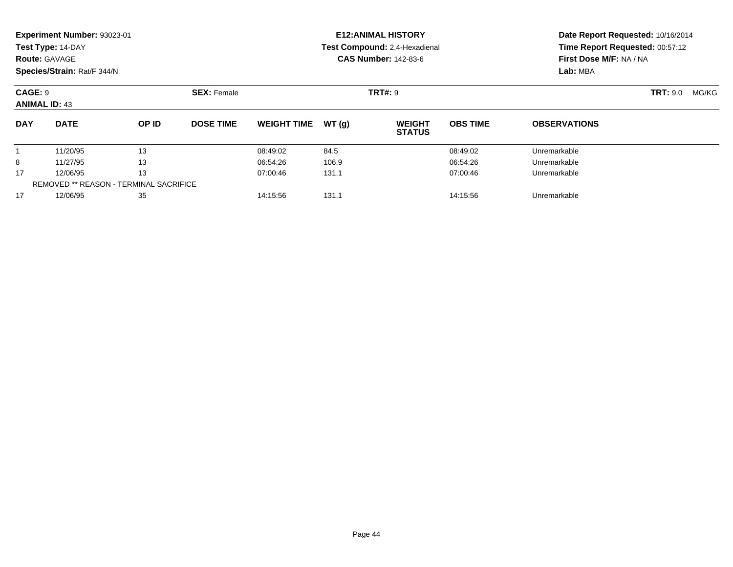| <b>Route: GAVAGE</b>                                                  | Experiment Number: 93023-01<br>Test Type: 14-DAY<br>Species/Strain: Rat/F 344/N |          |                  |                               |          | <b>E12: ANIMAL HISTORY</b><br>Test Compound: 2,4-Hexadienal<br><b>CAS Number: 142-83-6</b> | Time Report Requested: 00:57:12<br>First Dose M/F: NA / NA<br>Lab: MBA | Date Report Requested: 10/16/2014 |                          |
|-----------------------------------------------------------------------|---------------------------------------------------------------------------------|----------|------------------|-------------------------------|----------|--------------------------------------------------------------------------------------------|------------------------------------------------------------------------|-----------------------------------|--------------------------|
| CAGE: 9                                                               | <b>SEX: Female</b><br><b>ANIMAL ID: 43</b>                                      |          |                  |                               |          | <b>TRT#: 9</b>                                                                             |                                                                        |                                   | <b>TRT: 9.0</b><br>MG/KG |
| <b>DAY</b>                                                            | <b>DATE</b>                                                                     | OP ID    | <b>DOSE TIME</b> | <b>WEIGHT TIME</b>            | WT(g)    | <b>WEIGHT</b><br><b>STATUS</b>                                                             | <b>OBS TIME</b>                                                        | <b>OBSERVATIONS</b>               |                          |
|                                                                       | 11/20/95                                                                        | 13       |                  | 08:49:02                      | 84.5     |                                                                                            | 08:49:02                                                               | Unremarkable                      |                          |
| 8                                                                     | 11/27/95                                                                        | 13       |                  | 06:54:26                      | 106.9    |                                                                                            | 06:54:26                                                               | Unremarkable                      |                          |
| 13<br>17<br>12/06/95<br><b>REMOVED ** REASON - TERMINAL SACRIFICE</b> |                                                                                 | 07:00:46 | 131.1            |                               | 07:00:46 | Unremarkable                                                                               |                                                                        |                                   |                          |
| 17                                                                    | 35<br>12/06/95                                                                  |          |                  | 131.1<br>14:15:56<br>14:15:56 |          |                                                                                            |                                                                        | Unremarkable                      |                          |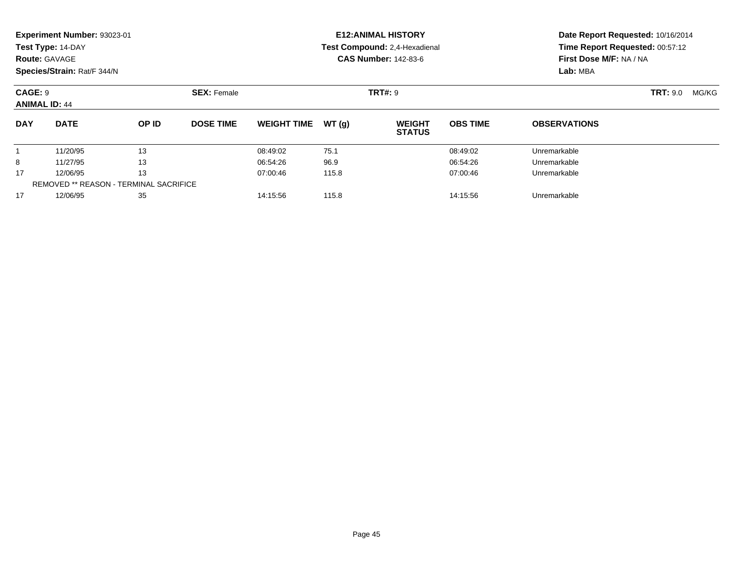|            | Experiment Number: 93023-01<br>Test Type: 14-DAY<br><b>Route: GAVAGE</b><br>Species/Strain: Rat/F 344/N |       |                  |                    |       | <b>E12: ANIMAL HISTORY</b><br>Test Compound: 2,4-Hexadienal<br><b>CAS Number: 142-83-6</b> | Date Report Requested: 10/16/2014<br>Time Report Requested: 00:57:12<br>First Dose M/F: NA / NA<br>Lab: MBA |                          |  |
|------------|---------------------------------------------------------------------------------------------------------|-------|------------------|--------------------|-------|--------------------------------------------------------------------------------------------|-------------------------------------------------------------------------------------------------------------|--------------------------|--|
| CAGE: 9    | <b>SEX: Female</b><br><b>ANIMAL ID: 44</b>                                                              |       |                  |                    |       | <b>TRT#: 9</b>                                                                             |                                                                                                             | <b>TRT: 9.0</b><br>MG/KG |  |
| <b>DAY</b> | <b>DATE</b>                                                                                             | OP ID | <b>DOSE TIME</b> | <b>WEIGHT TIME</b> | WT(g) | <b>WEIGHT</b><br><b>STATUS</b>                                                             | <b>OBS TIME</b>                                                                                             | <b>OBSERVATIONS</b>      |  |
|            | 11/20/95                                                                                                | 13    |                  | 08:49:02           | 75.1  |                                                                                            | 08:49:02                                                                                                    | Unremarkable             |  |
| 8          | 11/27/95                                                                                                | 13    |                  | 06:54:26           | 96.9  |                                                                                            | 06:54:26                                                                                                    | Unremarkable             |  |
| 17         | 13<br>12/06/95                                                                                          |       | 07:00:46         | 115.8              |       | 07:00:46                                                                                   | Unremarkable                                                                                                |                          |  |
|            | <b>REMOVED ** REASON - TERMINAL SACRIFICE</b>                                                           |       |                  |                    |       |                                                                                            |                                                                                                             |                          |  |
| 17         | 12/06/95                                                                                                | 35    |                  | 14:15:56           | 115.8 |                                                                                            | 14:15:56                                                                                                    | Unremarkable             |  |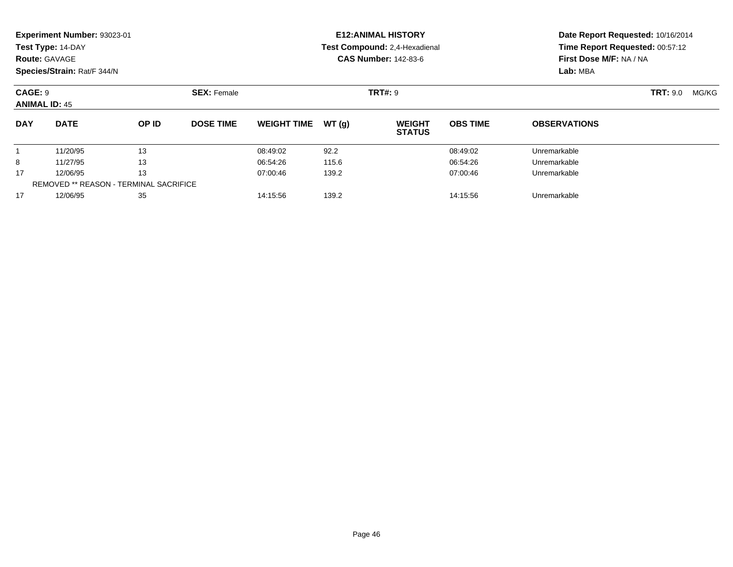| <b>Route: GAVAGE</b>                                                  | Experiment Number: 93023-01<br>Test Type: 14-DAY<br>Species/Strain: Rat/F 344/N |          |                  |                               |          | <b>E12: ANIMAL HISTORY</b><br>Test Compound: 2,4-Hexadienal<br><b>CAS Number: 142-83-6</b> | Date Report Requested: 10/16/2014<br>Time Report Requested: 00:57:12<br>First Dose M/F: NA / NA<br>Lab: MBA |                     |                          |
|-----------------------------------------------------------------------|---------------------------------------------------------------------------------|----------|------------------|-------------------------------|----------|--------------------------------------------------------------------------------------------|-------------------------------------------------------------------------------------------------------------|---------------------|--------------------------|
| CAGE: 9                                                               | <b>SEX: Female</b><br><b>ANIMAL ID: 45</b>                                      |          |                  |                               |          | <b>TRT#: 9</b>                                                                             |                                                                                                             |                     | <b>TRT: 9.0</b><br>MG/KG |
| <b>DAY</b>                                                            | <b>DATE</b>                                                                     | OP ID    | <b>DOSE TIME</b> | <b>WEIGHT TIME</b>            | WT(g)    | <b>WEIGHT</b><br><b>STATUS</b>                                                             | <b>OBS TIME</b>                                                                                             | <b>OBSERVATIONS</b> |                          |
|                                                                       | 11/20/95                                                                        | 13       |                  | 08:49:02                      | 92.2     |                                                                                            | 08:49:02                                                                                                    | Unremarkable        |                          |
| 8                                                                     | 11/27/95                                                                        | 13       |                  | 06:54:26                      | 115.6    |                                                                                            | 06:54:26                                                                                                    | Unremarkable        |                          |
| 13<br>17<br>12/06/95<br><b>REMOVED ** REASON - TERMINAL SACRIFICE</b> |                                                                                 | 07:00:46 | 139.2            |                               | 07:00:46 | Unremarkable                                                                               |                                                                                                             |                     |                          |
| 17                                                                    | 35<br>12/06/95                                                                  |          |                  | 139.2<br>14:15:56<br>14:15:56 |          |                                                                                            |                                                                                                             | Unremarkable        |                          |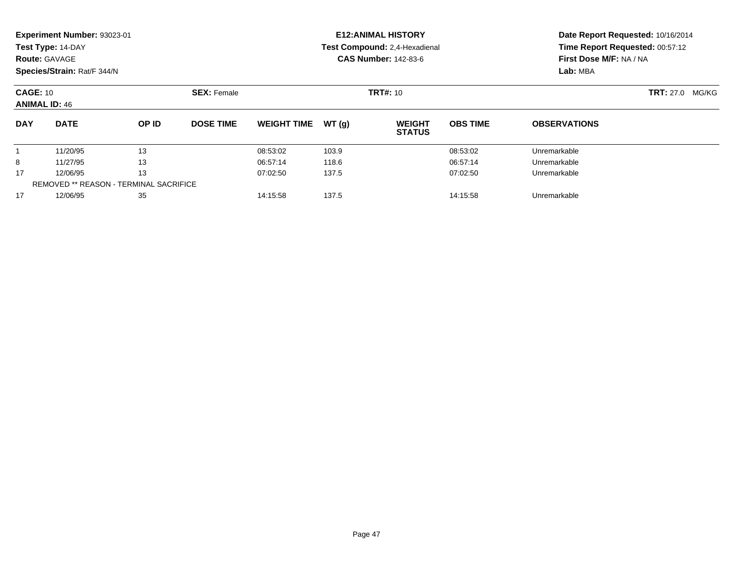|                                                                       | <b>Experiment Number: 93023-01</b><br>Test Type: 14-DAY<br><b>Route: GAVAGE</b><br>Species/Strain: Rat/F 344/N |       |                  |                               |       | <b>E12: ANIMAL HISTORY</b><br>Test Compound: 2,4-Hexadienal<br><b>CAS Number: 142-83-6</b> | Date Report Requested: 10/16/2014<br>Time Report Requested: 00:57:12<br>First Dose M/F: NA / NA<br>Lab: MBA |                           |  |
|-----------------------------------------------------------------------|----------------------------------------------------------------------------------------------------------------|-------|------------------|-------------------------------|-------|--------------------------------------------------------------------------------------------|-------------------------------------------------------------------------------------------------------------|---------------------------|--|
|                                                                       | <b>SEX: Female</b><br><b>CAGE: 10</b><br><b>ANIMAL ID: 46</b>                                                  |       |                  |                               |       | <b>TRT#: 10</b>                                                                            |                                                                                                             | <b>TRT:</b> 27.0<br>MG/KG |  |
| <b>DAY</b>                                                            | <b>DATE</b>                                                                                                    | OP ID | <b>DOSE TIME</b> | <b>WEIGHT TIME</b>            | WT(g) | <b>WEIGHT</b><br><b>STATUS</b>                                                             | <b>OBS TIME</b>                                                                                             | <b>OBSERVATIONS</b>       |  |
|                                                                       | 11/20/95                                                                                                       | 13    |                  | 08:53:02                      | 103.9 |                                                                                            | 08:53:02                                                                                                    | Unremarkable              |  |
| 8                                                                     | 11/27/95                                                                                                       | 13    |                  | 06:57:14                      | 118.6 |                                                                                            | 06:57:14                                                                                                    | Unremarkable              |  |
| 13<br>17<br>12/06/95<br><b>REMOVED ** REASON - TERMINAL SACRIFICE</b> |                                                                                                                |       | 07:02:50         | 137.5                         |       | 07:02:50                                                                                   | Unremarkable                                                                                                |                           |  |
| 17                                                                    | 35<br>12/06/95                                                                                                 |       |                  | 137.5<br>14:15:58<br>14:15:58 |       |                                                                                            |                                                                                                             | Unremarkable              |  |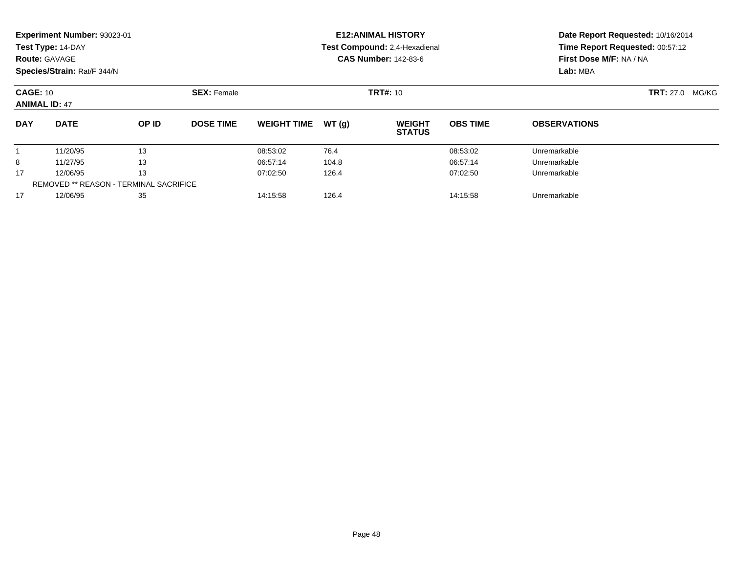|                                                                       | <b>Experiment Number: 93023-01</b><br>Test Type: 14-DAY<br><b>Route: GAVAGE</b><br>Species/Strain: Rat/F 344/N |       |                  |                               |       | <b>E12: ANIMAL HISTORY</b><br>Test Compound: 2,4-Hexadienal<br><b>CAS Number: 142-83-6</b> | Date Report Requested: 10/16/2014<br>Time Report Requested: 00:57:12<br>First Dose M/F: NA / NA<br>Lab: MBA |                           |  |
|-----------------------------------------------------------------------|----------------------------------------------------------------------------------------------------------------|-------|------------------|-------------------------------|-------|--------------------------------------------------------------------------------------------|-------------------------------------------------------------------------------------------------------------|---------------------------|--|
|                                                                       | <b>SEX: Female</b><br><b>CAGE: 10</b><br><b>ANIMAL ID: 47</b>                                                  |       |                  |                               |       | <b>TRT#: 10</b>                                                                            |                                                                                                             | <b>TRT:</b> 27.0<br>MG/KG |  |
| <b>DAY</b>                                                            | <b>DATE</b>                                                                                                    | OP ID | <b>DOSE TIME</b> | <b>WEIGHT TIME</b>            | WT(g) | <b>WEIGHT</b><br><b>STATUS</b>                                                             | <b>OBS TIME</b>                                                                                             | <b>OBSERVATIONS</b>       |  |
|                                                                       | 11/20/95                                                                                                       | 13    |                  | 08:53:02                      | 76.4  |                                                                                            | 08:53:02                                                                                                    | Unremarkable              |  |
| 8                                                                     | 11/27/95                                                                                                       | 13    |                  | 06:57:14                      | 104.8 |                                                                                            | 06:57:14                                                                                                    | Unremarkable              |  |
| 13<br>17<br>12/06/95<br><b>REMOVED ** REASON - TERMINAL SACRIFICE</b> |                                                                                                                |       | 07:02:50         | 126.4                         |       | 07:02:50                                                                                   | Unremarkable                                                                                                |                           |  |
| 17                                                                    | 35<br>12/06/95                                                                                                 |       |                  | 126.4<br>14:15:58<br>14:15:58 |       |                                                                                            |                                                                                                             | Unremarkable              |  |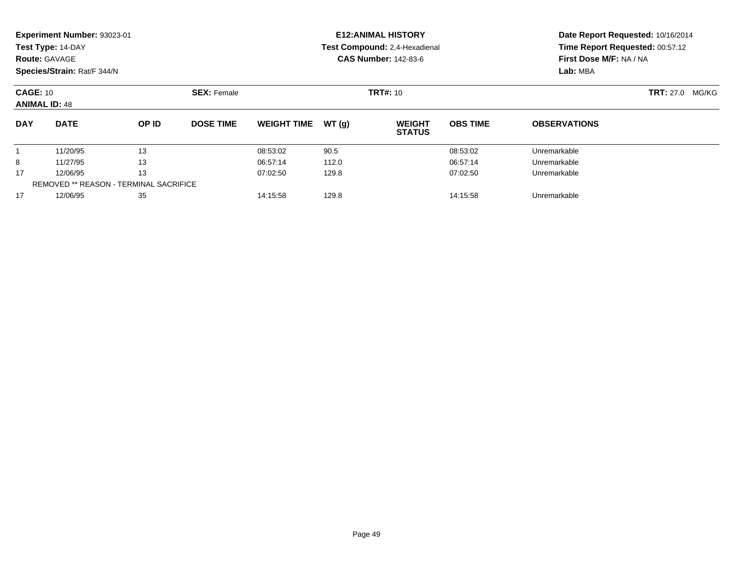| <b>Route: GAVAGE</b>                                                  | <b>Experiment Number: 93023-01</b><br>Test Type: 14-DAY<br>Species/Strain: Rat/F 344/N |       |                               |                    |       | <b>E12: ANIMAL HISTORY</b><br>Test Compound: 2,4-Hexadienal<br><b>CAS Number: 142-83-6</b> | Date Report Requested: 10/16/2014<br>Time Report Requested: 00:57:12<br>First Dose M/F: NA / NA<br>Lab: MBA |                           |  |
|-----------------------------------------------------------------------|----------------------------------------------------------------------------------------|-------|-------------------------------|--------------------|-------|--------------------------------------------------------------------------------------------|-------------------------------------------------------------------------------------------------------------|---------------------------|--|
| <b>CAGE: 10</b><br><b>ANIMAL ID: 48</b>                               |                                                                                        |       | <b>SEX: Female</b>            |                    |       | <b>TRT#: 10</b>                                                                            |                                                                                                             | <b>TRT:</b> 27.0<br>MG/KG |  |
| <b>DAY</b>                                                            | <b>DATE</b>                                                                            | OP ID | <b>DOSE TIME</b>              | <b>WEIGHT TIME</b> | WT(g) | <b>WEIGHT</b><br><b>STATUS</b>                                                             | <b>OBS TIME</b>                                                                                             | <b>OBSERVATIONS</b>       |  |
|                                                                       | 11/20/95                                                                               | 13    |                               | 08:53:02           | 90.5  |                                                                                            | 08:53:02                                                                                                    | Unremarkable              |  |
| 8                                                                     | 11/27/95                                                                               | 13    |                               | 06:57:14           | 112.0 |                                                                                            | 06:57:14                                                                                                    | Unremarkable              |  |
| 13<br>17<br>12/06/95<br><b>REMOVED ** REASON - TERMINAL SACRIFICE</b> |                                                                                        |       | 07:02:50<br>129.8<br>07:02:50 |                    |       |                                                                                            | Unremarkable                                                                                                |                           |  |
| 35<br>17<br>12/06/95                                                  |                                                                                        |       | 129.8<br>14:15:58<br>14:15:58 |                    |       |                                                                                            | Unremarkable                                                                                                |                           |  |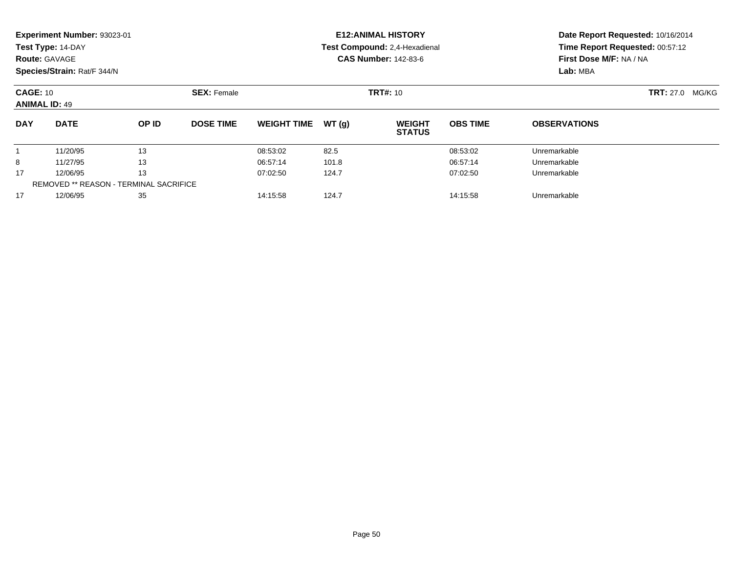|                                                                       | <b>Experiment Number: 93023-01</b><br>Test Type: 14-DAY<br><b>Route: GAVAGE</b><br>Species/Strain: Rat/F 344/N |       |                               |                    |       | <b>E12: ANIMAL HISTORY</b><br>Test Compound: 2,4-Hexadienal<br><b>CAS Number: 142-83-6</b> | Date Report Requested: 10/16/2014<br>Time Report Requested: 00:57:12<br>First Dose M/F: NA / NA<br>Lab: MBA |                           |  |
|-----------------------------------------------------------------------|----------------------------------------------------------------------------------------------------------------|-------|-------------------------------|--------------------|-------|--------------------------------------------------------------------------------------------|-------------------------------------------------------------------------------------------------------------|---------------------------|--|
| <b>CAGE: 10</b><br><b>ANIMAL ID: 49</b>                               |                                                                                                                |       | <b>SEX: Female</b>            |                    |       | <b>TRT#: 10</b>                                                                            |                                                                                                             | <b>TRT:</b> 27.0<br>MG/KG |  |
| <b>DAY</b>                                                            | <b>DATE</b>                                                                                                    | OP ID | <b>DOSE TIME</b>              | <b>WEIGHT TIME</b> | WT(g) | <b>WEIGHT</b><br><b>STATUS</b>                                                             | <b>OBS TIME</b>                                                                                             | <b>OBSERVATIONS</b>       |  |
|                                                                       | 11/20/95                                                                                                       | 13    |                               | 08:53:02           | 82.5  |                                                                                            | 08:53:02                                                                                                    | Unremarkable              |  |
| 8                                                                     | 11/27/95                                                                                                       | 13    |                               | 06:57:14           | 101.8 |                                                                                            | 06:57:14                                                                                                    | Unremarkable              |  |
| 13<br>17<br>12/06/95<br><b>REMOVED ** REASON - TERMINAL SACRIFICE</b> |                                                                                                                |       | 07:02:50                      | 124.7              |       | 07:02:50                                                                                   | Unremarkable                                                                                                |                           |  |
| 35<br>17<br>12/06/95                                                  |                                                                                                                |       | 124.7<br>14:15:58<br>14:15:58 |                    |       |                                                                                            | Unremarkable                                                                                                |                           |  |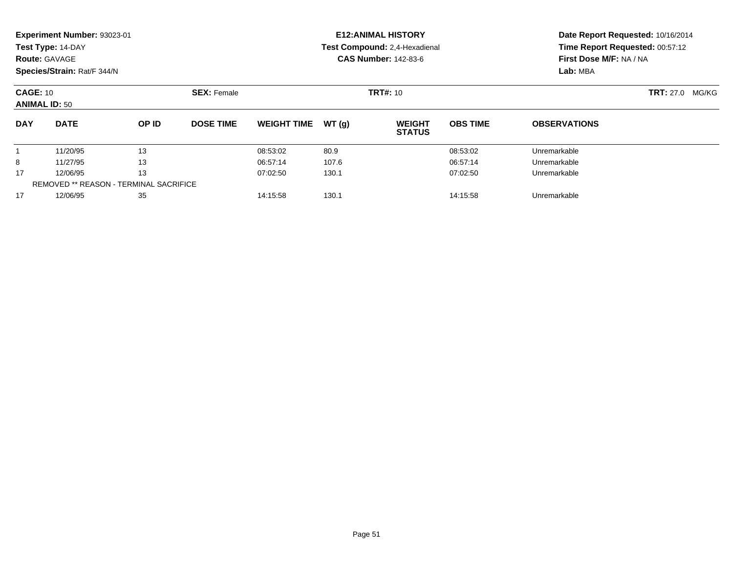|                                                                       | <b>Experiment Number: 93023-01</b><br>Test Type: 14-DAY<br><b>Route: GAVAGE</b><br>Species/Strain: Rat/F 344/N |       |                    |                    |       | <b>E12: ANIMAL HISTORY</b><br>Test Compound: 2,4-Hexadienal<br><b>CAS Number: 142-83-6</b> | Date Report Requested: 10/16/2014<br>Time Report Requested: 00:57:12<br>First Dose M/F: NA / NA<br>Lab: MBA |                     |                           |
|-----------------------------------------------------------------------|----------------------------------------------------------------------------------------------------------------|-------|--------------------|--------------------|-------|--------------------------------------------------------------------------------------------|-------------------------------------------------------------------------------------------------------------|---------------------|---------------------------|
| <b>CAGE: 10</b><br><b>ANIMAL ID: 50</b>                               |                                                                                                                |       | <b>SEX: Female</b> |                    |       | <b>TRT#: 10</b>                                                                            |                                                                                                             |                     | <b>TRT:</b> 27.0<br>MG/KG |
| <b>DAY</b>                                                            | <b>DATE</b>                                                                                                    | OP ID | <b>DOSE TIME</b>   | <b>WEIGHT TIME</b> | WT(g) | <b>WEIGHT</b><br><b>STATUS</b>                                                             | <b>OBS TIME</b>                                                                                             | <b>OBSERVATIONS</b> |                           |
|                                                                       | 11/20/95                                                                                                       | 13    |                    | 08:53:02           | 80.9  |                                                                                            | 08:53:02                                                                                                    | Unremarkable        |                           |
| 8                                                                     | 11/27/95                                                                                                       | 13    |                    | 06:57:14           | 107.6 |                                                                                            | 06:57:14                                                                                                    | Unremarkable        |                           |
| 13<br>17<br>12/06/95<br><b>REMOVED ** REASON - TERMINAL SACRIFICE</b> |                                                                                                                |       | 07:02:50           | 130.1              |       | 07:02:50                                                                                   | Unremarkable                                                                                                |                     |                           |
| 35<br>17<br>12/06/95                                                  |                                                                                                                |       | 14:15:58           | 130.1              |       | Unremarkable                                                                               |                                                                                                             |                     |                           |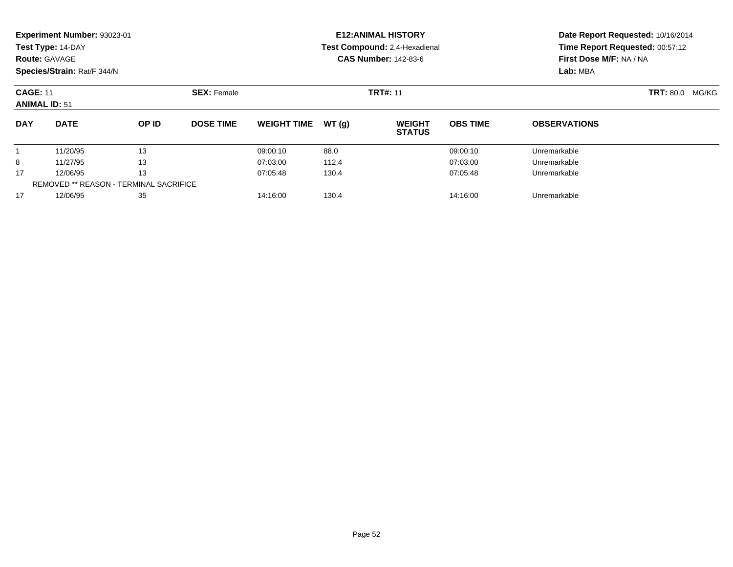|                                         | Experiment Number: 93023-01<br>Test Type: 14-DAY<br><b>Route: GAVAGE</b><br>Species/Strain: Rat/F 344/N |       |                    |                               |       | <b>E12: ANIMAL HISTORY</b><br>Test Compound: 2,4-Hexadienal<br><b>CAS Number: 142-83-6</b> | Date Report Requested: 10/16/2014<br>Time Report Requested: 00:57:12<br>First Dose M/F: NA / NA<br>Lab: MBA |                        |  |  |
|-----------------------------------------|---------------------------------------------------------------------------------------------------------|-------|--------------------|-------------------------------|-------|--------------------------------------------------------------------------------------------|-------------------------------------------------------------------------------------------------------------|------------------------|--|--|
| <b>CAGE: 11</b><br><b>ANIMAL ID: 51</b> |                                                                                                         |       | <b>SEX: Female</b> |                               |       | <b>TRT#: 11</b>                                                                            |                                                                                                             | <b>TRT: 80.0 MG/KG</b> |  |  |
| <b>DAY</b>                              | <b>DATE</b>                                                                                             | OP ID | <b>DOSE TIME</b>   | <b>WEIGHT TIME</b>            | WT(q) | <b>WEIGHT</b><br><b>STATUS</b>                                                             | <b>OBS TIME</b>                                                                                             | <b>OBSERVATIONS</b>    |  |  |
|                                         | 11/20/95                                                                                                | 13    |                    | 09:00:10                      | 88.0  |                                                                                            | 09:00:10                                                                                                    | Unremarkable           |  |  |
| 8                                       | 11/27/95                                                                                                | 13    |                    | 07:03:00                      | 112.4 |                                                                                            | 07:03:00                                                                                                    | Unremarkable           |  |  |
| 17                                      | 13<br>12/06/95                                                                                          |       |                    | 07:05:48                      | 130.4 |                                                                                            | 07:05:48                                                                                                    | Unremarkable           |  |  |
| 17                                      | <b>REMOVED ** REASON - TERMINAL SACRIFICE</b><br>12/06/95<br>35                                         |       |                    | 14:16:00<br>130.4<br>14:16:00 |       |                                                                                            |                                                                                                             | Unremarkable           |  |  |
|                                         |                                                                                                         |       |                    |                               |       |                                                                                            |                                                                                                             |                        |  |  |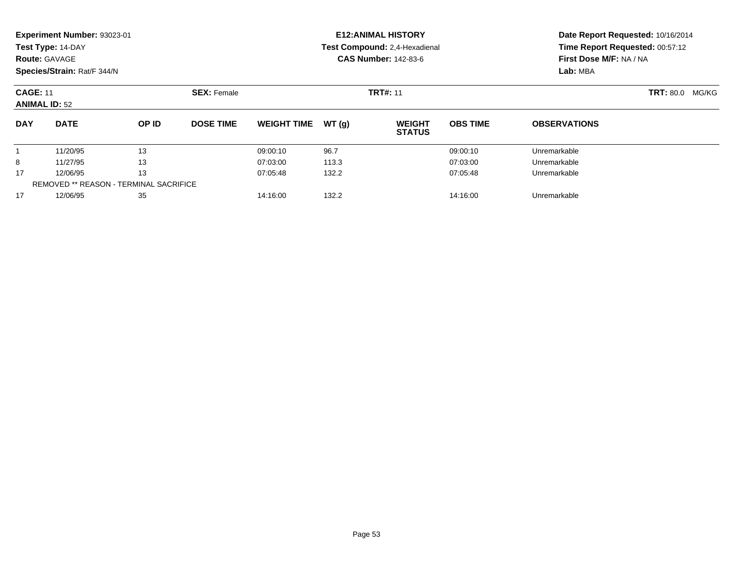| <b>Route: GAVAGE</b>                          | Experiment Number: 93023-01<br>Test Type: 14-DAY<br>Species/Strain: Rat/F 344/N |          |                  |                               |          | <b>E12: ANIMAL HISTORY</b><br>Test Compound: 2,4-Hexadienal<br><b>CAS Number: 142-83-6</b> | Date Report Requested: 10/16/2014<br>Time Report Requested: 00:57:12<br>First Dose M/F: NA / NA<br>Lab: MBA |                     |  |
|-----------------------------------------------|---------------------------------------------------------------------------------|----------|------------------|-------------------------------|----------|--------------------------------------------------------------------------------------------|-------------------------------------------------------------------------------------------------------------|---------------------|--|
|                                               | <b>SEX: Female</b><br><b>CAGE: 11</b><br><b>ANIMAL ID: 52</b>                   |          |                  |                               |          | <b>TRT#: 11</b>                                                                            | <b>TRT: 80.0</b><br>MG/KG                                                                                   |                     |  |
| <b>DAY</b>                                    | <b>DATE</b>                                                                     | OP ID    | <b>DOSE TIME</b> | <b>WEIGHT TIME</b>            | WT(g)    | <b>WEIGHT</b><br><b>STATUS</b>                                                             | <b>OBS TIME</b>                                                                                             | <b>OBSERVATIONS</b> |  |
|                                               | 11/20/95                                                                        | 13       |                  | 09:00:10                      | 96.7     |                                                                                            | 09:00:10                                                                                                    | Unremarkable        |  |
| 8                                             | 11/27/95                                                                        | 13       |                  | 07:03:00                      | 113.3    |                                                                                            | 07:03:00                                                                                                    | Unremarkable        |  |
| 17<br>13<br>12/06/95                          |                                                                                 | 07:05:48 | 132.2            |                               | 07:05:48 | Unremarkable                                                                               |                                                                                                             |                     |  |
| <b>REMOVED ** REASON - TERMINAL SACRIFICE</b> |                                                                                 |          |                  |                               |          |                                                                                            |                                                                                                             |                     |  |
| 17                                            | 35<br>12/06/95                                                                  |          |                  | 132.2<br>14:16:00<br>14:16:00 |          |                                                                                            |                                                                                                             | Unremarkable        |  |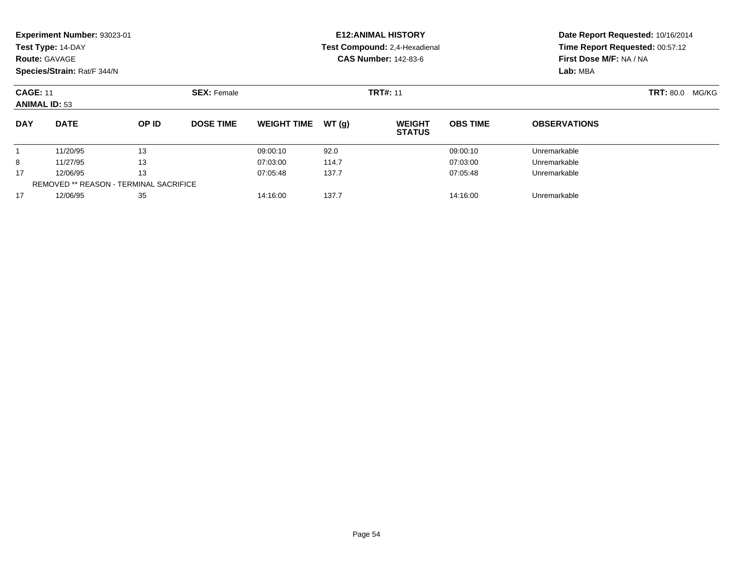| <b>Route: GAVAGE</b> | Experiment Number: 93023-01<br>Test Type: 14-DAY<br>Species/Strain: Rat/F 344/N |       |                               |                               |       | <b>E12: ANIMAL HISTORY</b><br>Test Compound: 2,4-Hexadienal<br><b>CAS Number: 142-83-6</b> | Date Report Requested: 10/16/2014<br>Time Report Requested: 00:57:12<br>First Dose M/F: NA / NA<br>Lab: MBA |                        |  |
|----------------------|---------------------------------------------------------------------------------|-------|-------------------------------|-------------------------------|-------|--------------------------------------------------------------------------------------------|-------------------------------------------------------------------------------------------------------------|------------------------|--|
| <b>CAGE: 11</b>      | <b>SEX: Female</b><br><b>ANIMAL ID: 53</b>                                      |       |                               |                               |       | <b>TRT#: 11</b>                                                                            |                                                                                                             | <b>TRT: 80.0 MG/KG</b> |  |
| <b>DAY</b>           | <b>DATE</b>                                                                     | OP ID | <b>DOSE TIME</b>              | <b>WEIGHT TIME</b>            | WT(g) | <b>WEIGHT</b><br><b>STATUS</b>                                                             | <b>OBS TIME</b>                                                                                             | <b>OBSERVATIONS</b>    |  |
|                      | 11/20/95                                                                        | 13    |                               | 09:00:10                      | 92.0  |                                                                                            | 09:00:10                                                                                                    | Unremarkable           |  |
| 8                    | 11/27/95                                                                        | 13    |                               | 07:03:00                      | 114.7 |                                                                                            | 07:03:00                                                                                                    | Unremarkable           |  |
| 13<br>17<br>12/06/95 |                                                                                 |       | 137.7<br>07:05:48<br>07:05:48 |                               |       |                                                                                            | Unremarkable                                                                                                |                        |  |
| 17                   | <b>REMOVED ** REASON - TERMINAL SACRIFICE</b><br>35<br>12/06/95                 |       |                               | 137.7<br>14:16:00<br>14:16:00 |       |                                                                                            |                                                                                                             | Unremarkable           |  |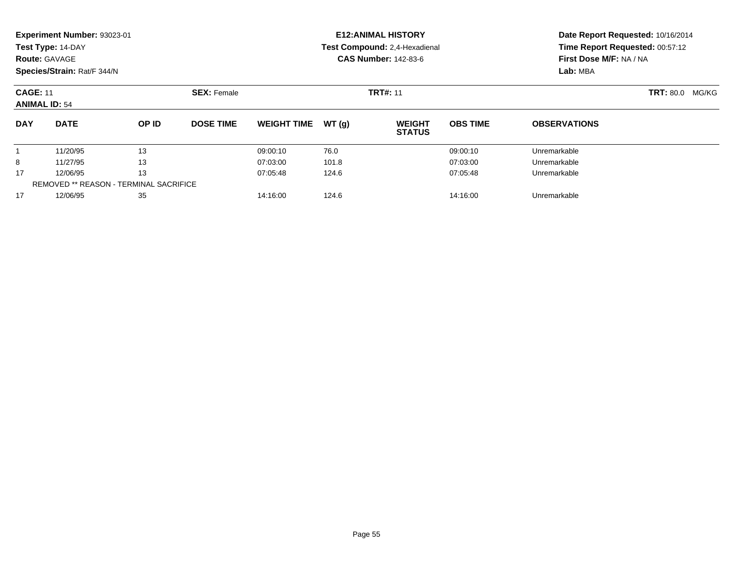| <b>Route: GAVAGE</b>                                                  | <b>Experiment Number: 93023-01</b><br>Test Type: 14-DAY<br>Species/Strain: Rat/F 344/N |       |                               |                    |       | <b>E12: ANIMAL HISTORY</b><br>Test Compound: 2,4-Hexadienal<br><b>CAS Number: 142-83-6</b> | Date Report Requested: 10/16/2014<br>Time Report Requested: 00:57:12<br>First Dose M/F: NA / NA<br>Lab: MBA |                     |                           |
|-----------------------------------------------------------------------|----------------------------------------------------------------------------------------|-------|-------------------------------|--------------------|-------|--------------------------------------------------------------------------------------------|-------------------------------------------------------------------------------------------------------------|---------------------|---------------------------|
| <b>CAGE: 11</b><br><b>ANIMAL ID: 54</b>                               |                                                                                        |       | <b>SEX: Female</b>            |                    |       | <b>TRT#: 11</b>                                                                            |                                                                                                             |                     | <b>TRT: 80.0</b><br>MG/KG |
| <b>DAY</b>                                                            | <b>DATE</b>                                                                            | OP ID | <b>DOSE TIME</b>              | <b>WEIGHT TIME</b> | WT(g) | <b>WEIGHT</b><br><b>STATUS</b>                                                             | <b>OBS TIME</b>                                                                                             | <b>OBSERVATIONS</b> |                           |
|                                                                       | 11/20/95                                                                               | 13    |                               | 09:00:10           | 76.0  |                                                                                            | 09:00:10                                                                                                    | Unremarkable        |                           |
| 8                                                                     | 11/27/95                                                                               | 13    |                               | 07:03:00           | 101.8 |                                                                                            | 07:03:00                                                                                                    | Unremarkable        |                           |
| 13<br>17<br>12/06/95<br><b>REMOVED ** REASON - TERMINAL SACRIFICE</b> |                                                                                        |       | 07:05:48                      | 124.6              |       | 07:05:48                                                                                   | Unremarkable                                                                                                |                     |                           |
| 35<br>17<br>12/06/95                                                  |                                                                                        |       | 124.6<br>14:16:00<br>14:16:00 |                    |       |                                                                                            | Unremarkable                                                                                                |                     |                           |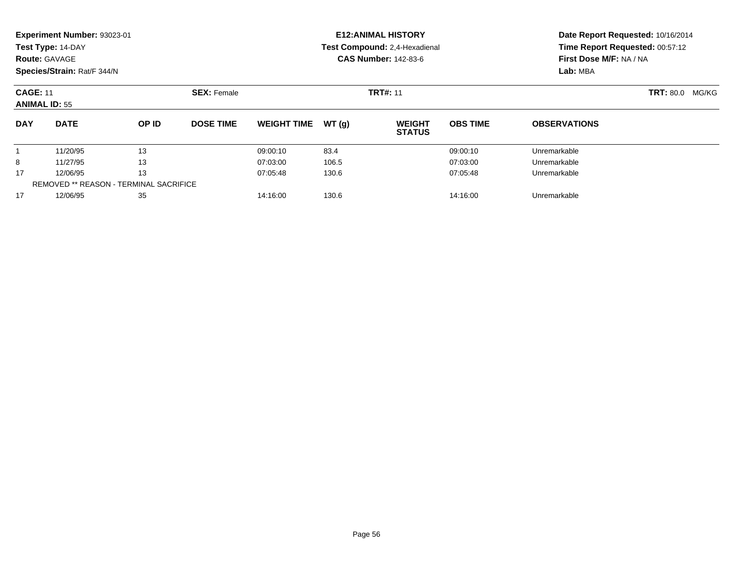| <b>Route: GAVAGE</b>                                                  | <b>Experiment Number: 93023-01</b><br>Test Type: 14-DAY<br>Species/Strain: Rat/F 344/N |       |                    |                               |       | <b>E12: ANIMAL HISTORY</b><br>Test Compound: 2,4-Hexadienal<br><b>CAS Number: 142-83-6</b> | Date Report Requested: 10/16/2014<br>Time Report Requested: 00:57:12<br>First Dose M/F: NA / NA<br>Lab: MBA |                     |                           |
|-----------------------------------------------------------------------|----------------------------------------------------------------------------------------|-------|--------------------|-------------------------------|-------|--------------------------------------------------------------------------------------------|-------------------------------------------------------------------------------------------------------------|---------------------|---------------------------|
| <b>CAGE: 11</b><br><b>ANIMAL ID: 55</b>                               |                                                                                        |       | <b>SEX: Female</b> |                               |       | <b>TRT#: 11</b>                                                                            |                                                                                                             |                     | <b>TRT: 80.0</b><br>MG/KG |
| <b>DAY</b>                                                            | <b>DATE</b>                                                                            | OP ID | <b>DOSE TIME</b>   | <b>WEIGHT TIME</b>            | WT(g) | <b>WEIGHT</b><br><b>STATUS</b>                                                             | <b>OBS TIME</b>                                                                                             | <b>OBSERVATIONS</b> |                           |
|                                                                       | 11/20/95                                                                               | 13    |                    | 09:00:10                      | 83.4  |                                                                                            | 09:00:10                                                                                                    | Unremarkable        |                           |
| 8                                                                     | 11/27/95                                                                               | 13    |                    | 07:03:00                      | 106.5 |                                                                                            | 07:03:00                                                                                                    | Unremarkable        |                           |
| 13<br>17<br>12/06/95<br><b>REMOVED ** REASON - TERMINAL SACRIFICE</b> |                                                                                        |       | 07:05:48           | 130.6                         |       | 07:05:48                                                                                   | Unremarkable                                                                                                |                     |                           |
| 35<br>17<br>12/06/95                                                  |                                                                                        |       |                    | 14:16:00<br>130.6<br>14:16:00 |       |                                                                                            |                                                                                                             | Unremarkable        |                           |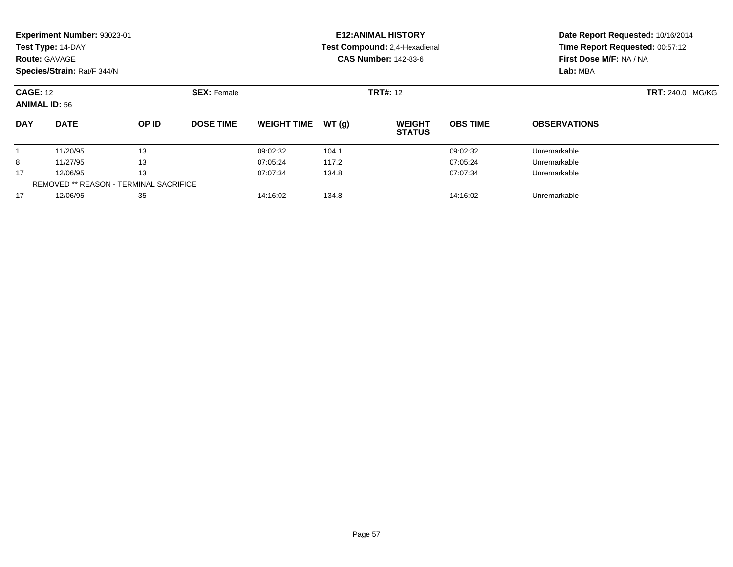|                                         | Experiment Number: 93023-01<br>Test Type: 14-DAY<br><b>Route: GAVAGE</b><br>Species/Strain: Rat/F 344/N |          |                               |                    |              | <b>E12: ANIMAL HISTORY</b><br>Test Compound: 2,4-Hexadienal<br><b>CAS Number: 142-83-6</b> | Date Report Requested: 10/16/2014<br>Time Report Requested: 00:57:12<br>First Dose M/F: NA / NA<br>Lab: MBA |                     |  |
|-----------------------------------------|---------------------------------------------------------------------------------------------------------|----------|-------------------------------|--------------------|--------------|--------------------------------------------------------------------------------------------|-------------------------------------------------------------------------------------------------------------|---------------------|--|
| <b>CAGE: 12</b><br><b>ANIMAL ID: 56</b> |                                                                                                         |          | <b>SEX: Female</b>            |                    |              | <b>TRT#: 12</b>                                                                            |                                                                                                             | TRT: 240.0 MG/KG    |  |
| <b>DAY</b>                              | <b>DATE</b>                                                                                             | OP ID    | <b>DOSE TIME</b>              | <b>WEIGHT TIME</b> | WT(g)        | <b>WEIGHT</b><br><b>STATUS</b>                                                             | <b>OBS TIME</b>                                                                                             | <b>OBSERVATIONS</b> |  |
|                                         | 11/20/95                                                                                                | 13       |                               | 09:02:32           | 104.1        |                                                                                            | 09:02:32                                                                                                    | Unremarkable        |  |
| 8                                       | 11/27/95                                                                                                | 13       |                               | 07:05:24           | 117.2        |                                                                                            | 07:05:24                                                                                                    | Unremarkable        |  |
| 13<br>17<br>12/06/95                    |                                                                                                         |          | 07:07:34<br>07:07:34<br>134.8 |                    |              |                                                                                            | Unremarkable                                                                                                |                     |  |
|                                         | <b>REMOVED ** REASON - TERMINAL SACRIFICE</b><br>35                                                     |          |                               |                    |              |                                                                                            | 14:16:02                                                                                                    |                     |  |
| 17                                      | 12/06/95                                                                                                | 14:16:02 | 134.8                         |                    | Unremarkable |                                                                                            |                                                                                                             |                     |  |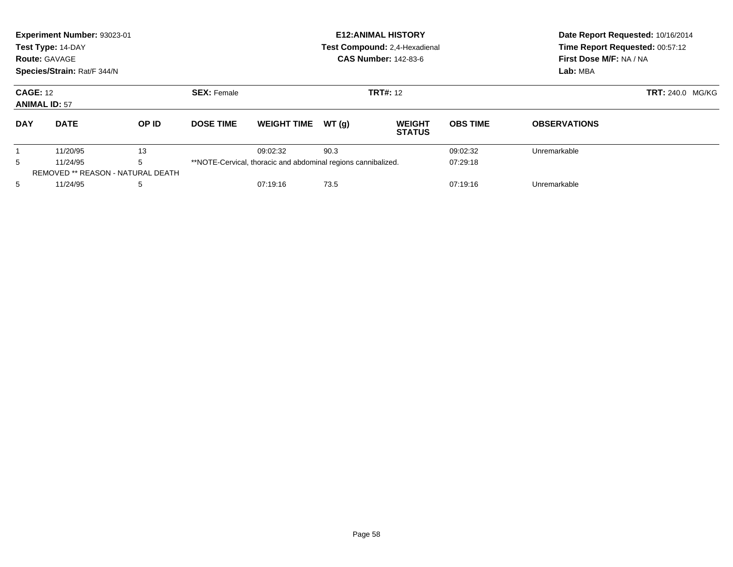|                                         | Experiment Number: 93023-01<br>Test Type: 14-DAY<br><b>Route: GAVAGE</b><br>Species/Strain: Rat/F 344/N |              |                    |                                                               |                 | <b>E12: ANIMAL HISTORY</b><br>Test Compound: 2,4-Hexadienal<br><b>CAS Number: 142-83-6</b> | Date Report Requested: 10/16/2014<br>Time Report Requested: 00:57:12<br>First Dose M/F: NA / NA<br>Lab: MBA |                     |  |
|-----------------------------------------|---------------------------------------------------------------------------------------------------------|--------------|--------------------|---------------------------------------------------------------|-----------------|--------------------------------------------------------------------------------------------|-------------------------------------------------------------------------------------------------------------|---------------------|--|
| <b>CAGE: 12</b><br><b>ANIMAL ID: 57</b> |                                                                                                         |              | <b>SEX: Female</b> |                                                               | <b>TRT#: 12</b> |                                                                                            | <b>TRT: 240.0 MG/KG</b>                                                                                     |                     |  |
| <b>DAY</b>                              | <b>DATE</b>                                                                                             | <b>OP ID</b> | <b>DOSE TIME</b>   | <b>WEIGHT TIME</b>                                            | WT(q)           | <b>WEIGHT</b><br><b>STATUS</b>                                                             | <b>OBS TIME</b>                                                                                             | <b>OBSERVATIONS</b> |  |
|                                         | 11/20/95                                                                                                | 13           |                    | 09:02:32                                                      | 90.3            |                                                                                            | 09:02:32                                                                                                    | Unremarkable        |  |
| 5                                       | 11/24/95                                                                                                | 5            |                    | **NOTE-Cervical, thoracic and abdominal regions cannibalized. |                 |                                                                                            | 07:29:18                                                                                                    |                     |  |
|                                         | REMOVED ** REASON - NATURAL DEATH                                                                       |              |                    |                                                               |                 |                                                                                            |                                                                                                             |                     |  |
| 5                                       | 11/24/95                                                                                                | 5            |                    | 07:19:16                                                      | 73.5            |                                                                                            | 07:19:16                                                                                                    | Unremarkable        |  |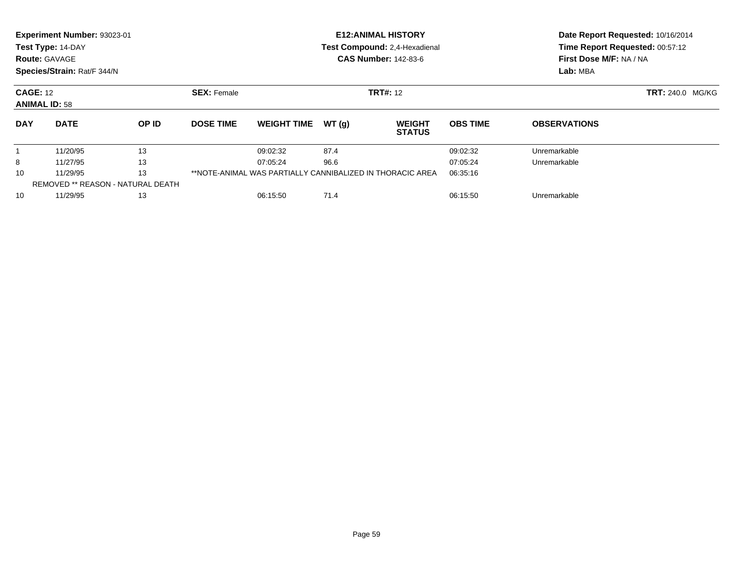|                                         | Experiment Number: 93023-01<br>Test Type: 14-DAY<br><b>Route: GAVAGE</b><br>Species/Strain: Rat/F 344/N |       |                    |                                                           |                 | <b>E12:ANIMAL HISTORY</b><br>Test Compound: 2,4-Hexadienal<br><b>CAS Number: 142-83-6</b> | Date Report Requested: 10/16/2014<br>Time Report Requested: 00:57:12<br>First Dose M/F: NA / NA<br>Lab: MBA |                         |  |
|-----------------------------------------|---------------------------------------------------------------------------------------------------------|-------|--------------------|-----------------------------------------------------------|-----------------|-------------------------------------------------------------------------------------------|-------------------------------------------------------------------------------------------------------------|-------------------------|--|
| <b>CAGE: 12</b><br><b>ANIMAL ID: 58</b> |                                                                                                         |       | <b>SEX: Female</b> |                                                           | <b>TRT#: 12</b> |                                                                                           |                                                                                                             | <b>TRT: 240.0 MG/KG</b> |  |
| <b>DAY</b>                              | <b>DATE</b>                                                                                             | OP ID | <b>DOSE TIME</b>   | <b>WEIGHT TIME</b>                                        | WT(g)           | <b>WEIGHT</b><br><b>STATUS</b>                                                            | <b>OBS TIME</b>                                                                                             | <b>OBSERVATIONS</b>     |  |
|                                         | 11/20/95                                                                                                | 13    |                    | 09:02:32                                                  | 87.4            |                                                                                           | 09:02:32                                                                                                    | Unremarkable            |  |
| 8                                       | 11/27/95                                                                                                | 13    |                    | 07:05:24                                                  | 96.6            |                                                                                           | 07:05:24                                                                                                    | Unremarkable            |  |
| 13<br>10<br>11/29/95                    |                                                                                                         |       |                    | **NOTE-ANIMAL WAS PARTIALLY CANNIBALIZED IN THORACIC AREA |                 |                                                                                           | 06:35:16                                                                                                    |                         |  |
| REMOVED ** REASON - NATURAL DEATH       |                                                                                                         |       |                    |                                                           |                 |                                                                                           |                                                                                                             |                         |  |
| 11/29/95<br>13<br>10                    |                                                                                                         |       |                    | 06:15:50                                                  | 71.4            |                                                                                           | 06:15:50                                                                                                    | Unremarkable            |  |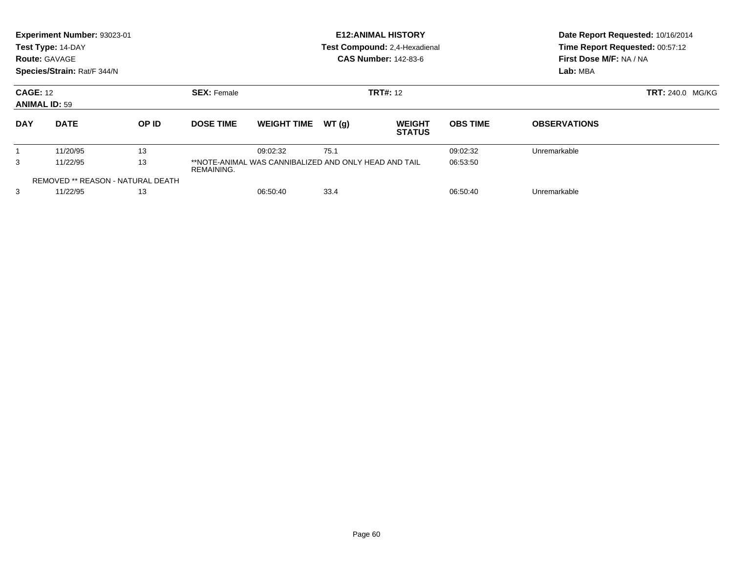|                                   | Experiment Number: 93023-01<br>Test Type: 14-DAY<br><b>Route: GAVAGE</b><br>Species/Strain: Rat/F 344/N |       |                              |                    |                                                                   | <b>E12: ANIMAL HISTORY</b><br>Test Compound: 2,4-Hexadienal<br><b>CAS Number: 142-83-6</b> | Date Report Requested: 10/16/2014<br>Time Report Requested: 00:57:12<br>First Dose M/F: NA / NA<br>Lab: MBA |                         |  |
|-----------------------------------|---------------------------------------------------------------------------------------------------------|-------|------------------------------|--------------------|-------------------------------------------------------------------|--------------------------------------------------------------------------------------------|-------------------------------------------------------------------------------------------------------------|-------------------------|--|
|                                   | <b>CAGE: 12</b><br><b>SEX: Female</b><br><b>ANIMAL ID: 59</b>                                           |       |                              |                    |                                                                   | <b>TRT#: 12</b>                                                                            |                                                                                                             | <b>TRT: 240.0 MG/KG</b> |  |
| <b>DAY</b>                        | <b>DATE</b>                                                                                             | OP ID | <b>DOSE TIME</b>             | <b>WEIGHT TIME</b> | WT(g)                                                             | <b>WEIGHT</b><br><b>STATUS</b>                                                             | <b>OBS TIME</b>                                                                                             | <b>OBSERVATIONS</b>     |  |
|                                   | 11/20/95                                                                                                | 13    |                              | 09:02:32           | 75.1                                                              |                                                                                            | 09:02:32                                                                                                    | Unremarkable            |  |
| 13<br>3<br>11/22/95<br>REMAINING. |                                                                                                         |       |                              |                    | **NOTE-ANIMAL WAS CANNIBALIZED AND ONLY HEAD AND TAIL<br>06:53:50 |                                                                                            |                                                                                                             |                         |  |
| REMOVED ** REASON - NATURAL DEATH |                                                                                                         |       |                              |                    |                                                                   |                                                                                            |                                                                                                             |                         |  |
| 3                                 | 11/22/95                                                                                                |       | 33.4<br>06:50:40<br>06:50:40 |                    |                                                                   |                                                                                            | Unremarkable                                                                                                |                         |  |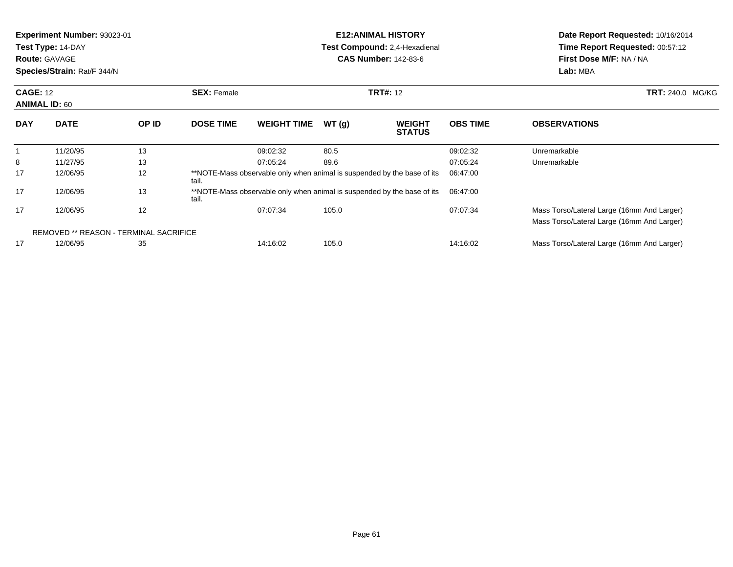| <b>Experiment Number: 93023-01</b><br>Test Type: 14-DAY<br><b>Route: GAVAGE</b><br>Species/Strain: Rat/F 344/N |                                               |       |                                                                                  | <b>E12:ANIMAL HISTORY</b><br><b>Test Compound: 2,4-Hexadienal</b><br><b>CAS Number: 142-83-6</b> |                 |                                |                 | Date Report Requested: 10/16/2014<br>Time Report Requested: 00:57:12<br>First Dose M/F: NA / NA<br>Lab: MBA |
|----------------------------------------------------------------------------------------------------------------|-----------------------------------------------|-------|----------------------------------------------------------------------------------|--------------------------------------------------------------------------------------------------|-----------------|--------------------------------|-----------------|-------------------------------------------------------------------------------------------------------------|
| <b>CAGE: 12</b><br><b>ANIMAL ID: 60</b>                                                                        |                                               |       | <b>SEX: Female</b>                                                               |                                                                                                  | <b>TRT#: 12</b> |                                |                 | <b>TRT: 240.0 MG/KG</b>                                                                                     |
| <b>DAY</b>                                                                                                     | <b>DATE</b>                                   | OP ID | <b>DOSE TIME</b>                                                                 | <b>WEIGHT TIME</b>                                                                               | WT(g)           | <b>WEIGHT</b><br><b>STATUS</b> | <b>OBS TIME</b> | <b>OBSERVATIONS</b>                                                                                         |
| $\overline{1}$                                                                                                 | 11/20/95                                      | 13    |                                                                                  | 09:02:32                                                                                         | 80.5            |                                | 09:02:32        | Unremarkable                                                                                                |
| 8                                                                                                              | 11/27/95                                      | 13    |                                                                                  | 07:05:24                                                                                         | 89.6            |                                | 07:05:24        | Unremarkable                                                                                                |
| 17                                                                                                             | 12/06/95                                      | 12    | **NOTE-Mass observable only when animal is suspended by the base of its<br>tail. |                                                                                                  |                 |                                | 06:47:00        |                                                                                                             |
| 17                                                                                                             | 12/06/95                                      | 13    | *NOTE-Mass observable only when animal is suspended by the base of its<br>tail.  |                                                                                                  |                 |                                | 06:47:00        |                                                                                                             |
| 17                                                                                                             | 12/06/95                                      | 12    |                                                                                  | 07:07:34                                                                                         | 105.0           |                                | 07:07:34        | Mass Torso/Lateral Large (16mm And Larger)<br>Mass Torso/Lateral Large (16mm And Larger)                    |
|                                                                                                                | <b>REMOVED ** REASON - TERMINAL SACRIFICE</b> |       |                                                                                  |                                                                                                  |                 |                                |                 |                                                                                                             |
| 17                                                                                                             | 12/06/95                                      | 35    |                                                                                  | 14:16:02                                                                                         | 105.0           |                                | 14:16:02        | Mass Torso/Lateral Large (16mm And Larger)                                                                  |